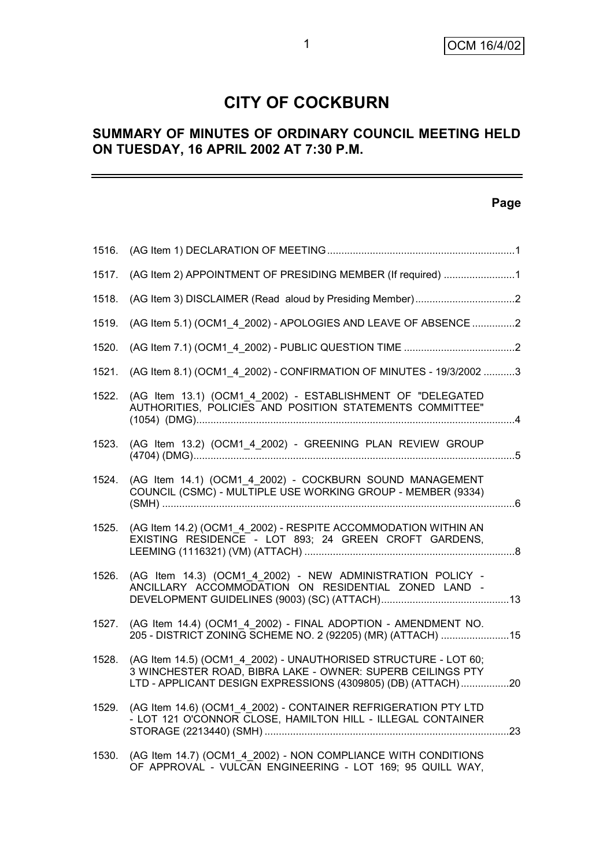# **CITY OF COCKBURN**

# **SUMMARY OF MINUTES OF ORDINARY COUNCIL MEETING HELD ON TUESDAY, 16 APRIL 2002 AT 7:30 P.M.**

#### **Page**

| 1516. |                                                                                                                                                                                                |  |
|-------|------------------------------------------------------------------------------------------------------------------------------------------------------------------------------------------------|--|
| 1517. | (AG Item 2) APPOINTMENT OF PRESIDING MEMBER (If required) 1                                                                                                                                    |  |
| 1518. |                                                                                                                                                                                                |  |
| 1519. | (AG Item 5.1) (OCM1 4 2002) - APOLOGIES AND LEAVE OF ABSENCE 2                                                                                                                                 |  |
| 1520. |                                                                                                                                                                                                |  |
| 1521. | (AG Item 8.1) (OCM1 4 2002) - CONFIRMATION OF MINUTES - 19/3/2002 3                                                                                                                            |  |
| 1522. | (AG Item 13.1) (OCM1 4 2002) - ESTABLISHMENT OF "DELEGATED<br>AUTHORITIES, POLICIES AND POSITION STATEMENTS COMMITTEE"                                                                         |  |
| 1523. | (AG Item 13.2) (OCM1_4_2002) - GREENING PLAN REVIEW GROUP                                                                                                                                      |  |
| 1524. | (AG Item 14.1) (OCM1_4_2002) - COCKBURN SOUND MANAGEMENT<br>COUNCIL (CSMC) - MULTIPLE USE WORKING GROUP - MEMBER (9334)                                                                        |  |
| 1525. | (AG Item 14.2) (OCM1 4 2002) - RESPITE ACCOMMODATION WITHIN AN<br>EXISTING RESIDENCE - LOT 893; 24 GREEN CROFT GARDENS,                                                                        |  |
| 1526. | (AG Item 14.3) (OCM1 4 2002) - NEW ADMINISTRATION POLICY -<br>ANCILLARY ACCOMMODATION ON RESIDENTIAL ZONED LAND -                                                                              |  |
| 1527. | (AG Item 14.4) (OCM1 4 2002) - FINAL ADOPTION - AMENDMENT NO.<br>205 - DISTRICT ZONING SCHEME NO. 2 (92205) (MR) (ATTACH) 15                                                                   |  |
| 1528. | (AG Item 14.5) (OCM1_4_2002) - UNAUTHORISED STRUCTURE - LOT 60;<br>3 WINCHESTER ROAD, BIBRA LAKE - OWNER: SUPERB CEILINGS PTY<br>LTD - APPLICANT DESIGN EXPRESSIONS (4309805) (DB) (ATTACH) 20 |  |
| 1529. | (AG Item 14.6) (OCM1 4 2002) - CONTAINER REFRIGERATION PTY LTD<br>- LOT 121 O'CONNOR CLOSE, HAMILTON HILL - ILLEGAL CONTAINER                                                                  |  |
| 1530. | (AG Item 14.7) (OCM1 4 2002) - NON COMPLIANCE WITH CONDITIONS<br>OF APPROVAL - VULCAN ENGINEERING - LOT 169; 95 QUILL WAY,                                                                     |  |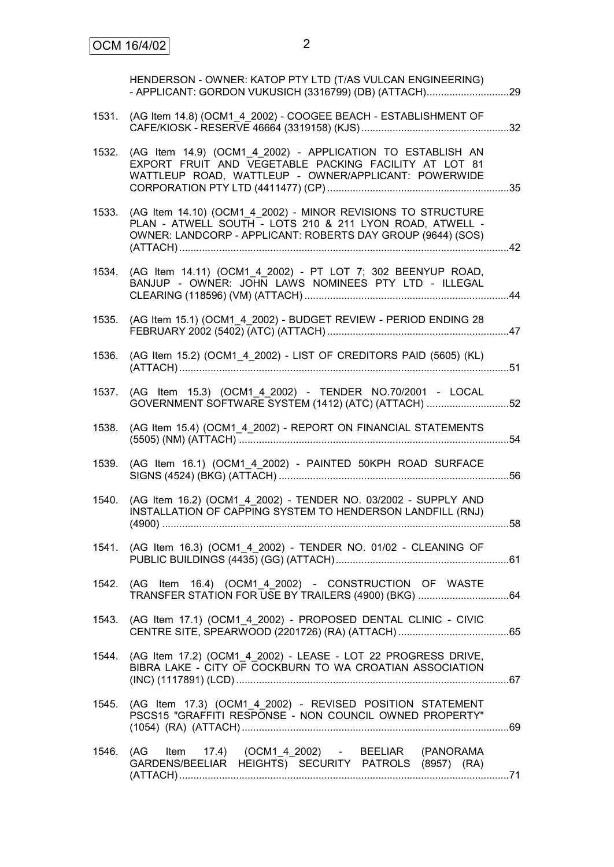|       | HENDERSON - OWNER: KATOP PTY LTD (T/AS VULCAN ENGINEERING)<br>- APPLICANT: GORDON VUKUSICH (3316799) (DB) (ATTACH)29                                                                    |  |
|-------|-----------------------------------------------------------------------------------------------------------------------------------------------------------------------------------------|--|
| 1531. | (AG Item 14.8) (OCM1 4 2002) - COOGEE BEACH - ESTABLISHMENT OF                                                                                                                          |  |
| 1532. | (AG Item 14.9) (OCM1 4 2002) - APPLICATION TO ESTABLISH AN<br>EXPORT FRUIT AND VEGETABLE PACKING FACILITY AT LOT 81<br>WATTLEUP ROAD, WATTLEUP - OWNER/APPLICANT: POWERWIDE             |  |
| 1533. | (AG Item 14.10) (OCM1 4 2002) - MINOR REVISIONS TO STRUCTURE<br>PLAN - ATWELL SOUTH - LOTS 210 & 211 LYON ROAD, ATWELL -<br>OWNER: LANDCORP - APPLICANT: ROBERTS DAY GROUP (9644) (SOS) |  |
| 1534. | (AG Item 14.11) (OCM1_4_2002) - PT LOT 7; 302 BEENYUP ROAD,<br>BANJUP - OWNER: JOHN LAWS NOMINEES PTY LTD - ILLEGAL                                                                     |  |
| 1535. | (AG Item 15.1) (OCM1_4_2002) - BUDGET REVIEW - PERIOD ENDING 28                                                                                                                         |  |
| 1536. | (AG Item 15.2) (OCM1_4_2002) - LIST OF CREDITORS PAID (5605) (KL)                                                                                                                       |  |
| 1537. | (AG Item 15.3) (OCM1 4 2002) - TENDER NO.70/2001 - LOCAL<br>GOVERNMENT SOFTWARE SYSTEM (1412) (ATC) (ATTACH) 52                                                                         |  |
| 1538. | (AG Item 15.4) (OCM1_4_2002) - REPORT ON FINANCIAL STATEMENTS                                                                                                                           |  |
| 1539. | (AG Item 16.1) (OCM1_4_2002) - PAINTED 50KPH ROAD SURFACE                                                                                                                               |  |
| 1540. | (AG Item 16.2) (OCM1 4 2002) - TENDER NO. 03/2002 - SUPPLY AND<br>INSTALLATION OF CAPPING SYSTEM TO HENDERSON LANDFILL (RNJ)                                                            |  |
|       | 1541. (AG Item 16.3) (OCM1 4 2002) - TENDER NO. 01/02 - CLEANING OF                                                                                                                     |  |
|       | 1542. (AG Item 16.4) (OCM1_4_2002) - CONSTRUCTION OF WASTE                                                                                                                              |  |
|       | 1543. (AG Item 17.1) (OCM1 4 2002) - PROPOSED DENTAL CLINIC - CIVIC                                                                                                                     |  |
| 1544. | (AG Item 17.2) (OCM1_4_2002) - LEASE - LOT 22 PROGRESS DRIVE,<br>BIBRA LAKE - CITY OF COCKBURN TO WA CROATIAN ASSOCIATION                                                               |  |
|       | 1545. (AG Item 17.3) (OCM1_4_2002) - REVISED POSITION STATEMENT<br>PSCS15 "GRAFFITI RESPONSE - NON COUNCIL OWNED PROPERTY"                                                              |  |
|       | 1546. (AG Item 17.4) (OCM1_4_2002) - BEELIAR (PANORAMA<br>GARDENS/BEELIAR HEIGHTS) SECURITY PATROLS (8957) (RA)                                                                         |  |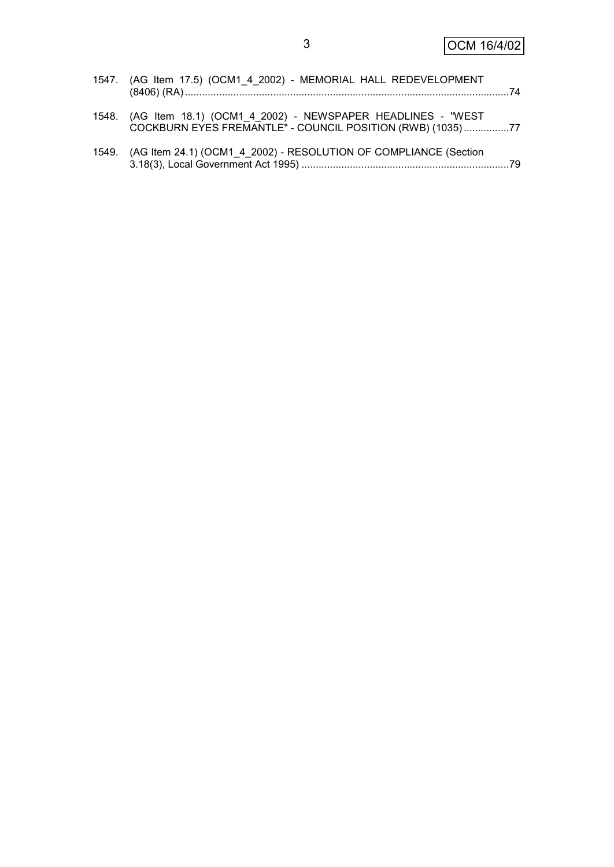| 1547. (AG Item 17.5) (OCM1 4 2002) - MEMORIAL HALL REDEVELOPMENT                                                               |  |
|--------------------------------------------------------------------------------------------------------------------------------|--|
| 1548. (AG Item 18.1) (OCM1_4_2002) - NEWSPAPER HEADLINES - "WEST<br>COCKBURN EYES FREMANTLE" - COUNCIL POSITION (RWB) (1035)77 |  |
| 1549. (AG Item 24.1) (OCM1_4_2002) - RESOLUTION OF COMPLIANCE (Section                                                         |  |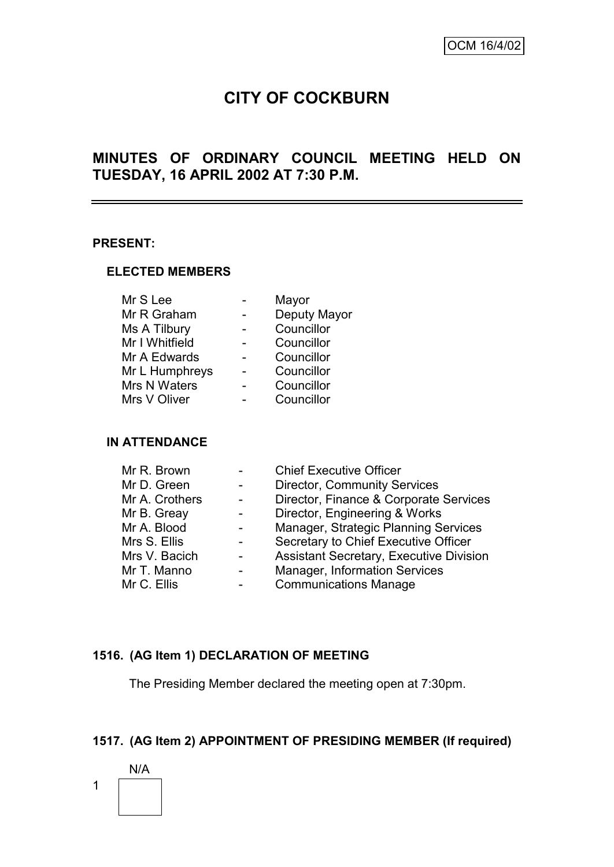# **CITY OF COCKBURN**

# **MINUTES OF ORDINARY COUNCIL MEETING HELD ON TUESDAY, 16 APRIL 2002 AT 7:30 P.M.**

#### **PRESENT:**

#### **ELECTED MEMBERS**

| Mr S Lee       | Mayor        |
|----------------|--------------|
| Mr R Graham    | Deputy Mayor |
| Ms A Tilbury   | Councillor   |
| Mr I Whitfield | Councillor   |
| Mr A Edwards   | Councillor   |
| Mr L Humphreys | Councillor   |
| Mrs N Waters   | Councillor   |
| Mrs V Oliver   | Councillor   |
|                |              |

#### **IN ATTENDANCE**

| Mr R. Brown    | <b>Chief Executive Officer</b>                 |
|----------------|------------------------------------------------|
| Mr D. Green    | <b>Director, Community Services</b>            |
| Mr A. Crothers | Director, Finance & Corporate Services         |
| Mr B. Greay    | Director, Engineering & Works                  |
| Mr A. Blood    | Manager, Strategic Planning Services           |
| Mrs S. Ellis   | Secretary to Chief Executive Officer           |
| Mrs V. Bacich  | <b>Assistant Secretary, Executive Division</b> |
| Mr T. Manno    | Manager, Information Services                  |
| Mr C. Ellis    | <b>Communications Manage</b>                   |

# **1516. (AG Item 1) DECLARATION OF MEETING**

The Presiding Member declared the meeting open at 7:30pm.

# **1517. (AG Item 2) APPOINTMENT OF PRESIDING MEMBER (If required)**

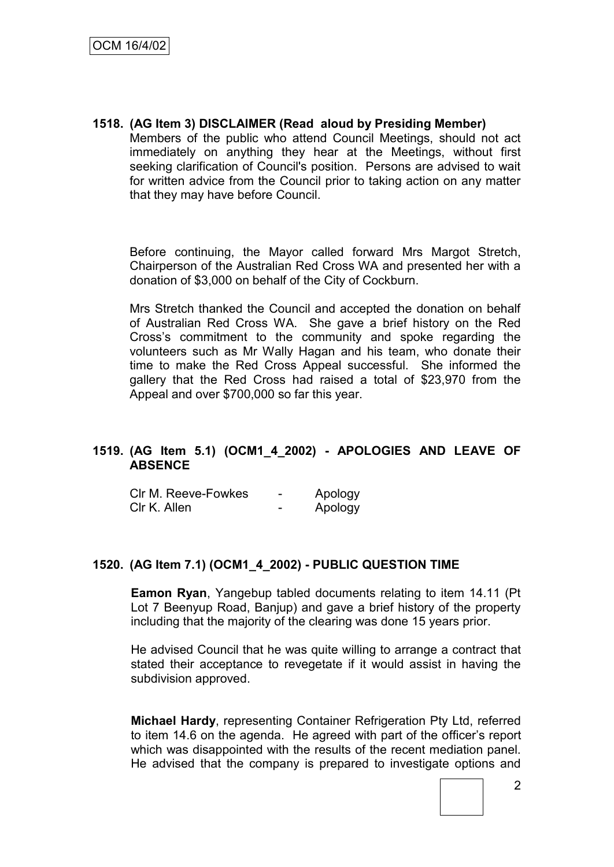**1518. (AG Item 3) DISCLAIMER (Read aloud by Presiding Member)** Members of the public who attend Council Meetings, should not act immediately on anything they hear at the Meetings, without first seeking clarification of Council's position. Persons are advised to wait for written advice from the Council prior to taking action on any matter that they may have before Council.

Before continuing, the Mayor called forward Mrs Margot Stretch, Chairperson of the Australian Red Cross WA and presented her with a donation of \$3,000 on behalf of the City of Cockburn.

Mrs Stretch thanked the Council and accepted the donation on behalf of Australian Red Cross WA. She gave a brief history on the Red Cross"s commitment to the community and spoke regarding the volunteers such as Mr Wally Hagan and his team, who donate their time to make the Red Cross Appeal successful. She informed the gallery that the Red Cross had raised a total of \$23,970 from the Appeal and over \$700,000 so far this year.

# **1519. (AG Item 5.1) (OCM1\_4\_2002) - APOLOGIES AND LEAVE OF ABSENCE**

| CIr M. Reeve-Fowkes | - | Apology |
|---------------------|---|---------|
| Clr K. Allen        | - | Apology |

#### **1520. (AG Item 7.1) (OCM1\_4\_2002) - PUBLIC QUESTION TIME**

**Eamon Ryan**, Yangebup tabled documents relating to item 14.11 (Pt Lot 7 Beenyup Road, Banjup) and gave a brief history of the property including that the majority of the clearing was done 15 years prior.

He advised Council that he was quite willing to arrange a contract that stated their acceptance to revegetate if it would assist in having the subdivision approved.

**Michael Hardy**, representing Container Refrigeration Pty Ltd, referred to item 14.6 on the agenda. He agreed with part of the officer"s report which was disappointed with the results of the recent mediation panel. He advised that the company is prepared to investigate options and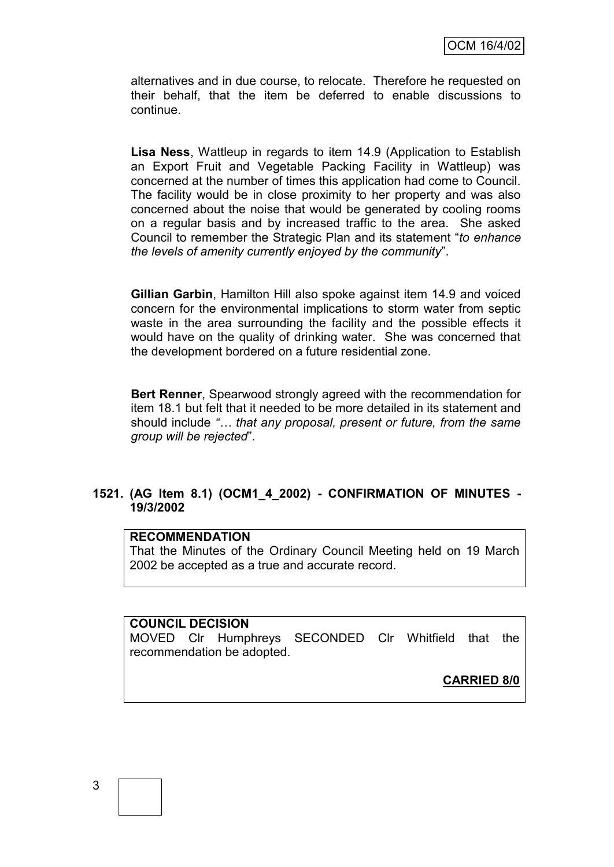alternatives and in due course, to relocate. Therefore he requested on their behalf, that the item be deferred to enable discussions to continue.

**Lisa Ness**, Wattleup in regards to item 14.9 (Application to Establish an Export Fruit and Vegetable Packing Facility in Wattleup) was concerned at the number of times this application had come to Council. The facility would be in close proximity to her property and was also concerned about the noise that would be generated by cooling rooms on a regular basis and by increased traffic to the area. She asked Council to remember the Strategic Plan and its statement "*to enhance the levels of amenity currently enjoyed by the community*".

**Gillian Garbin**, Hamilton Hill also spoke against item 14.9 and voiced concern for the environmental implications to storm water from septic waste in the area surrounding the facility and the possible effects it would have on the quality of drinking water. She was concerned that the development bordered on a future residential zone.

**Bert Renner**, Spearwood strongly agreed with the recommendation for item 18.1 but felt that it needed to be more detailed in its statement and should include *"… that any proposal, present or future, from the same group will be rejected*".

#### **1521. (AG Item 8.1) (OCM1\_4\_2002) - CONFIRMATION OF MINUTES - 19/3/2002**

#### **RECOMMENDATION**

That the Minutes of the Ordinary Council Meeting held on 19 March 2002 be accepted as a true and accurate record.

#### **COUNCIL DECISION**

MOVED Clr Humphreys SECONDED Clr Whitfield that the recommendation be adopted.

**CARRIED 8/0**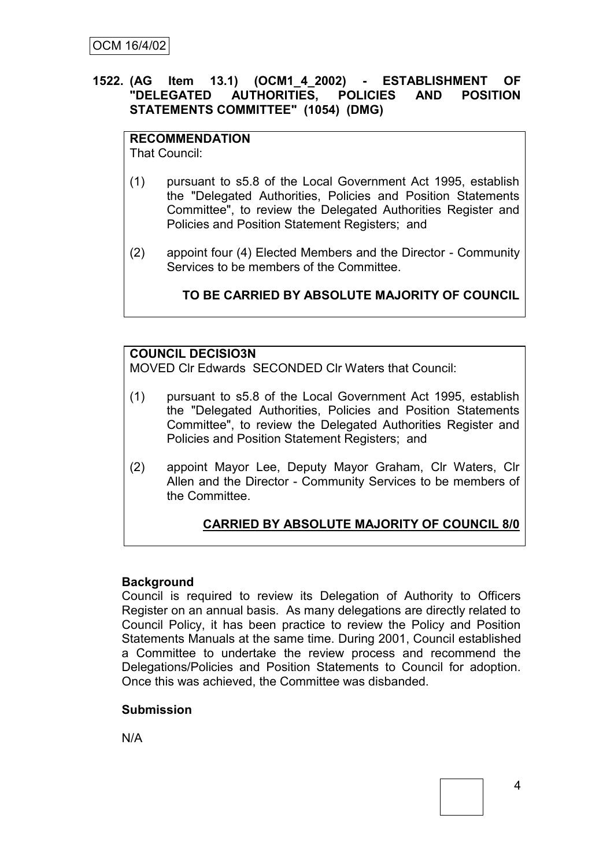### **1522. (AG Item 13.1) (OCM1\_4\_2002) - ESTABLISHMENT OF "DELEGATED AUTHORITIES, POLICIES AND POSITION STATEMENTS COMMITTEE" (1054) (DMG)**

# **RECOMMENDATION**

That Council:

- (1) pursuant to s5.8 of the Local Government Act 1995, establish the "Delegated Authorities, Policies and Position Statements Committee", to review the Delegated Authorities Register and Policies and Position Statement Registers; and
- (2) appoint four (4) Elected Members and the Director Community Services to be members of the Committee.

# **TO BE CARRIED BY ABSOLUTE MAJORITY OF COUNCIL**

# **COUNCIL DECISIO3N**

MOVED Clr Edwards SECONDED Clr Waters that Council:

- (1) pursuant to s5.8 of the Local Government Act 1995, establish the "Delegated Authorities, Policies and Position Statements Committee", to review the Delegated Authorities Register and Policies and Position Statement Registers; and
- (2) appoint Mayor Lee, Deputy Mayor Graham, Clr Waters, Clr Allen and the Director - Community Services to be members of the Committee.

# **CARRIED BY ABSOLUTE MAJORITY OF COUNCIL 8/0**

#### **Background**

Council is required to review its Delegation of Authority to Officers Register on an annual basis. As many delegations are directly related to Council Policy, it has been practice to review the Policy and Position Statements Manuals at the same time. During 2001, Council established a Committee to undertake the review process and recommend the Delegations/Policies and Position Statements to Council for adoption. Once this was achieved, the Committee was disbanded.

#### **Submission**

N/A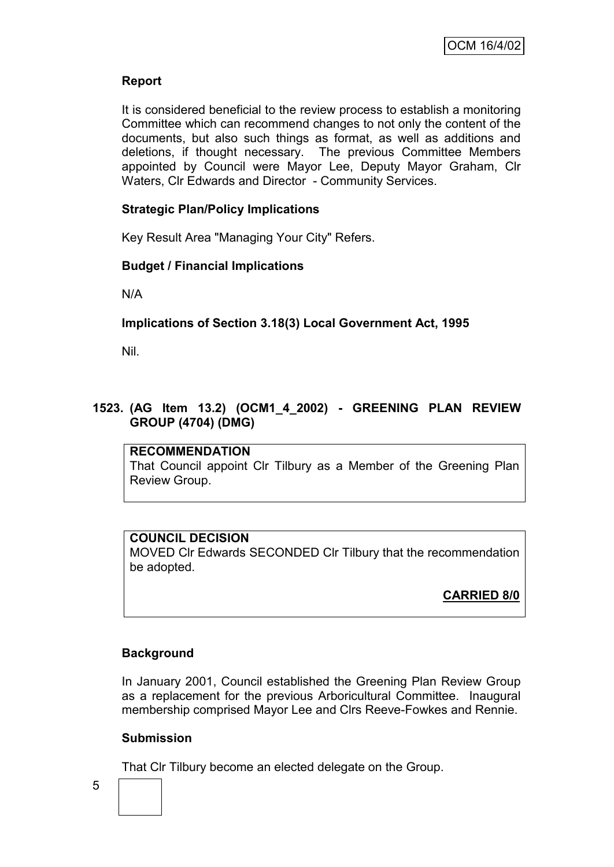# **Report**

It is considered beneficial to the review process to establish a monitoring Committee which can recommend changes to not only the content of the documents, but also such things as format, as well as additions and deletions, if thought necessary. The previous Committee Members appointed by Council were Mayor Lee, Deputy Mayor Graham, Clr Waters, Clr Edwards and Director - Community Services.

## **Strategic Plan/Policy Implications**

Key Result Area "Managing Your City" Refers.

#### **Budget / Financial Implications**

N/A

# **Implications of Section 3.18(3) Local Government Act, 1995**

Nil.

## **1523. (AG Item 13.2) (OCM1\_4\_2002) - GREENING PLAN REVIEW GROUP (4704) (DMG)**

**RECOMMENDATION** That Council appoint Clr Tilbury as a Member of the Greening Plan Review Group.

#### **COUNCIL DECISION** MOVED Clr Edwards SECONDED Clr Tilbury that the recommendation be adopted.

**CARRIED 8/0**

#### **Background**

In January 2001, Council established the Greening Plan Review Group as a replacement for the previous Arboricultural Committee. Inaugural membership comprised Mayor Lee and Clrs Reeve-Fowkes and Rennie.

#### **Submission**

That Clr Tilbury become an elected delegate on the Group.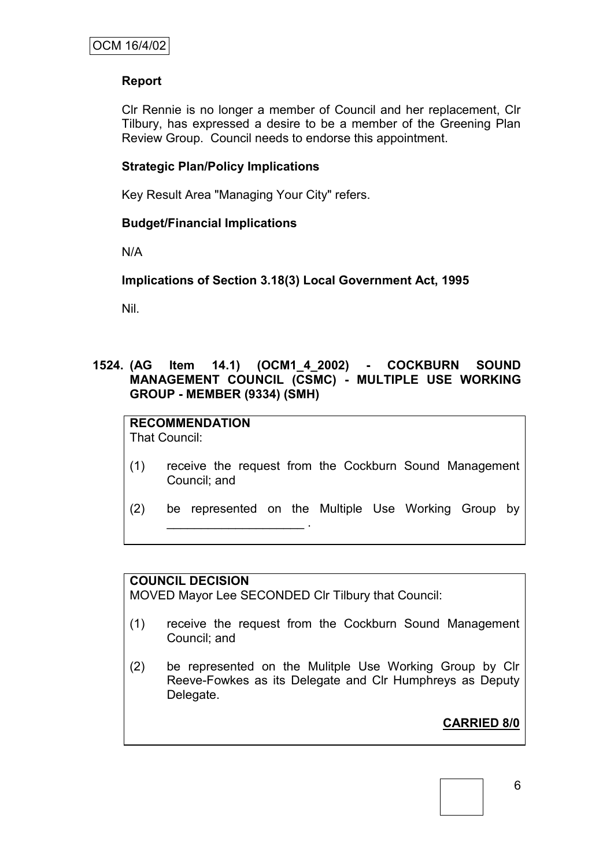# **Report**

Clr Rennie is no longer a member of Council and her replacement, Clr Tilbury, has expressed a desire to be a member of the Greening Plan Review Group. Council needs to endorse this appointment.

# **Strategic Plan/Policy Implications**

Key Result Area "Managing Your City" refers.

# **Budget/Financial Implications**

N/A

# **Implications of Section 3.18(3) Local Government Act, 1995**

Nil.

# **1524. (AG Item 14.1) (OCM1\_4\_2002) - COCKBURN SOUND MANAGEMENT COUNCIL (CSMC) - MULTIPLE USE WORKING GROUP - MEMBER (9334) (SMH)**

**RECOMMENDATION** That Council:

- (1) receive the request from the Cockburn Sound Management Council; and
- (2) be represented on the Multiple Use Working Group by  $\mathcal{L}=\mathcal{L}^{\mathcal{L}}$  . The set of the set of the set of the set of the set of the set of the set of the set of the set of the set of the set of the set of the set of the set of the set of the set of the set of the set of

#### **COUNCIL DECISION**

MOVED Mayor Lee SECONDED Clr Tilbury that Council:

- (1) receive the request from the Cockburn Sound Management Council; and
- (2) be represented on the Mulitple Use Working Group by Clr Reeve-Fowkes as its Delegate and Clr Humphreys as Deputy Delegate.

**CARRIED 8/0**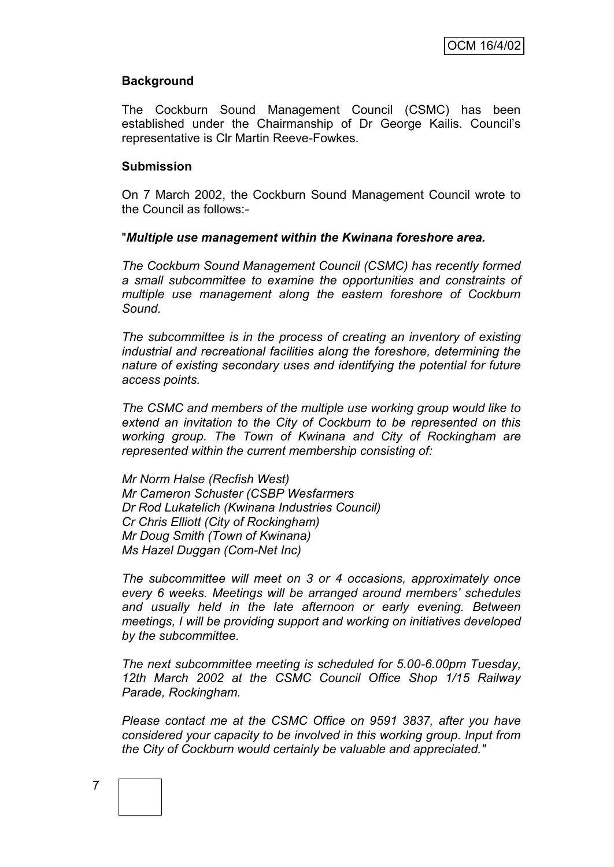#### **Background**

The Cockburn Sound Management Council (CSMC) has been established under the Chairmanship of Dr George Kailis. Council"s representative is Clr Martin Reeve-Fowkes.

#### **Submission**

On 7 March 2002, the Cockburn Sound Management Council wrote to the Council as follows:-

#### "*Multiple use management within the Kwinana foreshore area.*

*The Cockburn Sound Management Council (CSMC) has recently formed a small subcommittee to examine the opportunities and constraints of multiple use management along the eastern foreshore of Cockburn Sound.*

*The subcommittee is in the process of creating an inventory of existing industrial and recreational facilities along the foreshore, determining the nature of existing secondary uses and identifying the potential for future access points.*

*The CSMC and members of the multiple use working group would like to extend an invitation to the City of Cockburn to be represented on this working group. The Town of Kwinana and City of Rockingham are represented within the current membership consisting of:*

*Mr Norm Halse (Recfish West) Mr Cameron Schuster (CSBP Wesfarmers Dr Rod Lukatelich (Kwinana Industries Council) Cr Chris Elliott (City of Rockingham) Mr Doug Smith (Town of Kwinana) Ms Hazel Duggan (Com-Net Inc)*

*The subcommittee will meet on 3 or 4 occasions, approximately once every 6 weeks. Meetings will be arranged around members" schedules and usually held in the late afternoon or early evening. Between meetings, I will be providing support and working on initiatives developed by the subcommittee.*

*The next subcommittee meeting is scheduled for 5.00-6.00pm Tuesday, 12th March 2002 at the CSMC Council Office Shop 1/15 Railway Parade, Rockingham.*

*Please contact me at the CSMC Office on 9591 3837, after you have considered your capacity to be involved in this working group. Input from the City of Cockburn would certainly be valuable and appreciated."*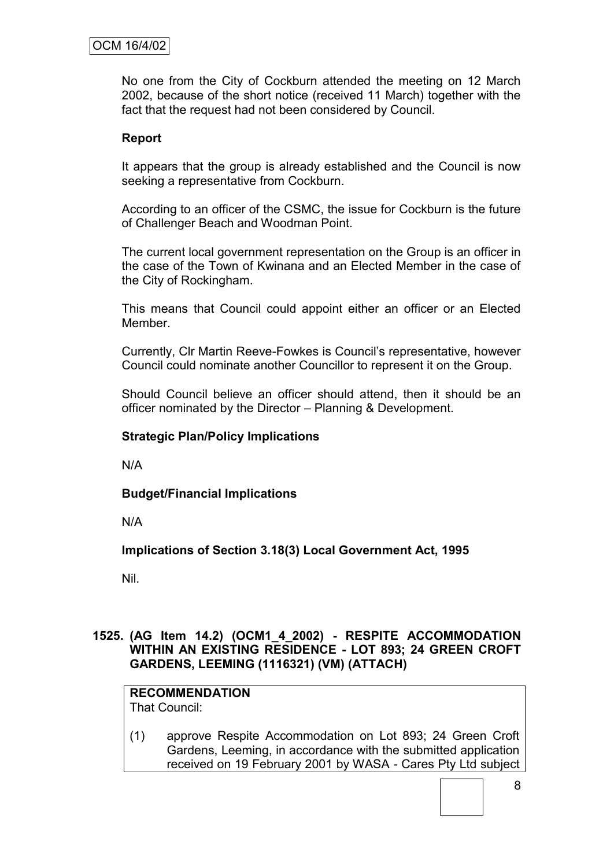# OCM 16/4/02

No one from the City of Cockburn attended the meeting on 12 March 2002, because of the short notice (received 11 March) together with the fact that the request had not been considered by Council.

#### **Report**

It appears that the group is already established and the Council is now seeking a representative from Cockburn.

According to an officer of the CSMC, the issue for Cockburn is the future of Challenger Beach and Woodman Point.

The current local government representation on the Group is an officer in the case of the Town of Kwinana and an Elected Member in the case of the City of Rockingham.

This means that Council could appoint either an officer or an Elected Member.

Currently, Clr Martin Reeve-Fowkes is Council"s representative, however Council could nominate another Councillor to represent it on the Group.

Should Council believe an officer should attend, then it should be an officer nominated by the Director – Planning & Development.

#### **Strategic Plan/Policy Implications**

N/A

**Budget/Financial Implications**

N/A

**Implications of Section 3.18(3) Local Government Act, 1995**

Nil.

#### **1525. (AG Item 14.2) (OCM1\_4\_2002) - RESPITE ACCOMMODATION WITHIN AN EXISTING RESIDENCE - LOT 893; 24 GREEN CROFT GARDENS, LEEMING (1116321) (VM) (ATTACH)**

# **RECOMMENDATION**

That Council:

(1) approve Respite Accommodation on Lot 893; 24 Green Croft Gardens, Leeming, in accordance with the submitted application received on 19 February 2001 by WASA - Cares Pty Ltd subject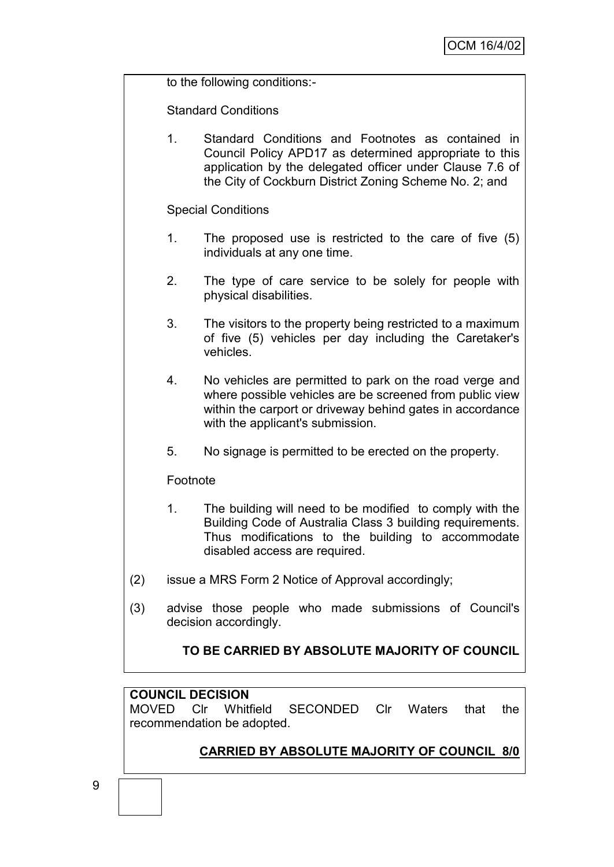to the following conditions:-

Standard Conditions

1. Standard Conditions and Footnotes as contained in Council Policy APD17 as determined appropriate to this application by the delegated officer under Clause 7.6 of the City of Cockburn District Zoning Scheme No. 2; and

Special Conditions

- 1. The proposed use is restricted to the care of five (5) individuals at any one time.
- 2. The type of care service to be solely for people with physical disabilities.
- 3. The visitors to the property being restricted to a maximum of five (5) vehicles per day including the Caretaker's vehicles.
- 4. No vehicles are permitted to park on the road verge and where possible vehicles are be screened from public view within the carport or driveway behind gates in accordance with the applicant's submission.
- 5. No signage is permitted to be erected on the property.

#### Footnote

- 1. The building will need to be modified to comply with the Building Code of Australia Class 3 building requirements. Thus modifications to the building to accommodate disabled access are required.
- (2) issue a MRS Form 2 Notice of Approval accordingly;
- (3) advise those people who made submissions of Council's decision accordingly.

# **TO BE CARRIED BY ABSOLUTE MAJORITY OF COUNCIL**

#### **COUNCIL DECISION**

MOVED Clr Whitfield SECONDED Clr Waters that the recommendation be adopted.

# **CARRIED BY ABSOLUTE MAJORITY OF COUNCIL 8/0**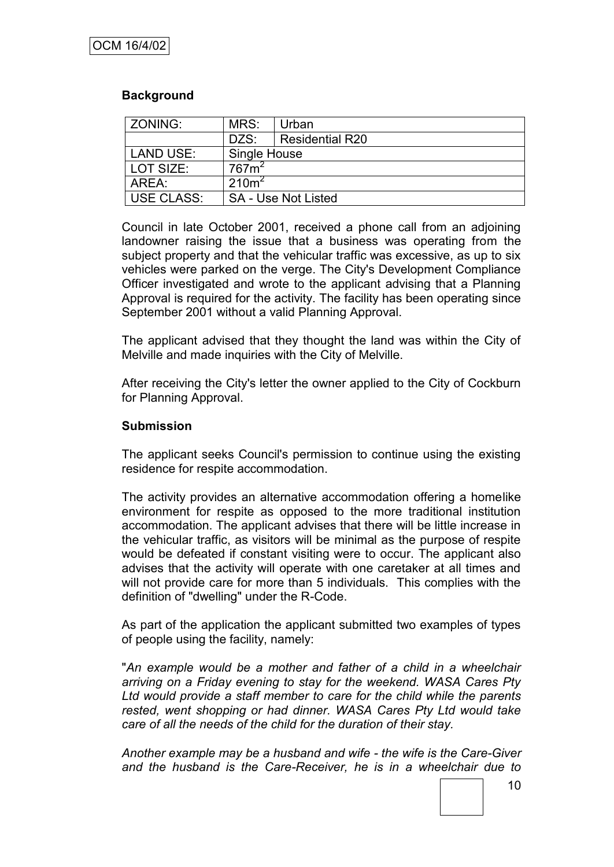# **Background**

| ZONING:                    | MRS:              | Urban                      |  |
|----------------------------|-------------------|----------------------------|--|
|                            | DZS:              | <b>Residential R20</b>     |  |
| LAND USE:                  | Single House      |                            |  |
| LOT SIZE:                  | 767m <sup>2</sup> |                            |  |
| 210m <sup>2</sup><br>AREA: |                   |                            |  |
| <b>USE CLASS:</b>          |                   | <b>SA - Use Not Listed</b> |  |

Council in late October 2001, received a phone call from an adjoining landowner raising the issue that a business was operating from the subject property and that the vehicular traffic was excessive, as up to six vehicles were parked on the verge. The City's Development Compliance Officer investigated and wrote to the applicant advising that a Planning Approval is required for the activity. The facility has been operating since September 2001 without a valid Planning Approval.

The applicant advised that they thought the land was within the City of Melville and made inquiries with the City of Melville.

After receiving the City's letter the owner applied to the City of Cockburn for Planning Approval.

#### **Submission**

The applicant seeks Council's permission to continue using the existing residence for respite accommodation.

The activity provides an alternative accommodation offering a homelike environment for respite as opposed to the more traditional institution accommodation. The applicant advises that there will be little increase in the vehicular traffic, as visitors will be minimal as the purpose of respite would be defeated if constant visiting were to occur. The applicant also advises that the activity will operate with one caretaker at all times and will not provide care for more than 5 individuals. This complies with the definition of "dwelling" under the R-Code.

As part of the application the applicant submitted two examples of types of people using the facility, namely:

"*An example would be a mother and father of a child in a wheelchair arriving on a Friday evening to stay for the weekend. WASA Cares Pty Ltd would provide a staff member to care for the child while the parents rested, went shopping or had dinner. WASA Cares Pty Ltd would take care of all the needs of the child for the duration of their stay.*

*Another example may be a husband and wife - the wife is the Care-Giver and the husband is the Care-Receiver, he is in a wheelchair due to*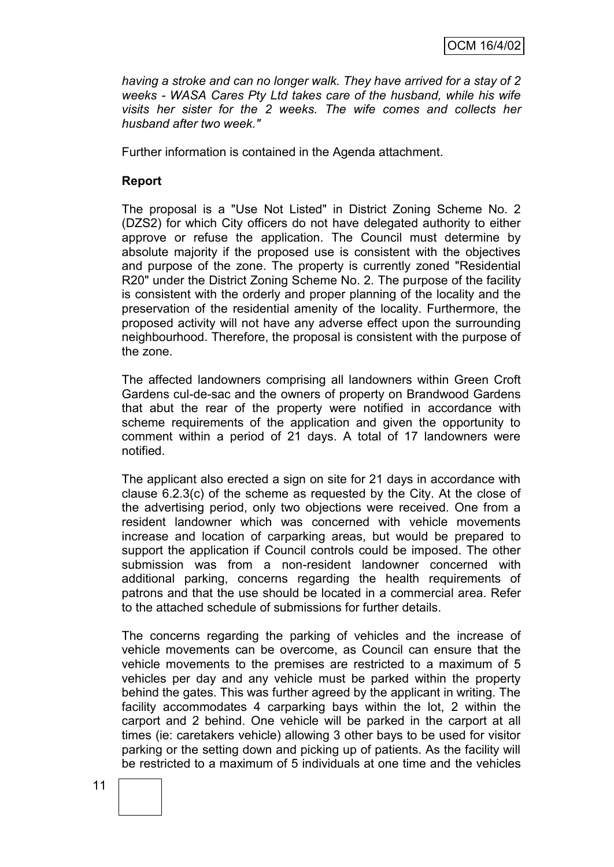*having a stroke and can no longer walk. They have arrived for a stay of 2 weeks - WASA Cares Pty Ltd takes care of the husband, while his wife visits her sister for the 2 weeks. The wife comes and collects her husband after two week."*

Further information is contained in the Agenda attachment.

#### **Report**

The proposal is a "Use Not Listed" in District Zoning Scheme No. 2 (DZS2) for which City officers do not have delegated authority to either approve or refuse the application. The Council must determine by absolute majority if the proposed use is consistent with the objectives and purpose of the zone. The property is currently zoned "Residential R20" under the District Zoning Scheme No. 2. The purpose of the facility is consistent with the orderly and proper planning of the locality and the preservation of the residential amenity of the locality. Furthermore, the proposed activity will not have any adverse effect upon the surrounding neighbourhood. Therefore, the proposal is consistent with the purpose of the zone.

The affected landowners comprising all landowners within Green Croft Gardens cul-de-sac and the owners of property on Brandwood Gardens that abut the rear of the property were notified in accordance with scheme requirements of the application and given the opportunity to comment within a period of 21 days. A total of 17 landowners were notified.

The applicant also erected a sign on site for 21 days in accordance with clause 6.2.3(c) of the scheme as requested by the City. At the close of the advertising period, only two objections were received. One from a resident landowner which was concerned with vehicle movements increase and location of carparking areas, but would be prepared to support the application if Council controls could be imposed. The other submission was from a non-resident landowner concerned with additional parking, concerns regarding the health requirements of patrons and that the use should be located in a commercial area. Refer to the attached schedule of submissions for further details.

The concerns regarding the parking of vehicles and the increase of vehicle movements can be overcome, as Council can ensure that the vehicle movements to the premises are restricted to a maximum of 5 vehicles per day and any vehicle must be parked within the property behind the gates. This was further agreed by the applicant in writing. The facility accommodates 4 carparking bays within the lot, 2 within the carport and 2 behind. One vehicle will be parked in the carport at all times (ie: caretakers vehicle) allowing 3 other bays to be used for visitor parking or the setting down and picking up of patients. As the facility will be restricted to a maximum of 5 individuals at one time and the vehicles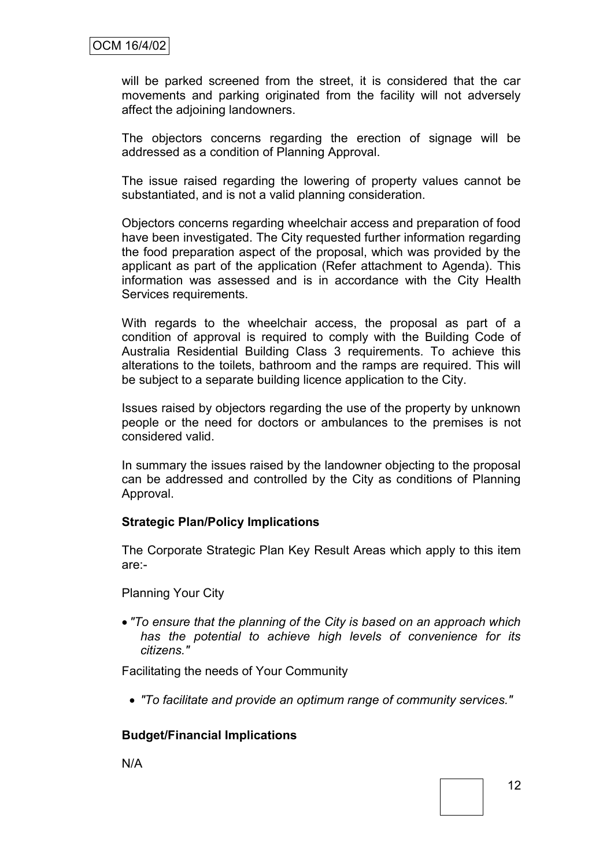will be parked screened from the street, it is considered that the car movements and parking originated from the facility will not adversely affect the adjoining landowners.

The objectors concerns regarding the erection of signage will be addressed as a condition of Planning Approval.

The issue raised regarding the lowering of property values cannot be substantiated, and is not a valid planning consideration.

Objectors concerns regarding wheelchair access and preparation of food have been investigated. The City requested further information regarding the food preparation aspect of the proposal, which was provided by the applicant as part of the application (Refer attachment to Agenda). This information was assessed and is in accordance with the City Health Services requirements.

With regards to the wheelchair access, the proposal as part of a condition of approval is required to comply with the Building Code of Australia Residential Building Class 3 requirements. To achieve this alterations to the toilets, bathroom and the ramps are required. This will be subject to a separate building licence application to the City.

Issues raised by objectors regarding the use of the property by unknown people or the need for doctors or ambulances to the premises is not considered valid.

In summary the issues raised by the landowner objecting to the proposal can be addressed and controlled by the City as conditions of Planning Approval.

#### **Strategic Plan/Policy Implications**

The Corporate Strategic Plan Key Result Areas which apply to this item are:-

Planning Your City

 *"To ensure that the planning of the City is based on an approach which has the potential to achieve high levels of convenience for its citizens."*

Facilitating the needs of Your Community

*"To facilitate and provide an optimum range of community services."*

#### **Budget/Financial Implications**

N/A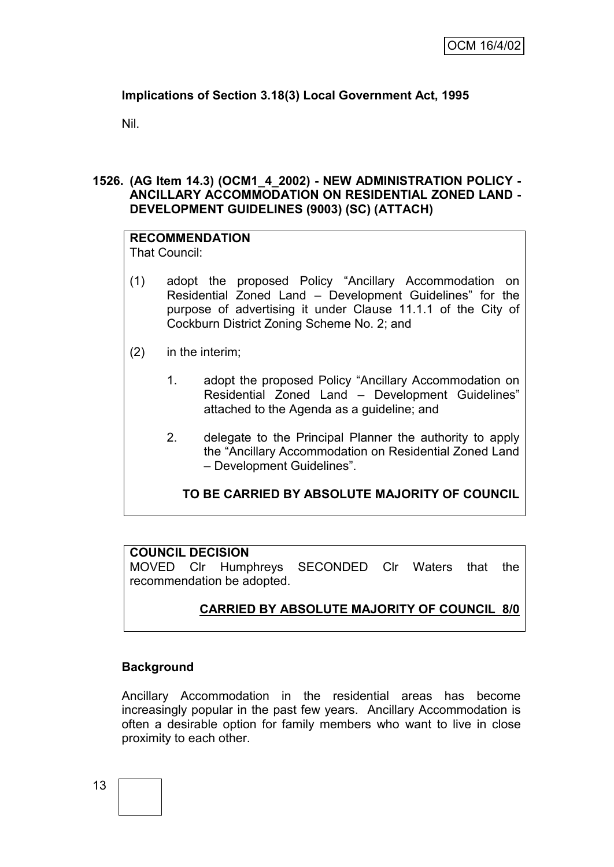# **Implications of Section 3.18(3) Local Government Act, 1995**

Nil.

# **1526. (AG Item 14.3) (OCM1\_4\_2002) - NEW ADMINISTRATION POLICY - ANCILLARY ACCOMMODATION ON RESIDENTIAL ZONED LAND - DEVELOPMENT GUIDELINES (9003) (SC) (ATTACH)**

#### **RECOMMENDATION** That Council:

- (1) adopt the proposed Policy "Ancillary Accommodation on Residential Zoned Land – Development Guidelines" for the purpose of advertising it under Clause 11.1.1 of the City of Cockburn District Zoning Scheme No. 2; and
- (2) in the interim;
	- 1. adopt the proposed Policy "Ancillary Accommodation on Residential Zoned Land – Development Guidelines" attached to the Agenda as a guideline; and
	- 2. delegate to the Principal Planner the authority to apply the "Ancillary Accommodation on Residential Zoned Land – Development Guidelines".

# **TO BE CARRIED BY ABSOLUTE MAJORITY OF COUNCIL**

#### **COUNCIL DECISION**

MOVED Clr Humphreys SECONDED Clr Waters that the recommendation be adopted.

# **CARRIED BY ABSOLUTE MAJORITY OF COUNCIL 8/0**

# **Background**

Ancillary Accommodation in the residential areas has become increasingly popular in the past few years. Ancillary Accommodation is often a desirable option for family members who want to live in close proximity to each other.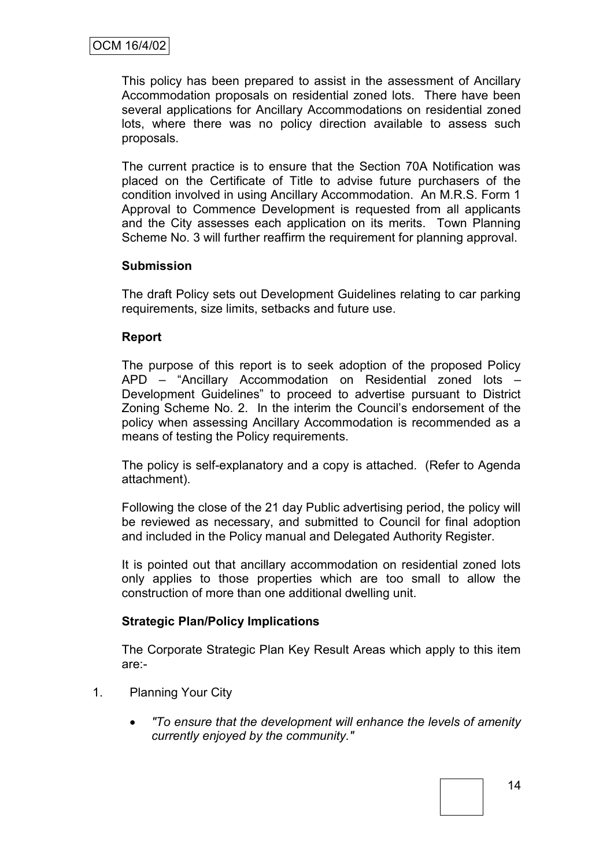This policy has been prepared to assist in the assessment of Ancillary Accommodation proposals on residential zoned lots. There have been several applications for Ancillary Accommodations on residential zoned lots, where there was no policy direction available to assess such proposals.

The current practice is to ensure that the Section 70A Notification was placed on the Certificate of Title to advise future purchasers of the condition involved in using Ancillary Accommodation. An M.R.S. Form 1 Approval to Commence Development is requested from all applicants and the City assesses each application on its merits. Town Planning Scheme No. 3 will further reaffirm the requirement for planning approval.

#### **Submission**

The draft Policy sets out Development Guidelines relating to car parking requirements, size limits, setbacks and future use.

#### **Report**

The purpose of this report is to seek adoption of the proposed Policy APD – "Ancillary Accommodation on Residential zoned lots – Development Guidelines" to proceed to advertise pursuant to District Zoning Scheme No. 2. In the interim the Council"s endorsement of the policy when assessing Ancillary Accommodation is recommended as a means of testing the Policy requirements.

The policy is self-explanatory and a copy is attached. (Refer to Agenda attachment).

Following the close of the 21 day Public advertising period, the policy will be reviewed as necessary, and submitted to Council for final adoption and included in the Policy manual and Delegated Authority Register.

It is pointed out that ancillary accommodation on residential zoned lots only applies to those properties which are too small to allow the construction of more than one additional dwelling unit.

#### **Strategic Plan/Policy Implications**

The Corporate Strategic Plan Key Result Areas which apply to this item are:-

- 1. Planning Your City
	- *"To ensure that the development will enhance the levels of amenity currently enjoyed by the community."*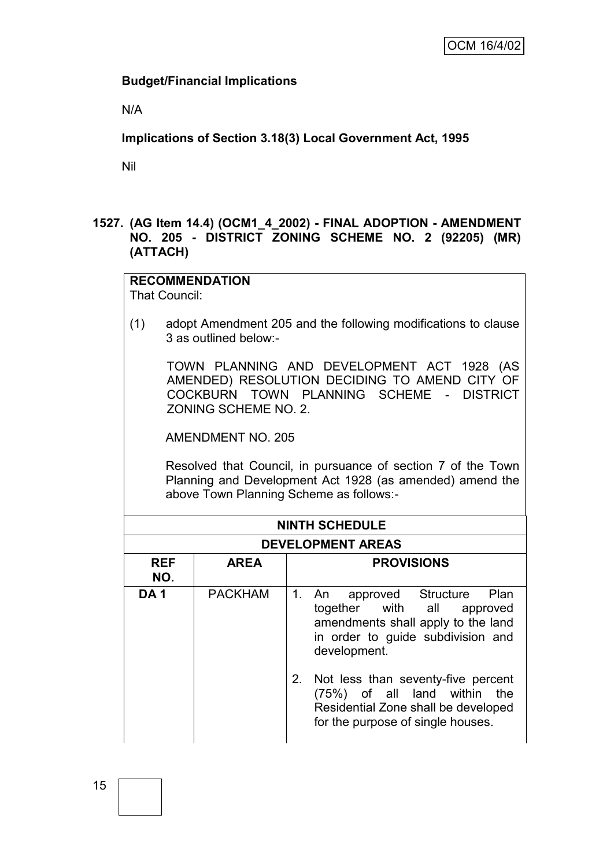## **Budget/Financial Implications**

N/A

**Implications of Section 3.18(3) Local Government Act, 1995**

Nil

#### **1527. (AG Item 14.4) (OCM1\_4\_2002) - FINAL ADOPTION - AMENDMENT NO. 205 - DISTRICT ZONING SCHEME NO. 2 (92205) (MR) (ATTACH)**

#### **RECOMMENDATION** That Council:

(1) adopt Amendment 205 and the following modifications to clause 3 as outlined below:-

TOWN PLANNING AND DEVELOPMENT ACT 1928 (AS AMENDED) RESOLUTION DECIDING TO AMEND CITY OF COCKBURN TOWN PLANNING SCHEME - DISTRICT ZONING SCHEME NO. 2.

AMENDMENT NO. 205

Resolved that Council, in pursuance of section 7 of the Town Planning and Development Act 1928 (as amended) amend the above Town Planning Scheme as follows:-

|                   | <b>NINTH SCHEDULE</b>    |                                                                                                                                                        |  |  |  |  |
|-------------------|--------------------------|--------------------------------------------------------------------------------------------------------------------------------------------------------|--|--|--|--|
|                   | <b>DEVELOPMENT AREAS</b> |                                                                                                                                                        |  |  |  |  |
| <b>REF</b><br>NO. | <b>AREA</b>              | <b>PROVISIONS</b>                                                                                                                                      |  |  |  |  |
| <b>DA1</b>        | <b>PACKHAM</b>           | 1. An approved Structure Plan<br>together with all approved<br>amendments shall apply to the land<br>in order to guide subdivision and<br>development. |  |  |  |  |
|                   |                          | 2. Not less than seventy-five percent<br>(75%) of all land within the<br>Residential Zone shall be developed<br>for the purpose of single houses.      |  |  |  |  |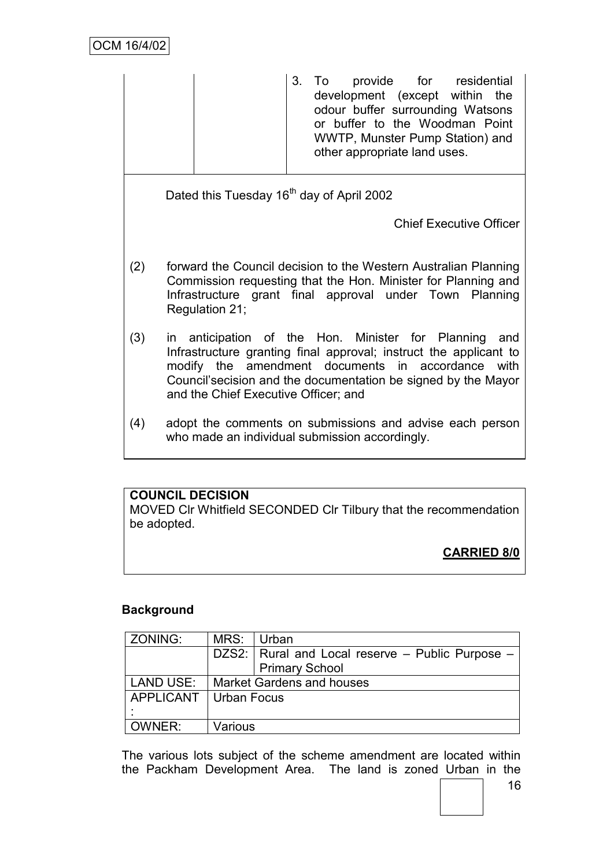3. To provide for residential development (except within the odour buffer surrounding Watsons or buffer to the Woodman Point WWTP, Munster Pump Station) and other appropriate land uses. Dated this Tuesday 16<sup>th</sup> day of April 2002 Chief Executive Officer (2) forward the Council decision to the Western Australian Planning Commission requesting that the Hon. Minister for Planning and Infrastructure grant final approval under Town Planning Regulation 21; (3) in anticipation of the Hon. Minister for Planning and Infrastructure granting final approval; instruct the applicant to modify the amendment documents in accordance with Council"secision and the documentation be signed by the Mayor and the Chief Executive Officer; and (4) adopt the comments on submissions and advise each person who made an individual submission accordingly.

# **COUNCIL DECISION**

MOVED Clr Whitfield SECONDED Clr Tilbury that the recommendation be adopted.

**CARRIED 8/0**

# **Background**

| ZONING:                        | MRS:                      | Urban                                            |  |  |
|--------------------------------|---------------------------|--------------------------------------------------|--|--|
|                                |                           | DZS2: Rural and Local reserve - Public Purpose - |  |  |
|                                |                           | <b>Primary School</b>                            |  |  |
| LAND USE:                      | Market Gardens and houses |                                                  |  |  |
| <b>APPLICANT   Urban Focus</b> |                           |                                                  |  |  |
|                                |                           |                                                  |  |  |
| OWNER:                         | Various                   |                                                  |  |  |

The various lots subject of the scheme amendment are located within the Packham Development Area. The land is zoned Urban in the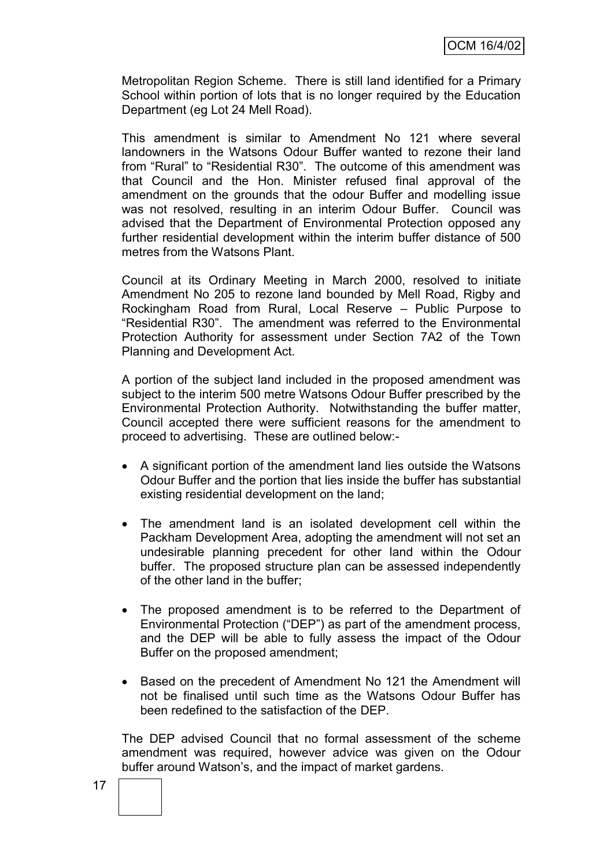Metropolitan Region Scheme. There is still land identified for a Primary School within portion of lots that is no longer required by the Education Department (eg Lot 24 Mell Road).

This amendment is similar to Amendment No 121 where several landowners in the Watsons Odour Buffer wanted to rezone their land from "Rural" to "Residential R30". The outcome of this amendment was that Council and the Hon. Minister refused final approval of the amendment on the grounds that the odour Buffer and modelling issue was not resolved, resulting in an interim Odour Buffer. Council was advised that the Department of Environmental Protection opposed any further residential development within the interim buffer distance of 500 metres from the Watsons Plant.

Council at its Ordinary Meeting in March 2000, resolved to initiate Amendment No 205 to rezone land bounded by Mell Road, Rigby and Rockingham Road from Rural, Local Reserve – Public Purpose to "Residential R30". The amendment was referred to the Environmental Protection Authority for assessment under Section 7A2 of the Town Planning and Development Act.

A portion of the subject land included in the proposed amendment was subject to the interim 500 metre Watsons Odour Buffer prescribed by the Environmental Protection Authority. Notwithstanding the buffer matter, Council accepted there were sufficient reasons for the amendment to proceed to advertising. These are outlined below:-

- A significant portion of the amendment land lies outside the Watsons Odour Buffer and the portion that lies inside the buffer has substantial existing residential development on the land;
- The amendment land is an isolated development cell within the Packham Development Area, adopting the amendment will not set an undesirable planning precedent for other land within the Odour buffer. The proposed structure plan can be assessed independently of the other land in the buffer;
- The proposed amendment is to be referred to the Department of Environmental Protection ("DEP") as part of the amendment process, and the DEP will be able to fully assess the impact of the Odour Buffer on the proposed amendment;
- Based on the precedent of Amendment No 121 the Amendment will not be finalised until such time as the Watsons Odour Buffer has been redefined to the satisfaction of the DEP.

The DEP advised Council that no formal assessment of the scheme amendment was required, however advice was given on the Odour buffer around Watson"s, and the impact of market gardens.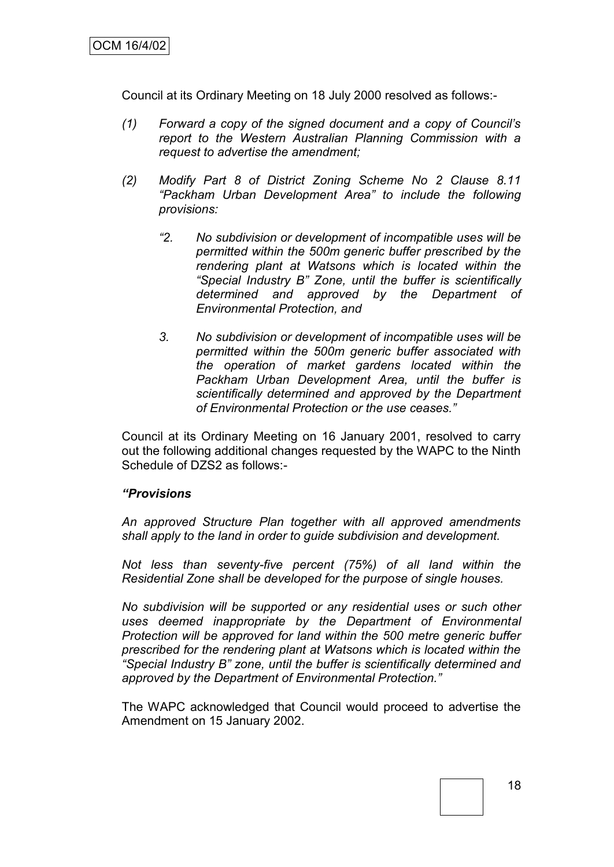Council at its Ordinary Meeting on 18 July 2000 resolved as follows:-

- *(1) Forward a copy of the signed document and a copy of Council"s report to the Western Australian Planning Commission with a request to advertise the amendment;*
- *(2) Modify Part 8 of District Zoning Scheme No 2 Clause 8.11 "Packham Urban Development Area" to include the following provisions:*
	- *"2. No subdivision or development of incompatible uses will be permitted within the 500m generic buffer prescribed by the rendering plant at Watsons which is located within the "Special Industry B" Zone, until the buffer is scientifically determined and approved by the Department of Environmental Protection, and*
	- *3. No subdivision or development of incompatible uses will be permitted within the 500m generic buffer associated with the operation of market gardens located within the Packham Urban Development Area, until the buffer is scientifically determined and approved by the Department of Environmental Protection or the use ceases."*

Council at its Ordinary Meeting on 16 January 2001, resolved to carry out the following additional changes requested by the WAPC to the Ninth Schedule of DZS2 as follows:-

#### *"Provisions*

*An approved Structure Plan together with all approved amendments shall apply to the land in order to guide subdivision and development.*

*Not less than seventy-five percent (75%) of all land within the Residential Zone shall be developed for the purpose of single houses.*

*No subdivision will be supported or any residential uses or such other uses deemed inappropriate by the Department of Environmental Protection will be approved for land within the 500 metre generic buffer prescribed for the rendering plant at Watsons which is located within the "Special Industry B" zone, until the buffer is scientifically determined and approved by the Department of Environmental Protection."*

The WAPC acknowledged that Council would proceed to advertise the Amendment on 15 January 2002.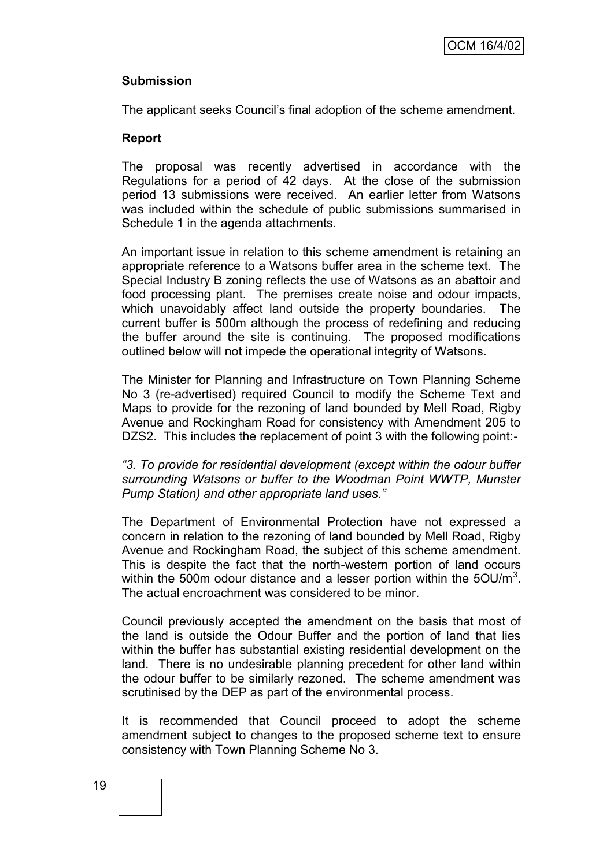#### **Submission**

The applicant seeks Council"s final adoption of the scheme amendment.

#### **Report**

The proposal was recently advertised in accordance with the Regulations for a period of 42 days. At the close of the submission period 13 submissions were received. An earlier letter from Watsons was included within the schedule of public submissions summarised in Schedule 1 in the agenda attachments.

An important issue in relation to this scheme amendment is retaining an appropriate reference to a Watsons buffer area in the scheme text. The Special Industry B zoning reflects the use of Watsons as an abattoir and food processing plant. The premises create noise and odour impacts, which unavoidably affect land outside the property boundaries. The current buffer is 500m although the process of redefining and reducing the buffer around the site is continuing. The proposed modifications outlined below will not impede the operational integrity of Watsons.

The Minister for Planning and Infrastructure on Town Planning Scheme No 3 (re-advertised) required Council to modify the Scheme Text and Maps to provide for the rezoning of land bounded by Mell Road, Rigby Avenue and Rockingham Road for consistency with Amendment 205 to DZS2. This includes the replacement of point 3 with the following point:-

*"3. To provide for residential development (except within the odour buffer surrounding Watsons or buffer to the Woodman Point WWTP, Munster Pump Station) and other appropriate land uses."*

The Department of Environmental Protection have not expressed a concern in relation to the rezoning of land bounded by Mell Road, Rigby Avenue and Rockingham Road, the subject of this scheme amendment. This is despite the fact that the north-western portion of land occurs within the 500m odour distance and a lesser portion within the 5OU/m<sup>3</sup>. The actual encroachment was considered to be minor.

Council previously accepted the amendment on the basis that most of the land is outside the Odour Buffer and the portion of land that lies within the buffer has substantial existing residential development on the land. There is no undesirable planning precedent for other land within the odour buffer to be similarly rezoned. The scheme amendment was scrutinised by the DEP as part of the environmental process.

It is recommended that Council proceed to adopt the scheme amendment subject to changes to the proposed scheme text to ensure consistency with Town Planning Scheme No 3.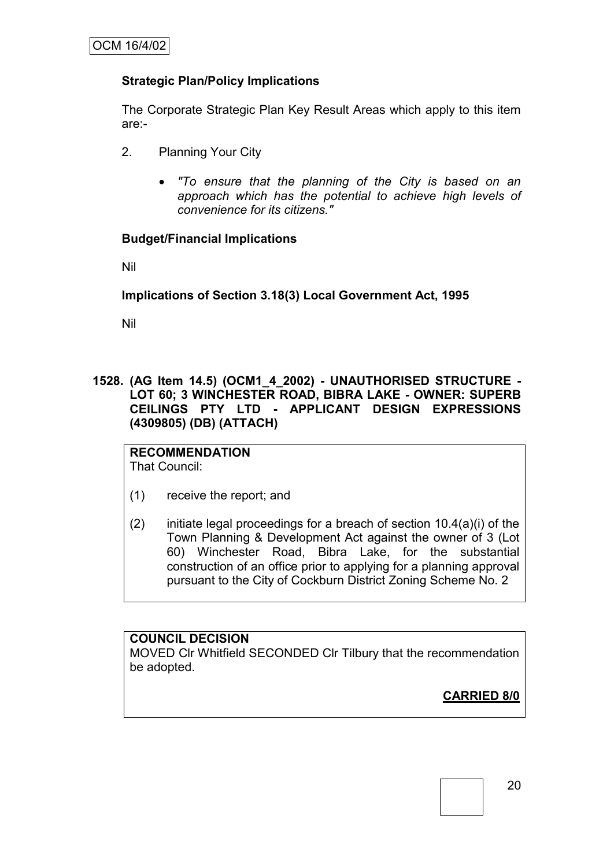# **Strategic Plan/Policy Implications**

The Corporate Strategic Plan Key Result Areas which apply to this item are:-

- 2. Planning Your City
	- *"To ensure that the planning of the City is based on an approach which has the potential to achieve high levels of convenience for its citizens."*

# **Budget/Financial Implications**

Nil

**Implications of Section 3.18(3) Local Government Act, 1995**

Nil

**1528. (AG Item 14.5) (OCM1\_4\_2002) - UNAUTHORISED STRUCTURE - LOT 60; 3 WINCHESTER ROAD, BIBRA LAKE - OWNER: SUPERB CEILINGS PTY LTD - APPLICANT DESIGN EXPRESSIONS (4309805) (DB) (ATTACH)**

**RECOMMENDATION** That Council:

- (1) receive the report; and
- (2) initiate legal proceedings for a breach of section  $10.4(a)(i)$  of the Town Planning & Development Act against the owner of 3 (Lot 60) Winchester Road, Bibra Lake, for the substantial construction of an office prior to applying for a planning approval pursuant to the City of Cockburn District Zoning Scheme No. 2

#### **COUNCIL DECISION**

MOVED Clr Whitfield SECONDED Clr Tilbury that the recommendation be adopted.

**CARRIED 8/0**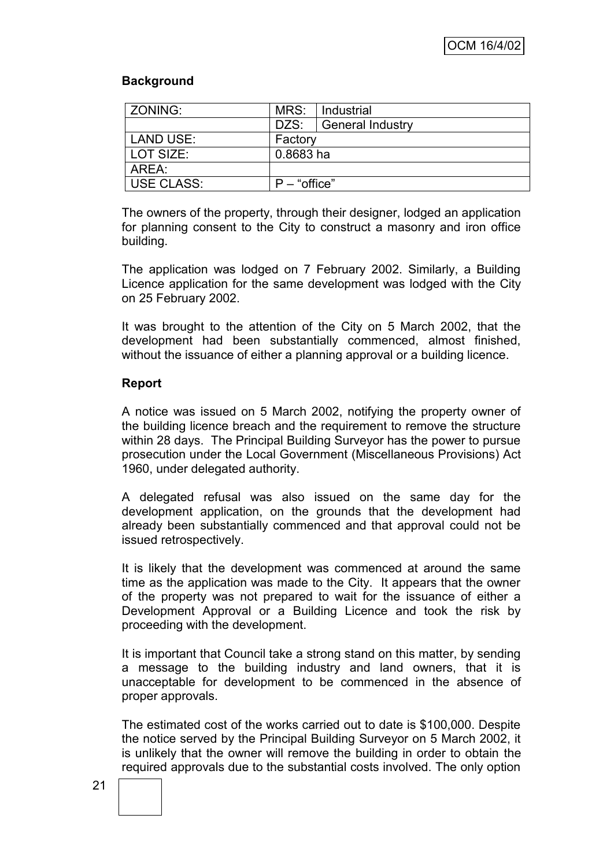#### **Background**

| ZONING:           | MRS:           | Industrial              |
|-------------------|----------------|-------------------------|
|                   | DZS:           | <b>General Industry</b> |
| LAND USE:         | Factory        |                         |
| LOT SIZE:         | 0.8683 ha      |                         |
| AREA:             |                |                         |
| <b>USE CLASS:</b> | $P$ – "office" |                         |

The owners of the property, through their designer, lodged an application for planning consent to the City to construct a masonry and iron office building.

The application was lodged on 7 February 2002. Similarly, a Building Licence application for the same development was lodged with the City on 25 February 2002.

It was brought to the attention of the City on 5 March 2002, that the development had been substantially commenced, almost finished, without the issuance of either a planning approval or a building licence.

#### **Report**

A notice was issued on 5 March 2002, notifying the property owner of the building licence breach and the requirement to remove the structure within 28 days. The Principal Building Surveyor has the power to pursue prosecution under the Local Government (Miscellaneous Provisions) Act 1960, under delegated authority.

A delegated refusal was also issued on the same day for the development application, on the grounds that the development had already been substantially commenced and that approval could not be issued retrospectively.

It is likely that the development was commenced at around the same time as the application was made to the City. It appears that the owner of the property was not prepared to wait for the issuance of either a Development Approval or a Building Licence and took the risk by proceeding with the development.

It is important that Council take a strong stand on this matter, by sending a message to the building industry and land owners, that it is unacceptable for development to be commenced in the absence of proper approvals.

The estimated cost of the works carried out to date is \$100,000. Despite the notice served by the Principal Building Surveyor on 5 March 2002, it is unlikely that the owner will remove the building in order to obtain the required approvals due to the substantial costs involved. The only option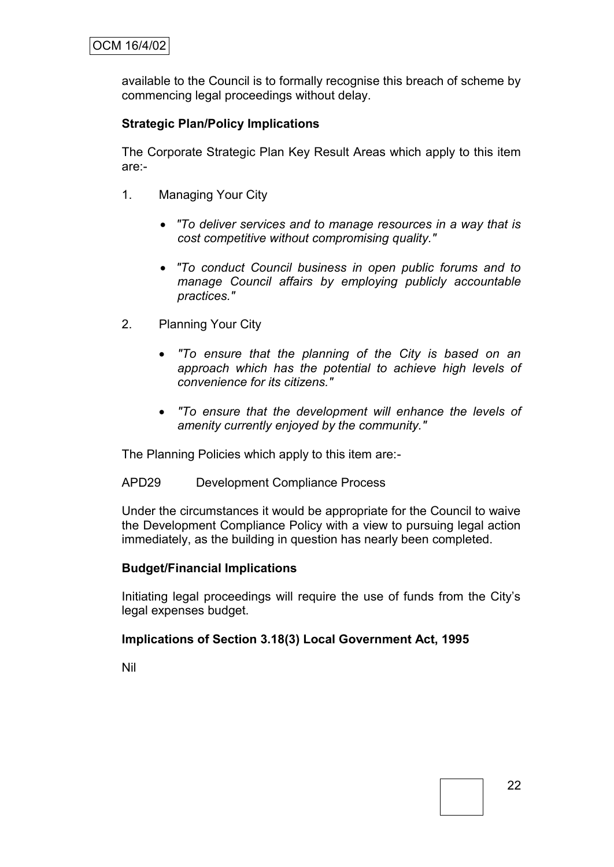available to the Council is to formally recognise this breach of scheme by commencing legal proceedings without delay.

# **Strategic Plan/Policy Implications**

The Corporate Strategic Plan Key Result Areas which apply to this item are:-

- 1. Managing Your City
	- *"To deliver services and to manage resources in a way that is cost competitive without compromising quality."*
	- *"To conduct Council business in open public forums and to manage Council affairs by employing publicly accountable practices."*
- 2. Planning Your City
	- *"To ensure that the planning of the City is based on an approach which has the potential to achieve high levels of convenience for its citizens."*
	- *"To ensure that the development will enhance the levels of amenity currently enjoyed by the community."*

The Planning Policies which apply to this item are:-

APD29 Development Compliance Process

Under the circumstances it would be appropriate for the Council to waive the Development Compliance Policy with a view to pursuing legal action immediately, as the building in question has nearly been completed.

#### **Budget/Financial Implications**

Initiating legal proceedings will require the use of funds from the City"s legal expenses budget.

#### **Implications of Section 3.18(3) Local Government Act, 1995**

Nil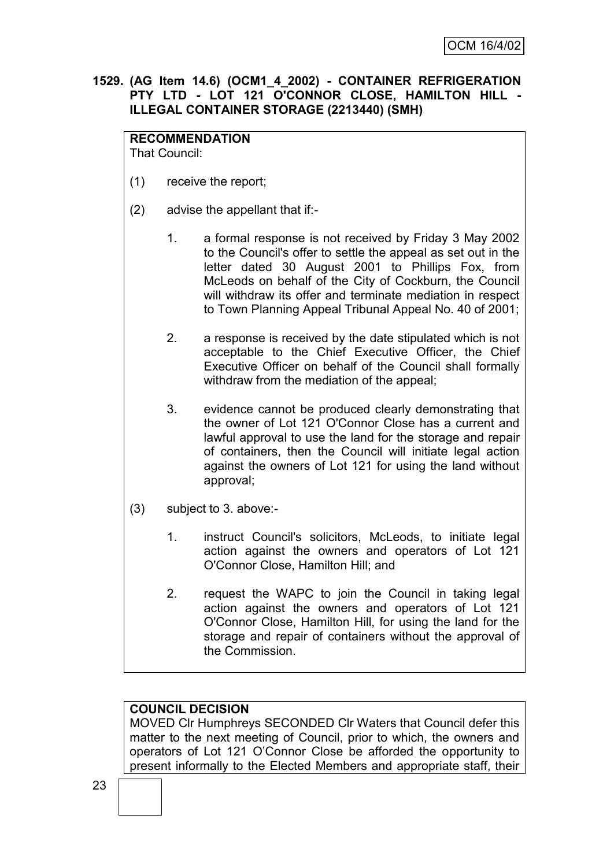#### **1529. (AG Item 14.6) (OCM1\_4\_2002) - CONTAINER REFRIGERATION PTY LTD - LOT 121 O'CONNOR CLOSE, HAMILTON HILL - ILLEGAL CONTAINER STORAGE (2213440) (SMH)**

## **RECOMMENDATION**

That Council:

- (1) receive the report;
- (2) advise the appellant that if:-
	- 1. a formal response is not received by Friday 3 May 2002 to the Council's offer to settle the appeal as set out in the letter dated 30 August 2001 to Phillips Fox, from McLeods on behalf of the City of Cockburn, the Council will withdraw its offer and terminate mediation in respect to Town Planning Appeal Tribunal Appeal No. 40 of 2001;
	- 2. a response is received by the date stipulated which is not acceptable to the Chief Executive Officer, the Chief Executive Officer on behalf of the Council shall formally withdraw from the mediation of the appeal;
	- 3. evidence cannot be produced clearly demonstrating that the owner of Lot 121 O'Connor Close has a current and lawful approval to use the land for the storage and repair of containers, then the Council will initiate legal action against the owners of Lot 121 for using the land without approval;
- (3) subject to 3. above:-
	- 1. instruct Council's solicitors, McLeods, to initiate legal action against the owners and operators of Lot 121 O'Connor Close, Hamilton Hill; and
	- 2. request the WAPC to join the Council in taking legal action against the owners and operators of Lot 121 O'Connor Close, Hamilton Hill, for using the land for the storage and repair of containers without the approval of the Commission.

#### **COUNCIL DECISION**

MOVED Clr Humphreys SECONDED Clr Waters that Council defer this matter to the next meeting of Council, prior to which, the owners and operators of Lot 121 O"Connor Close be afforded the opportunity to present informally to the Elected Members and appropriate staff, their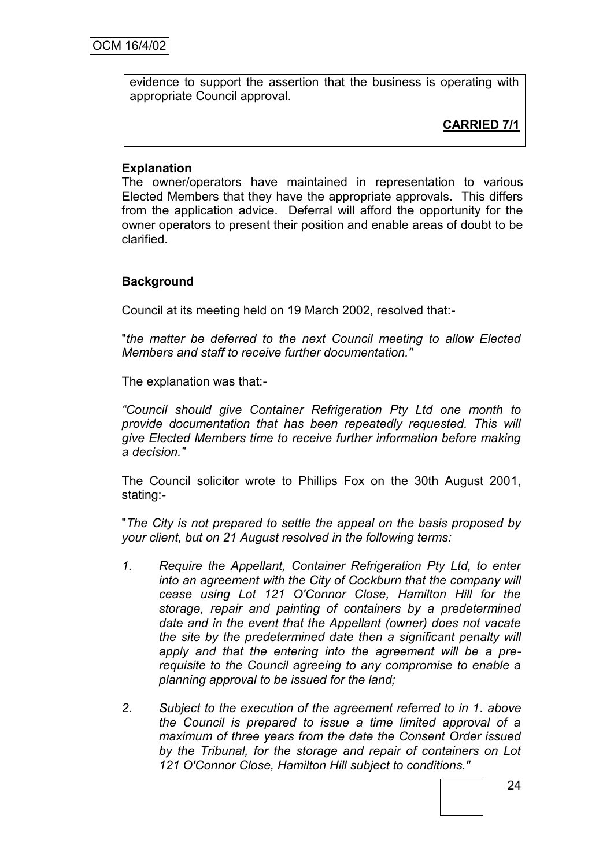evidence to support the assertion that the business is operating with appropriate Council approval.

**CARRIED 7/1**

# **Explanation**

The owner/operators have maintained in representation to various Elected Members that they have the appropriate approvals. This differs from the application advice. Deferral will afford the opportunity for the owner operators to present their position and enable areas of doubt to be clarified.

# **Background**

Council at its meeting held on 19 March 2002, resolved that:-

"*the matter be deferred to the next Council meeting to allow Elected Members and staff to receive further documentation."*

The explanation was that:-

*"Council should give Container Refrigeration Pty Ltd one month to provide documentation that has been repeatedly requested. This will give Elected Members time to receive further information before making a decision."*

The Council solicitor wrote to Phillips Fox on the 30th August 2001, stating:-

"*The City is not prepared to settle the appeal on the basis proposed by your client, but on 21 August resolved in the following terms:*

- *1. Require the Appellant, Container Refrigeration Pty Ltd, to enter into an agreement with the City of Cockburn that the company will cease using Lot 121 O'Connor Close, Hamilton Hill for the storage, repair and painting of containers by a predetermined date and in the event that the Appellant (owner) does not vacate the site by the predetermined date then a significant penalty will apply and that the entering into the agreement will be a prerequisite to the Council agreeing to any compromise to enable a planning approval to be issued for the land;*
- *2. Subject to the execution of the agreement referred to in 1. above the Council is prepared to issue a time limited approval of a maximum of three years from the date the Consent Order issued by the Tribunal, for the storage and repair of containers on Lot 121 O'Connor Close, Hamilton Hill subject to conditions."*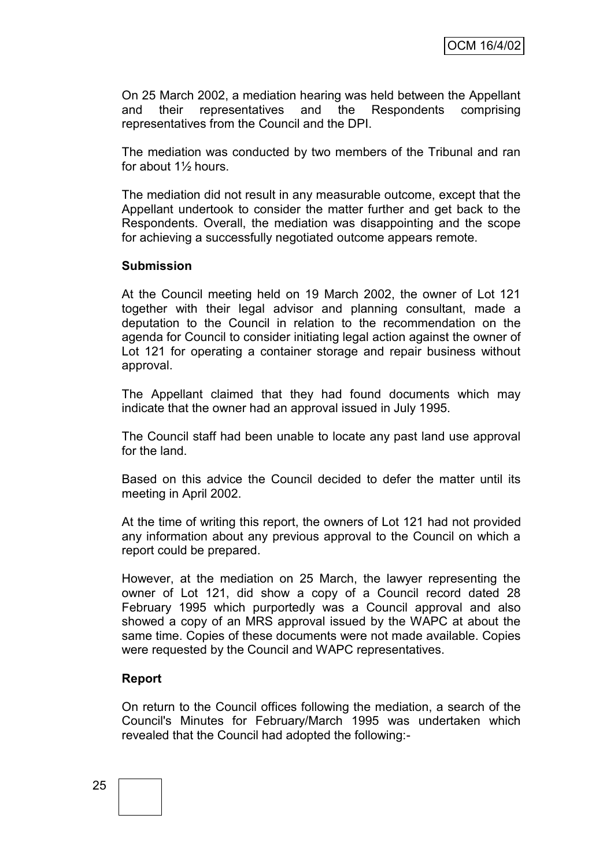On 25 March 2002, a mediation hearing was held between the Appellant and their representatives and the Respondents comprising representatives from the Council and the DPI.

The mediation was conducted by two members of the Tribunal and ran for about 1½ hours.

The mediation did not result in any measurable outcome, except that the Appellant undertook to consider the matter further and get back to the Respondents. Overall, the mediation was disappointing and the scope for achieving a successfully negotiated outcome appears remote.

#### **Submission**

At the Council meeting held on 19 March 2002, the owner of Lot 121 together with their legal advisor and planning consultant, made a deputation to the Council in relation to the recommendation on the agenda for Council to consider initiating legal action against the owner of Lot 121 for operating a container storage and repair business without approval.

The Appellant claimed that they had found documents which may indicate that the owner had an approval issued in July 1995.

The Council staff had been unable to locate any past land use approval for the land.

Based on this advice the Council decided to defer the matter until its meeting in April 2002.

At the time of writing this report, the owners of Lot 121 had not provided any information about any previous approval to the Council on which a report could be prepared.

However, at the mediation on 25 March, the lawyer representing the owner of Lot 121, did show a copy of a Council record dated 28 February 1995 which purportedly was a Council approval and also showed a copy of an MRS approval issued by the WAPC at about the same time. Copies of these documents were not made available. Copies were requested by the Council and WAPC representatives.

#### **Report**

On return to the Council offices following the mediation, a search of the Council's Minutes for February/March 1995 was undertaken which revealed that the Council had adopted the following:-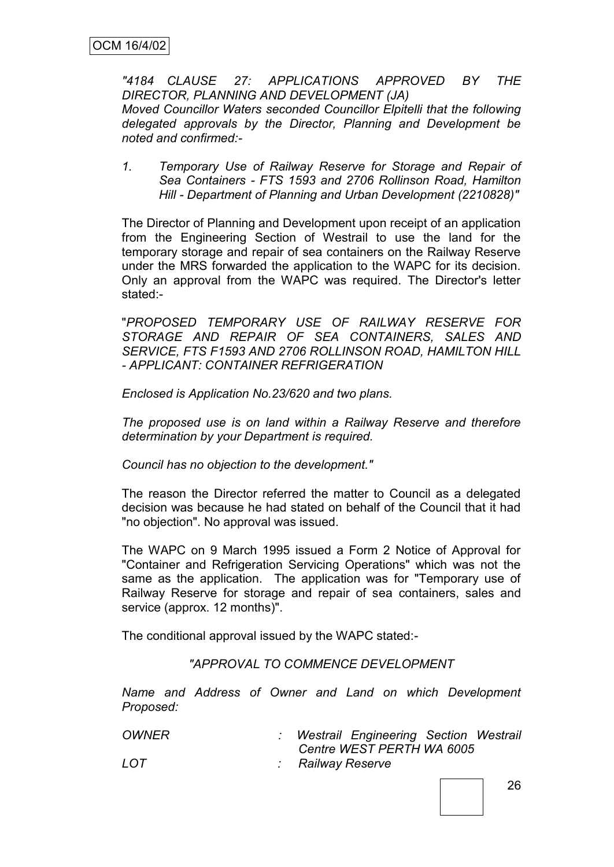*"4184 CLAUSE 27: APPLICATIONS APPROVED BY THE DIRECTOR, PLANNING AND DEVELOPMENT (JA) Moved Councillor Waters seconded Councillor Elpitelli that the following delegated approvals by the Director, Planning and Development be noted and confirmed:-*

*1. Temporary Use of Railway Reserve for Storage and Repair of Sea Containers - FTS 1593 and 2706 Rollinson Road, Hamilton Hill - Department of Planning and Urban Development (2210828)"*

The Director of Planning and Development upon receipt of an application from the Engineering Section of Westrail to use the land for the temporary storage and repair of sea containers on the Railway Reserve under the MRS forwarded the application to the WAPC for its decision. Only an approval from the WAPC was required. The Director's letter stated:-

"*PROPOSED TEMPORARY USE OF RAILWAY RESERVE FOR STORAGE AND REPAIR OF SEA CONTAINERS, SALES AND SERVICE, FTS F1593 AND 2706 ROLLINSON ROAD, HAMILTON HILL - APPLICANT: CONTAINER REFRIGERATION*

*Enclosed is Application No.23/620 and two plans.*

*The proposed use is on land within a Railway Reserve and therefore determination by your Department is required.*

*Council has no objection to the development."*

The reason the Director referred the matter to Council as a delegated decision was because he had stated on behalf of the Council that it had "no objection". No approval was issued.

The WAPC on 9 March 1995 issued a Form 2 Notice of Approval for "Container and Refrigeration Servicing Operations" which was not the same as the application. The application was for "Temporary use of Railway Reserve for storage and repair of sea containers, sales and service (approx. 12 months)".

The conditional approval issued by the WAPC stated:-

*"APPROVAL TO COMMENCE DEVELOPMENT*

*Name and Address of Owner and Land on which Development Proposed:*

| <b>OWNER</b> | : Westrail Engineering Section Westrail |  |
|--------------|-----------------------------------------|--|
|              | Centre WEST PERTH WA 6005               |  |
| LOT          | : Railway Reserve                       |  |
|              |                                         |  |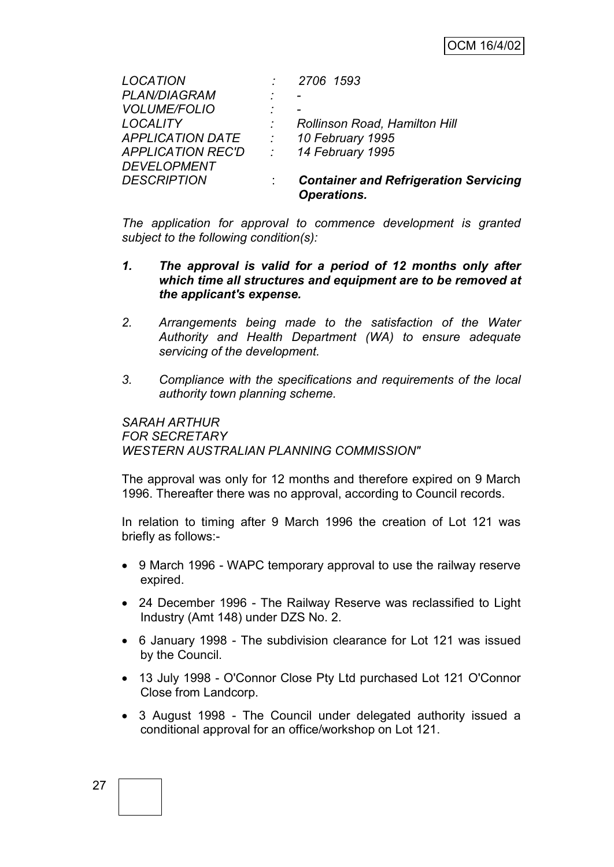| <b>LOCATION</b>          |                            | 2706 1593                                                          |
|--------------------------|----------------------------|--------------------------------------------------------------------|
| <b>PLAN/DIAGRAM</b>      | ٠                          |                                                                    |
| <b>VOLUME/FOLIO</b>      | ٠                          |                                                                    |
| <b>LOCALITY</b>          |                            | <b>Rollinson Road, Hamilton Hill</b>                               |
| <b>APPLICATION DATE</b>  | $\mathcal{L}^{\text{max}}$ | 10 February 1995                                                   |
| <b>APPLICATION REC'D</b> | $\sim 10^{-10}$            | 14 February 1995                                                   |
| <b>DEVELOPMENT</b>       |                            |                                                                    |
| <b>DESCRIPTION</b>       |                            | <b>Container and Refrigeration Servicing</b><br><b>Operations.</b> |

*The application for approval to commence development is granted subject to the following condition(s):*

- *1. The approval is valid for a period of 12 months only after which time all structures and equipment are to be removed at the applicant's expense.*
- *2. Arrangements being made to the satisfaction of the Water Authority and Health Department (WA) to ensure adequate servicing of the development.*
- *3. Compliance with the specifications and requirements of the local authority town planning scheme.*

*SARAH ARTHUR FOR SECRETARY WESTERN AUSTRALIAN PLANNING COMMISSION"*

The approval was only for 12 months and therefore expired on 9 March 1996. Thereafter there was no approval, according to Council records.

In relation to timing after 9 March 1996 the creation of Lot 121 was briefly as follows:-

- 9 March 1996 WAPC temporary approval to use the railway reserve expired.
- 24 December 1996 The Railway Reserve was reclassified to Light Industry (Amt 148) under DZS No. 2.
- 6 January 1998 The subdivision clearance for Lot 121 was issued by the Council.
- 13 July 1998 O'Connor Close Pty Ltd purchased Lot 121 O'Connor Close from Landcorp.
- 3 August 1998 The Council under delegated authority issued a conditional approval for an office/workshop on Lot 121.

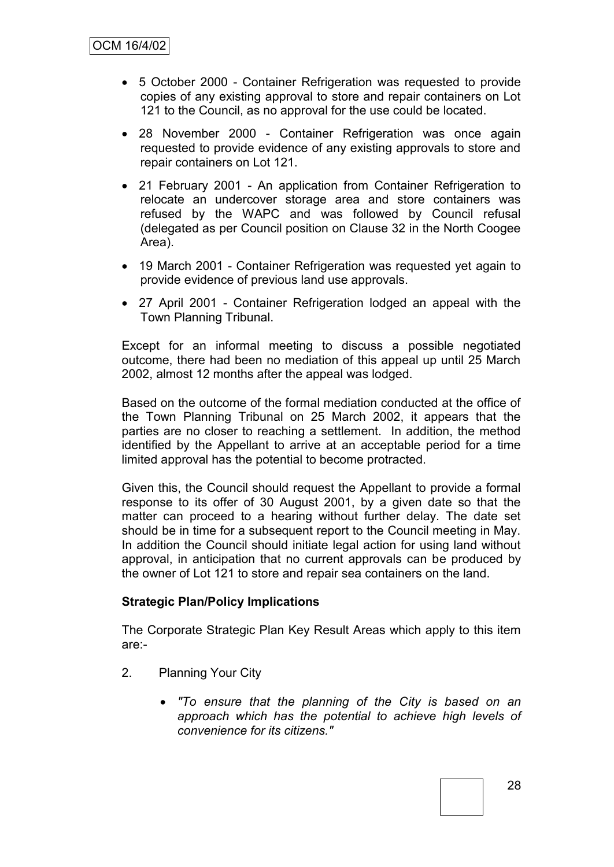- 5 October 2000 Container Refrigeration was requested to provide copies of any existing approval to store and repair containers on Lot 121 to the Council, as no approval for the use could be located.
- 28 November 2000 Container Refrigeration was once again requested to provide evidence of any existing approvals to store and repair containers on Lot 121.
- 21 February 2001 An application from Container Refrigeration to relocate an undercover storage area and store containers was refused by the WAPC and was followed by Council refusal (delegated as per Council position on Clause 32 in the North Coogee Area).
- 19 March 2001 Container Refrigeration was requested yet again to provide evidence of previous land use approvals.
- 27 April 2001 Container Refrigeration lodged an appeal with the Town Planning Tribunal.

Except for an informal meeting to discuss a possible negotiated outcome, there had been no mediation of this appeal up until 25 March 2002, almost 12 months after the appeal was lodged.

Based on the outcome of the formal mediation conducted at the office of the Town Planning Tribunal on 25 March 2002, it appears that the parties are no closer to reaching a settlement. In addition, the method identified by the Appellant to arrive at an acceptable period for a time limited approval has the potential to become protracted.

Given this, the Council should request the Appellant to provide a formal response to its offer of 30 August 2001, by a given date so that the matter can proceed to a hearing without further delay. The date set should be in time for a subsequent report to the Council meeting in May. In addition the Council should initiate legal action for using land without approval, in anticipation that no current approvals can be produced by the owner of Lot 121 to store and repair sea containers on the land.

#### **Strategic Plan/Policy Implications**

The Corporate Strategic Plan Key Result Areas which apply to this item are:-

- 2. Planning Your City
	- *"To ensure that the planning of the City is based on an approach which has the potential to achieve high levels of convenience for its citizens."*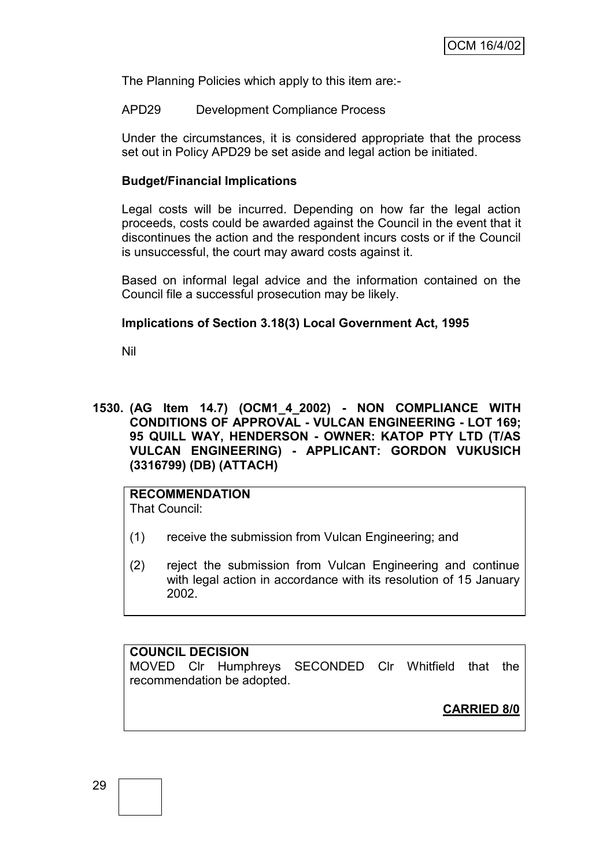The Planning Policies which apply to this item are:-

APD29 Development Compliance Process

Under the circumstances, it is considered appropriate that the process set out in Policy APD29 be set aside and legal action be initiated.

#### **Budget/Financial Implications**

Legal costs will be incurred. Depending on how far the legal action proceeds, costs could be awarded against the Council in the event that it discontinues the action and the respondent incurs costs or if the Council is unsuccessful, the court may award costs against it.

Based on informal legal advice and the information contained on the Council file a successful prosecution may be likely.

#### **Implications of Section 3.18(3) Local Government Act, 1995**

Nil

**1530. (AG Item 14.7) (OCM1\_4\_2002) - NON COMPLIANCE WITH CONDITIONS OF APPROVAL - VULCAN ENGINEERING - LOT 169; 95 QUILL WAY, HENDERSON - OWNER: KATOP PTY LTD (T/AS VULCAN ENGINEERING) - APPLICANT: GORDON VUKUSICH (3316799) (DB) (ATTACH)**

# **RECOMMENDATION**

That Council:

- (1) receive the submission from Vulcan Engineering; and
- (2) reject the submission from Vulcan Engineering and continue with legal action in accordance with its resolution of 15 January 2002.

**COUNCIL DECISION** MOVED Clr Humphreys SECONDED Clr Whitfield that the recommendation be adopted.

**CARRIED 8/0**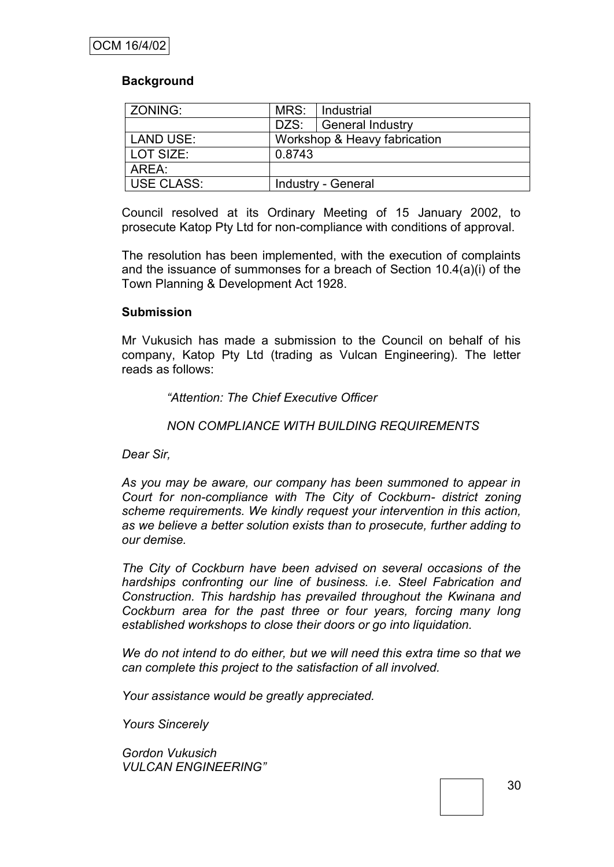#### **Background**

| ZONING:           | MRS:                         | Industrial              |
|-------------------|------------------------------|-------------------------|
|                   | DZS:                         | <b>General Industry</b> |
| <b>LAND USE:</b>  | Workshop & Heavy fabrication |                         |
| LOT SIZE:         | 0.8743                       |                         |
| AREA:             |                              |                         |
| <b>USE CLASS:</b> | Industry - General           |                         |

Council resolved at its Ordinary Meeting of 15 January 2002, to prosecute Katop Pty Ltd for non-compliance with conditions of approval.

The resolution has been implemented, with the execution of complaints and the issuance of summonses for a breach of Section 10.4(a)(i) of the Town Planning & Development Act 1928.

#### **Submission**

Mr Vukusich has made a submission to the Council on behalf of his company, Katop Pty Ltd (trading as Vulcan Engineering). The letter reads as follows:

#### *"Attention: The Chief Executive Officer*

#### *NON COMPLIANCE WITH BUILDING REQUIREMENTS*

*Dear Sir,*

*As you may be aware, our company has been summoned to appear in Court for non-compliance with The City of Cockburn- district zoning scheme requirements. We kindly request your intervention in this action, as we believe a better solution exists than to prosecute, further adding to our demise.*

*The City of Cockburn have been advised on several occasions of the hardships confronting our line of business. i.e. Steel Fabrication and Construction. This hardship has prevailed throughout the Kwinana and Cockburn area for the past three or four years, forcing many long established workshops to close their doors or go into liquidation.*

*We do not intend to do either, but we will need this extra time so that we can complete this project to the satisfaction of all involved.*

*Your assistance would be greatly appreciated.*

*Yours Sincerely*

*Gordon Vukusich VULCAN ENGINEERING"*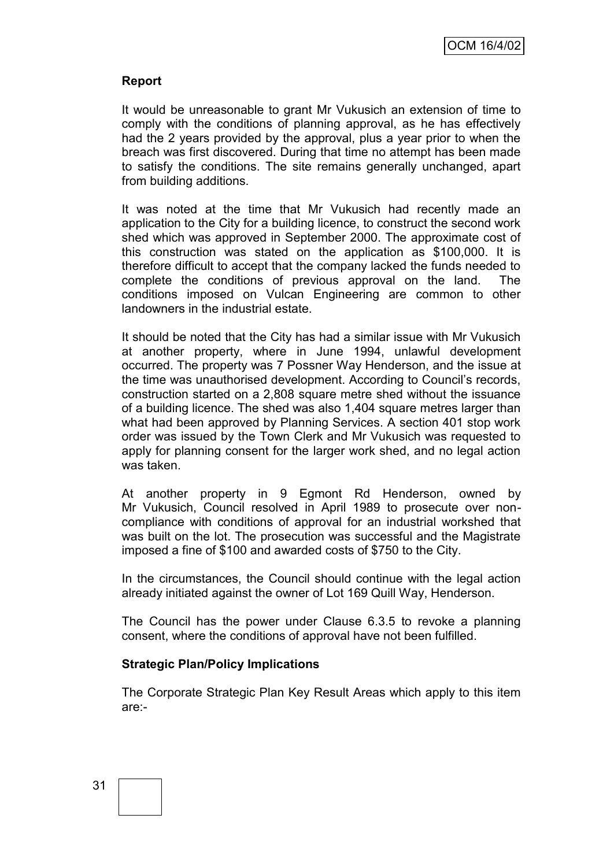#### **Report**

It would be unreasonable to grant Mr Vukusich an extension of time to comply with the conditions of planning approval, as he has effectively had the 2 years provided by the approval, plus a year prior to when the breach was first discovered. During that time no attempt has been made to satisfy the conditions. The site remains generally unchanged, apart from building additions.

It was noted at the time that Mr Vukusich had recently made an application to the City for a building licence, to construct the second work shed which was approved in September 2000. The approximate cost of this construction was stated on the application as \$100,000. It is therefore difficult to accept that the company lacked the funds needed to complete the conditions of previous approval on the land. The conditions imposed on Vulcan Engineering are common to other landowners in the industrial estate.

It should be noted that the City has had a similar issue with Mr Vukusich at another property, where in June 1994, unlawful development occurred. The property was 7 Possner Way Henderson, and the issue at the time was unauthorised development. According to Council"s records, construction started on a 2,808 square metre shed without the issuance of a building licence. The shed was also 1,404 square metres larger than what had been approved by Planning Services. A section 401 stop work order was issued by the Town Clerk and Mr Vukusich was requested to apply for planning consent for the larger work shed, and no legal action was taken.

At another property in 9 Egmont Rd Henderson, owned by Mr Vukusich, Council resolved in April 1989 to prosecute over noncompliance with conditions of approval for an industrial workshed that was built on the lot. The prosecution was successful and the Magistrate imposed a fine of \$100 and awarded costs of \$750 to the City.

In the circumstances, the Council should continue with the legal action already initiated against the owner of Lot 169 Quill Way, Henderson.

The Council has the power under Clause 6.3.5 to revoke a planning consent, where the conditions of approval have not been fulfilled.

#### **Strategic Plan/Policy Implications**

The Corporate Strategic Plan Key Result Areas which apply to this item are:-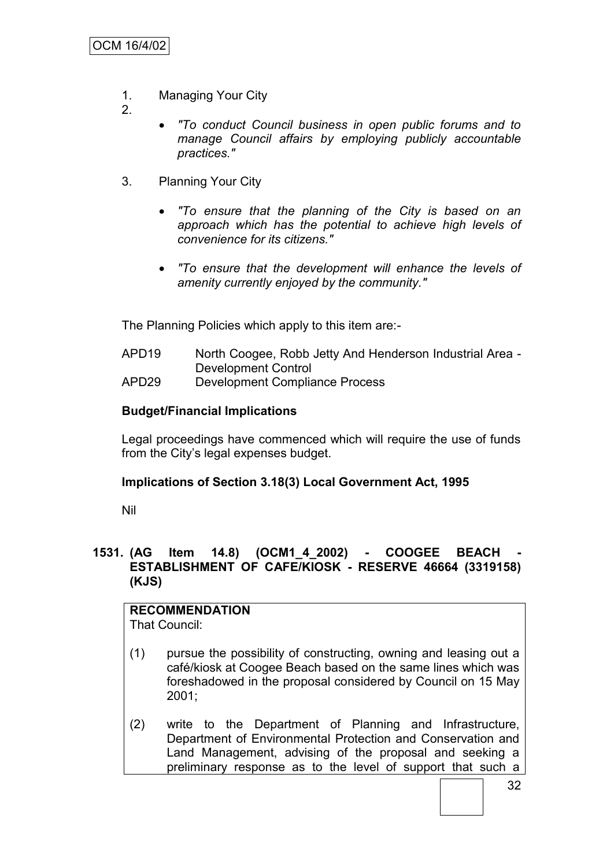- 1. Managing Your City
- 2.
- *"To conduct Council business in open public forums and to manage Council affairs by employing publicly accountable practices."*
- 3. Planning Your City
	- *"To ensure that the planning of the City is based on an approach which has the potential to achieve high levels of convenience for its citizens."*
	- *"To ensure that the development will enhance the levels of amenity currently enjoyed by the community."*

The Planning Policies which apply to this item are:-

- APD19 North Coogee, Robb Jetty And Henderson Industrial Area Development Control
- APD29 Development Compliance Process

# **Budget/Financial Implications**

Legal proceedings have commenced which will require the use of funds from the City"s legal expenses budget.

#### **Implications of Section 3.18(3) Local Government Act, 1995**

Nil

#### **1531. (AG Item 14.8) (OCM1\_4\_2002) - COOGEE BEACH - ESTABLISHMENT OF CAFE/KIOSK - RESERVE 46664 (3319158) (KJS)**

# **RECOMMENDATION**

That Council:

- (1) pursue the possibility of constructing, owning and leasing out a café/kiosk at Coogee Beach based on the same lines which was foreshadowed in the proposal considered by Council on 15 May 2001;
- (2) write to the Department of Planning and Infrastructure, Department of Environmental Protection and Conservation and Land Management, advising of the proposal and seeking a preliminary response as to the level of support that such a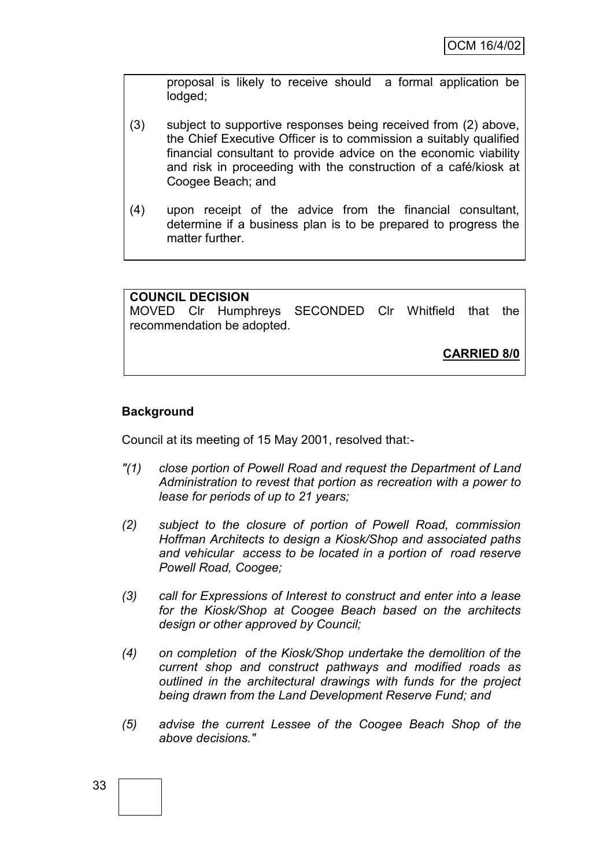proposal is likely to receive should a formal application be lodged;

- (3) subject to supportive responses being received from (2) above, the Chief Executive Officer is to commission a suitably qualified financial consultant to provide advice on the economic viability and risk in proceeding with the construction of a café/kiosk at Coogee Beach; and
- (4) upon receipt of the advice from the financial consultant, determine if a business plan is to be prepared to progress the matter further.

| <b>COUNCIL DECISION</b> |                            |                                                     |  |                    |  |
|-------------------------|----------------------------|-----------------------------------------------------|--|--------------------|--|
|                         |                            | MOVED CIr Humphreys SECONDED CIr Whitfield that the |  |                    |  |
|                         | recommendation be adopted. |                                                     |  |                    |  |
|                         |                            |                                                     |  |                    |  |
|                         |                            |                                                     |  | <b>CARRIED 8/0</b> |  |
|                         |                            |                                                     |  |                    |  |

# **Background**

Council at its meeting of 15 May 2001, resolved that:-

- *"(1) close portion of Powell Road and request the Department of Land Administration to revest that portion as recreation with a power to lease for periods of up to 21 years;*
- *(2) subject to the closure of portion of Powell Road, commission Hoffman Architects to design a Kiosk/Shop and associated paths and vehicular access to be located in a portion of road reserve Powell Road, Coogee;*
- *(3) call for Expressions of Interest to construct and enter into a lease for the Kiosk/Shop at Coogee Beach based on the architects design or other approved by Council;*
- *(4) on completion of the Kiosk/Shop undertake the demolition of the current shop and construct pathways and modified roads as outlined in the architectural drawings with funds for the project being drawn from the Land Development Reserve Fund; and*
- *(5) advise the current Lessee of the Coogee Beach Shop of the above decisions."*

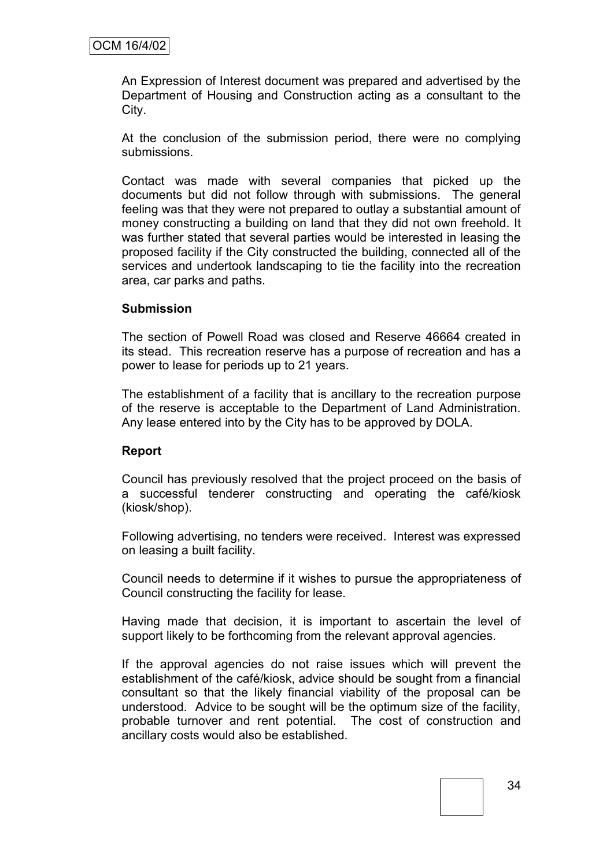An Expression of Interest document was prepared and advertised by the Department of Housing and Construction acting as a consultant to the City.

At the conclusion of the submission period, there were no complying submissions.

Contact was made with several companies that picked up the documents but did not follow through with submissions. The general feeling was that they were not prepared to outlay a substantial amount of money constructing a building on land that they did not own freehold. It was further stated that several parties would be interested in leasing the proposed facility if the City constructed the building, connected all of the services and undertook landscaping to tie the facility into the recreation area, car parks and paths.

### **Submission**

The section of Powell Road was closed and Reserve 46664 created in its stead. This recreation reserve has a purpose of recreation and has a power to lease for periods up to 21 years.

The establishment of a facility that is ancillary to the recreation purpose of the reserve is acceptable to the Department of Land Administration. Any lease entered into by the City has to be approved by DOLA.

#### **Report**

Council has previously resolved that the project proceed on the basis of a successful tenderer constructing and operating the café/kiosk (kiosk/shop).

Following advertising, no tenders were received. Interest was expressed on leasing a built facility.

Council needs to determine if it wishes to pursue the appropriateness of Council constructing the facility for lease.

Having made that decision, it is important to ascertain the level of support likely to be forthcoming from the relevant approval agencies.

If the approval agencies do not raise issues which will prevent the establishment of the café/kiosk, advice should be sought from a financial consultant so that the likely financial viability of the proposal can be understood. Advice to be sought will be the optimum size of the facility, probable turnover and rent potential. The cost of construction and ancillary costs would also be established.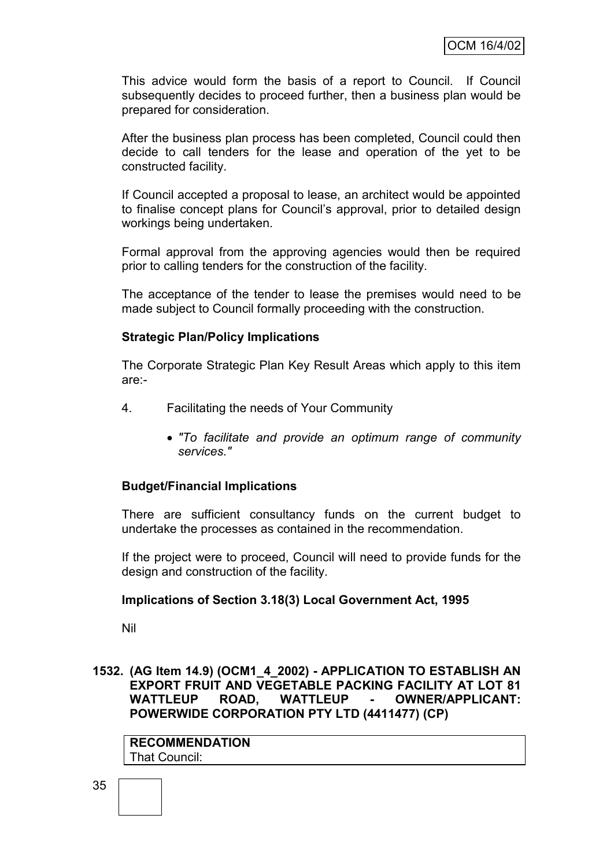This advice would form the basis of a report to Council. If Council subsequently decides to proceed further, then a business plan would be prepared for consideration.

After the business plan process has been completed, Council could then decide to call tenders for the lease and operation of the yet to be constructed facility.

If Council accepted a proposal to lease, an architect would be appointed to finalise concept plans for Council"s approval, prior to detailed design workings being undertaken.

Formal approval from the approving agencies would then be required prior to calling tenders for the construction of the facility.

The acceptance of the tender to lease the premises would need to be made subject to Council formally proceeding with the construction.

### **Strategic Plan/Policy Implications**

The Corporate Strategic Plan Key Result Areas which apply to this item are:-

- 4. Facilitating the needs of Your Community
	- *"To facilitate and provide an optimum range of community services."*

# **Budget/Financial Implications**

There are sufficient consultancy funds on the current budget to undertake the processes as contained in the recommendation.

If the project were to proceed, Council will need to provide funds for the design and construction of the facility.

#### **Implications of Section 3.18(3) Local Government Act, 1995**

Nil

### **1532. (AG Item 14.9) (OCM1\_4\_2002) - APPLICATION TO ESTABLISH AN EXPORT FRUIT AND VEGETABLE PACKING FACILITY AT LOT 81 WATTLEUP ROAD, WATTLEUP - OWNER/APPLICANT: POWERWIDE CORPORATION PTY LTD (4411477) (CP)**

**RECOMMENDATION** That Council: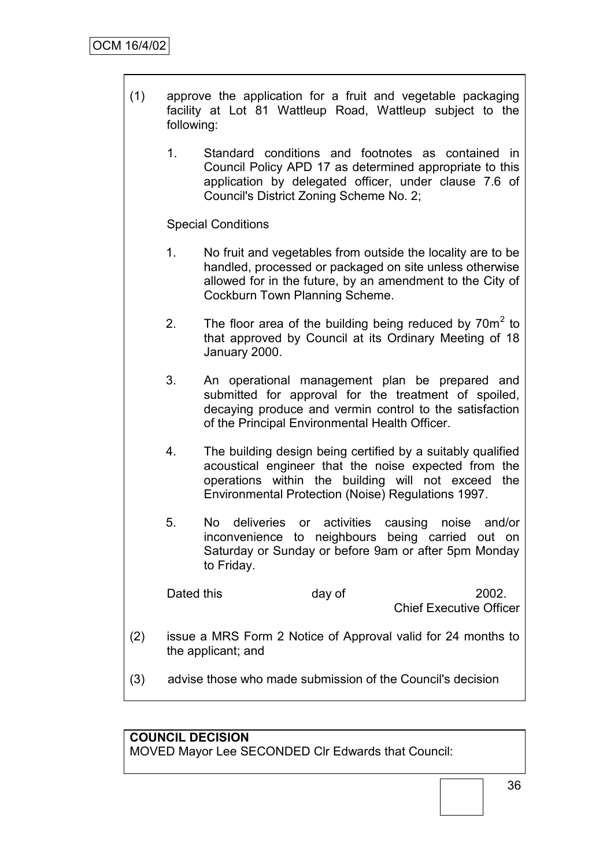- (1) approve the application for a fruit and vegetable packaging facility at Lot 81 Wattleup Road, Wattleup subject to the following:
	- 1. Standard conditions and footnotes as contained in Council Policy APD 17 as determined appropriate to this application by delegated officer, under clause 7.6 of Council's District Zoning Scheme No. 2;

Special Conditions

- 1. No fruit and vegetables from outside the locality are to be handled, processed or packaged on site unless otherwise allowed for in the future, by an amendment to the City of Cockburn Town Planning Scheme.
- 2. The floor area of the building being reduced by  $70m^2$  to that approved by Council at its Ordinary Meeting of 18 January 2000.
- 3. An operational management plan be prepared and submitted for approval for the treatment of spoiled, decaying produce and vermin control to the satisfaction of the Principal Environmental Health Officer.
- 4. The building design being certified by a suitably qualified acoustical engineer that the noise expected from the operations within the building will not exceed the Environmental Protection (Noise) Regulations 1997.
- 5. No deliveries or activities causing noise and/or inconvenience to neighbours being carried out on Saturday or Sunday or before 9am or after 5pm Monday to Friday.

Dated this day of 2002. Chief Executive Officer

- (2) issue a MRS Form 2 Notice of Approval valid for 24 months to the applicant; and
- (3) advise those who made submission of the Council's decision

# **COUNCIL DECISION**

MOVED Mayor Lee SECONDED Clr Edwards that Council: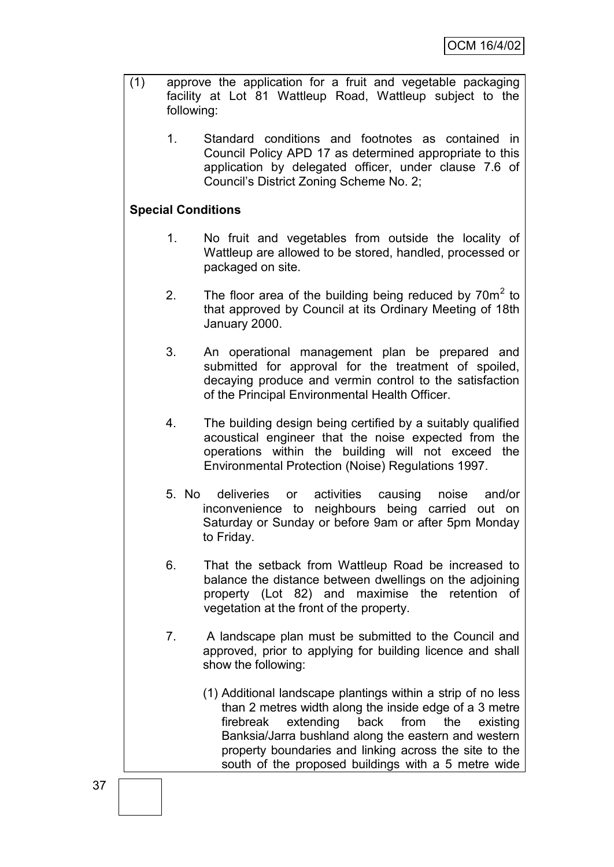- (1) approve the application for a fruit and vegetable packaging facility at Lot 81 Wattleup Road, Wattleup subject to the following:
	- 1. Standard conditions and footnotes as contained in Council Policy APD 17 as determined appropriate to this application by delegated officer, under clause 7.6 of Council"s District Zoning Scheme No. 2;

# **Special Conditions**

- 1. No fruit and vegetables from outside the locality of Wattleup are allowed to be stored, handled, processed or packaged on site.
- 2. The floor area of the building being reduced by  $70m^2$  to that approved by Council at its Ordinary Meeting of 18th January 2000.
- 3. An operational management plan be prepared and submitted for approval for the treatment of spoiled, decaying produce and vermin control to the satisfaction of the Principal Environmental Health Officer.
- 4. The building design being certified by a suitably qualified acoustical engineer that the noise expected from the operations within the building will not exceed the Environmental Protection (Noise) Regulations 1997.
- 5. No deliveries or activities causing noise and/or inconvenience to neighbours being carried out on Saturday or Sunday or before 9am or after 5pm Monday to Friday.
- 6. That the setback from Wattleup Road be increased to balance the distance between dwellings on the adjoining property (Lot 82) and maximise the retention of vegetation at the front of the property.
- 7. A landscape plan must be submitted to the Council and approved, prior to applying for building licence and shall show the following:
	- (1) Additional landscape plantings within a strip of no less than 2 metres width along the inside edge of a 3 metre firebreak extending back from the existing Banksia/Jarra bushland along the eastern and western property boundaries and linking across the site to the south of the proposed buildings with a 5 metre wide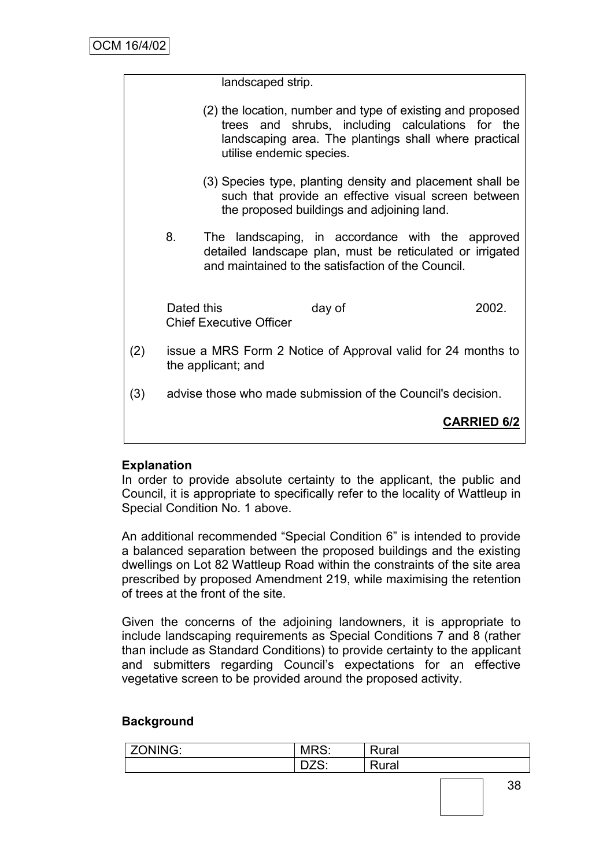| landscaped strip. |  |
|-------------------|--|
|-------------------|--|

- (2) the location, number and type of existing and proposed trees and shrubs, including calculations for the landscaping area. The plantings shall where practical utilise endemic species.
- (3) Species type, planting density and placement shall be such that provide an effective visual screen between the proposed buildings and adjoining land.
- 8. The landscaping, in accordance with the approved detailed landscape plan, must be reticulated or irrigated and maintained to the satisfaction of the Council.

Dated this day of 2002. Chief Executive Officer

- (2) issue a MRS Form 2 Notice of Approval valid for 24 months to the applicant; and
- (3) advise those who made submission of the Council's decision.

# **CARRIED 6/2**

# **Explanation**

In order to provide absolute certainty to the applicant, the public and Council, it is appropriate to specifically refer to the locality of Wattleup in Special Condition No. 1 above.

An additional recommended "Special Condition 6" is intended to provide a balanced separation between the proposed buildings and the existing dwellings on Lot 82 Wattleup Road within the constraints of the site area prescribed by proposed Amendment 219, while maximising the retention of trees at the front of the site.

Given the concerns of the adjoining landowners, it is appropriate to include landscaping requirements as Special Conditions 7 and 8 (rather than include as Standard Conditions) to provide certainty to the applicant and submitters regarding Council"s expectations for an effective vegetative screen to be provided around the proposed activity.

# **Background**

| <sup>7</sup> ONING: | MRS:               | Rural |
|---------------------|--------------------|-------|
|                     | $7^\circ$<br>ັບ∠⊂. | Rural |
|                     |                    |       |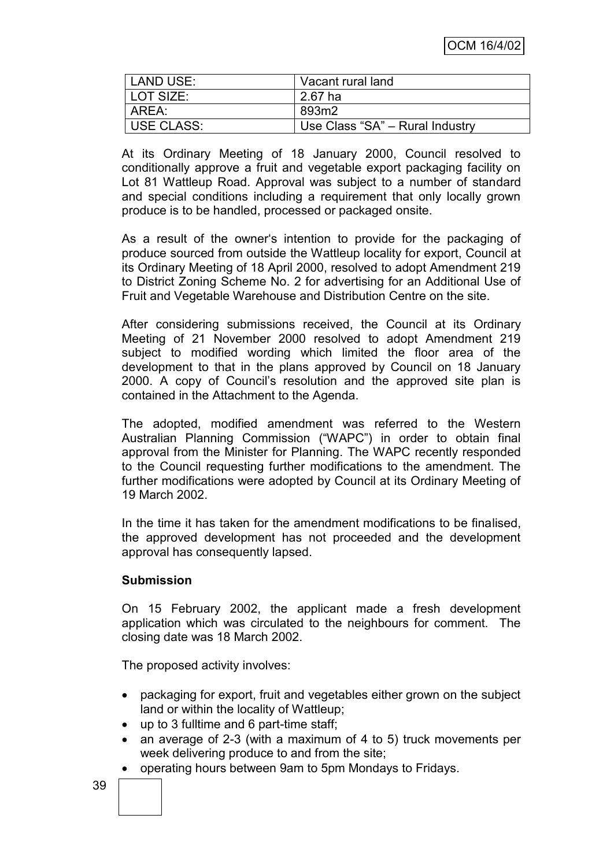| LAND USE:  | Vacant rural land               |
|------------|---------------------------------|
| LOT SIZE:  | $2.67$ ha                       |
| AREA:      | 893m2                           |
| USE CLASS: | Use Class "SA" - Rural Industry |

At its Ordinary Meeting of 18 January 2000, Council resolved to conditionally approve a fruit and vegetable export packaging facility on Lot 81 Wattleup Road. Approval was subject to a number of standard and special conditions including a requirement that only locally grown produce is to be handled, processed or packaged onsite.

As a result of the owner"s intention to provide for the packaging of produce sourced from outside the Wattleup locality for export, Council at its Ordinary Meeting of 18 April 2000, resolved to adopt Amendment 219 to District Zoning Scheme No. 2 for advertising for an Additional Use of Fruit and Vegetable Warehouse and Distribution Centre on the site.

After considering submissions received, the Council at its Ordinary Meeting of 21 November 2000 resolved to adopt Amendment 219 subject to modified wording which limited the floor area of the development to that in the plans approved by Council on 18 January 2000. A copy of Council"s resolution and the approved site plan is contained in the Attachment to the Agenda.

The adopted, modified amendment was referred to the Western Australian Planning Commission ("WAPC") in order to obtain final approval from the Minister for Planning. The WAPC recently responded to the Council requesting further modifications to the amendment. The further modifications were adopted by Council at its Ordinary Meeting of 19 March 2002.

In the time it has taken for the amendment modifications to be finalised, the approved development has not proceeded and the development approval has consequently lapsed.

# **Submission**

On 15 February 2002, the applicant made a fresh development application which was circulated to the neighbours for comment. The closing date was 18 March 2002.

The proposed activity involves:

- packaging for export, fruit and vegetables either grown on the subject land or within the locality of Wattleup;
- up to 3 fulltime and 6 part-time staff;
- an average of 2-3 (with a maximum of 4 to 5) truck movements per week delivering produce to and from the site;
- operating hours between 9am to 5pm Mondays to Fridays.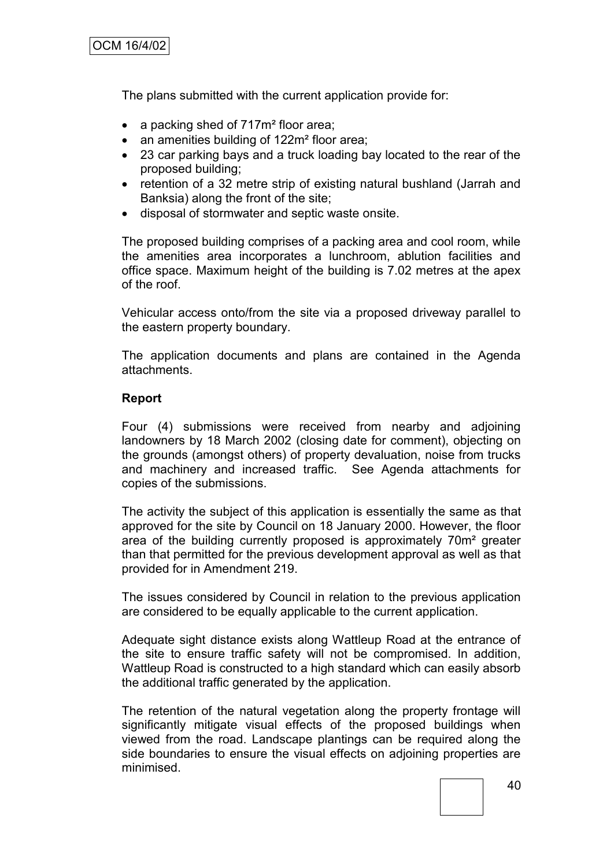The plans submitted with the current application provide for:

- a packing shed of 717m<sup>2</sup> floor area;
- an amenities building of 122m<sup>2</sup> floor area;
- 23 car parking bays and a truck loading bay located to the rear of the proposed building;
- retention of a 32 metre strip of existing natural bushland (Jarrah and Banksia) along the front of the site;
- disposal of stormwater and septic waste onsite.

The proposed building comprises of a packing area and cool room, while the amenities area incorporates a lunchroom, ablution facilities and office space. Maximum height of the building is 7.02 metres at the apex of the roof.

Vehicular access onto/from the site via a proposed driveway parallel to the eastern property boundary.

The application documents and plans are contained in the Agenda attachments.

### **Report**

Four (4) submissions were received from nearby and adjoining landowners by 18 March 2002 (closing date for comment), objecting on the grounds (amongst others) of property devaluation, noise from trucks and machinery and increased traffic. See Agenda attachments for copies of the submissions.

The activity the subject of this application is essentially the same as that approved for the site by Council on 18 January 2000. However, the floor area of the building currently proposed is approximately 70m² greater than that permitted for the previous development approval as well as that provided for in Amendment 219.

The issues considered by Council in relation to the previous application are considered to be equally applicable to the current application.

Adequate sight distance exists along Wattleup Road at the entrance of the site to ensure traffic safety will not be compromised. In addition, Wattleup Road is constructed to a high standard which can easily absorb the additional traffic generated by the application.

The retention of the natural vegetation along the property frontage will significantly mitigate visual effects of the proposed buildings when viewed from the road. Landscape plantings can be required along the side boundaries to ensure the visual effects on adjoining properties are minimised.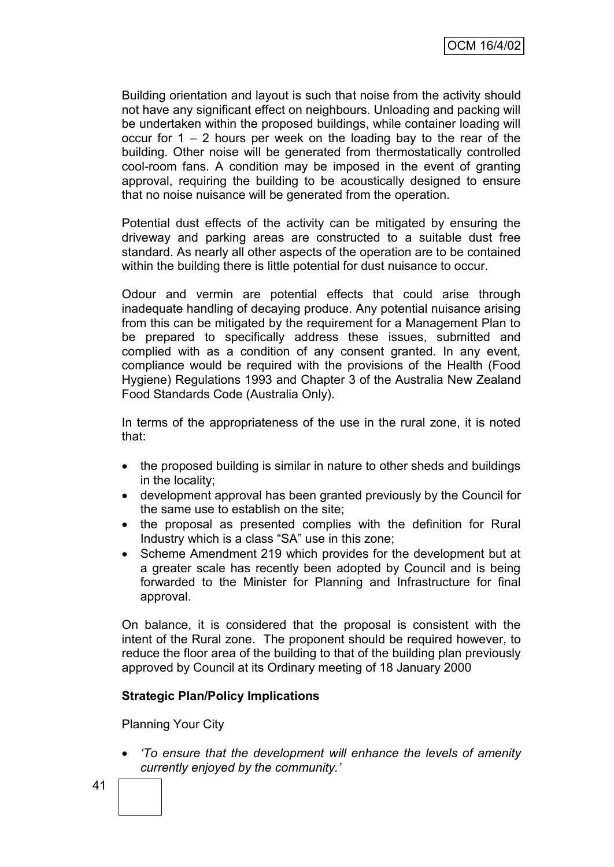Building orientation and layout is such that noise from the activity should not have any significant effect on neighbours. Unloading and packing will be undertaken within the proposed buildings, while container loading will occur for  $1 - 2$  hours per week on the loading bay to the rear of the building. Other noise will be generated from thermostatically controlled cool-room fans. A condition may be imposed in the event of granting approval, requiring the building to be acoustically designed to ensure that no noise nuisance will be generated from the operation.

Potential dust effects of the activity can be mitigated by ensuring the driveway and parking areas are constructed to a suitable dust free standard. As nearly all other aspects of the operation are to be contained within the building there is little potential for dust nuisance to occur.

Odour and vermin are potential effects that could arise through inadequate handling of decaying produce. Any potential nuisance arising from this can be mitigated by the requirement for a Management Plan to be prepared to specifically address these issues, submitted and complied with as a condition of any consent granted. In any event, compliance would be required with the provisions of the Health (Food Hygiene) Regulations 1993 and Chapter 3 of the Australia New Zealand Food Standards Code (Australia Only).

In terms of the appropriateness of the use in the rural zone, it is noted that:

- the proposed building is similar in nature to other sheds and buildings in the locality;
- development approval has been granted previously by the Council for the same use to establish on the site;
- the proposal as presented complies with the definition for Rural Industry which is a class "SA" use in this zone;
- Scheme Amendment 219 which provides for the development but at a greater scale has recently been adopted by Council and is being forwarded to the Minister for Planning and Infrastructure for final approval.

On balance, it is considered that the proposal is consistent with the intent of the Rural zone. The proponent should be required however, to reduce the floor area of the building to that of the building plan previously approved by Council at its Ordinary meeting of 18 January 2000

# **Strategic Plan/Policy Implications**

Planning Your City

 *"To ensure that the development will enhance the levels of amenity currently enjoyed by the community."*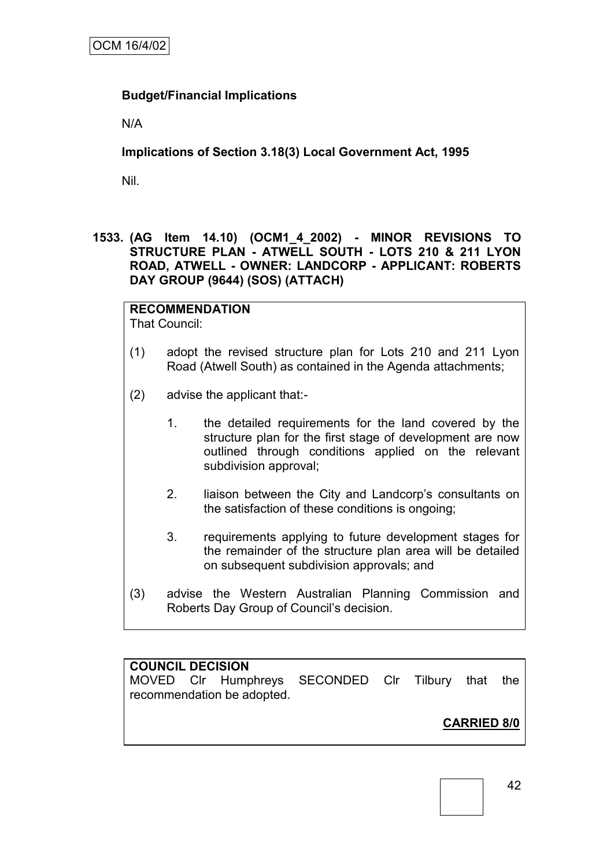# **Budget/Financial Implications**

N/A

# **Implications of Section 3.18(3) Local Government Act, 1995**

Nil.

**1533. (AG Item 14.10) (OCM1\_4\_2002) - MINOR REVISIONS TO STRUCTURE PLAN - ATWELL SOUTH - LOTS 210 & 211 LYON ROAD, ATWELL - OWNER: LANDCORP - APPLICANT: ROBERTS DAY GROUP (9644) (SOS) (ATTACH)**

**RECOMMENDATION** That Council:

- (1) adopt the revised structure plan for Lots 210 and 211 Lyon Road (Atwell South) as contained in the Agenda attachments;
- (2) advise the applicant that:-
	- 1. the detailed requirements for the land covered by the structure plan for the first stage of development are now outlined through conditions applied on the relevant subdivision approval;
	- 2. liaison between the City and Landcorp"s consultants on the satisfaction of these conditions is ongoing;
	- 3. requirements applying to future development stages for the remainder of the structure plan area will be detailed on subsequent subdivision approvals; and
- (3) advise the Western Australian Planning Commission and Roberts Day Group of Council"s decision.

# **COUNCIL DECISION**

MOVED Clr Humphreys SECONDED Clr Tilbury that the recommendation be adopted.

**CARRIED 8/0**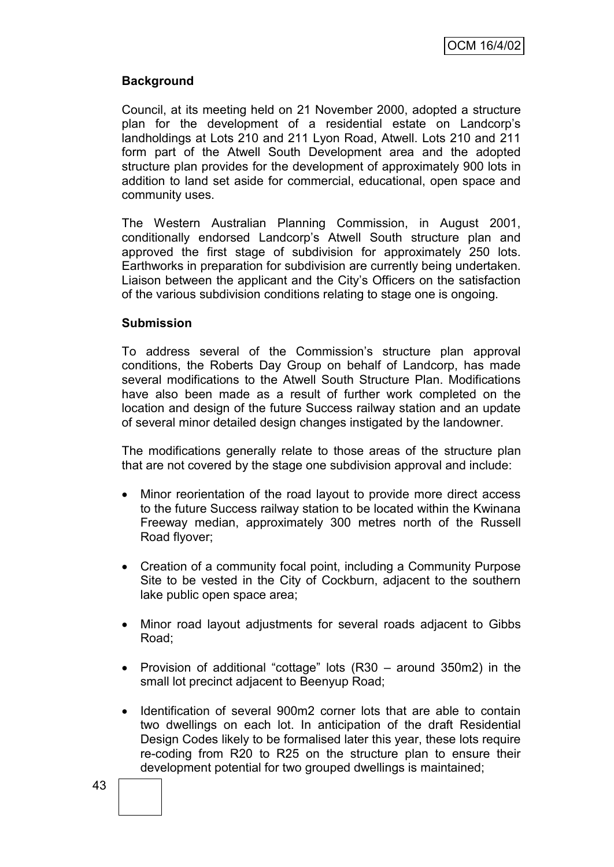# **Background**

Council, at its meeting held on 21 November 2000, adopted a structure plan for the development of a residential estate on Landcorp"s landholdings at Lots 210 and 211 Lyon Road, Atwell. Lots 210 and 211 form part of the Atwell South Development area and the adopted structure plan provides for the development of approximately 900 lots in addition to land set aside for commercial, educational, open space and community uses.

The Western Australian Planning Commission, in August 2001, conditionally endorsed Landcorp"s Atwell South structure plan and approved the first stage of subdivision for approximately 250 lots. Earthworks in preparation for subdivision are currently being undertaken. Liaison between the applicant and the City"s Officers on the satisfaction of the various subdivision conditions relating to stage one is ongoing.

# **Submission**

To address several of the Commission"s structure plan approval conditions, the Roberts Day Group on behalf of Landcorp, has made several modifications to the Atwell South Structure Plan. Modifications have also been made as a result of further work completed on the location and design of the future Success railway station and an update of several minor detailed design changes instigated by the landowner.

The modifications generally relate to those areas of the structure plan that are not covered by the stage one subdivision approval and include:

- Minor reorientation of the road layout to provide more direct access to the future Success railway station to be located within the Kwinana Freeway median, approximately 300 metres north of the Russell Road flyover;
- Creation of a community focal point, including a Community Purpose Site to be vested in the City of Cockburn, adjacent to the southern lake public open space area;
- Minor road layout adjustments for several roads adjacent to Gibbs Road;
- Provision of additional "cottage" lots  $(R30 -$  around 350m2) in the small lot precinct adjacent to Beenyup Road;
- Identification of several 900m2 corner lots that are able to contain two dwellings on each lot. In anticipation of the draft Residential Design Codes likely to be formalised later this year, these lots require re-coding from R20 to R25 on the structure plan to ensure their development potential for two grouped dwellings is maintained;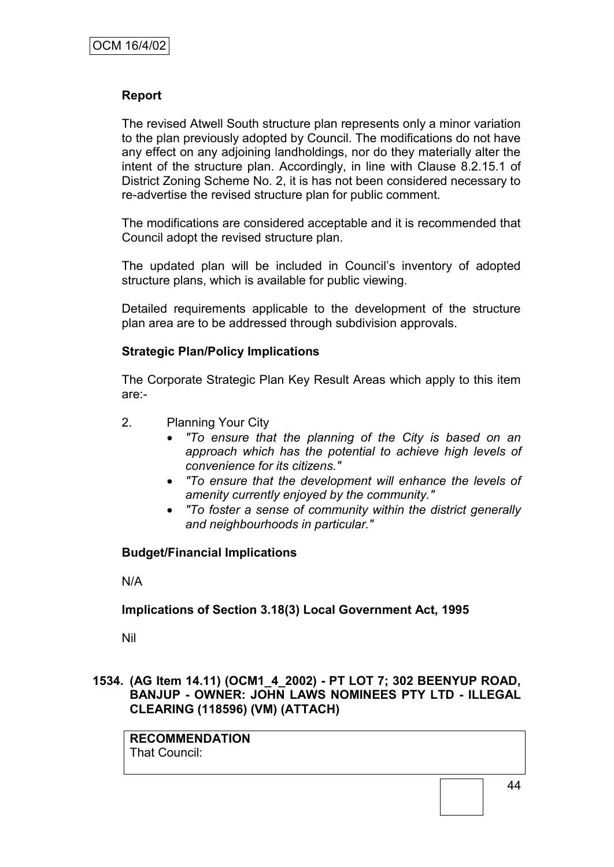# **Report**

The revised Atwell South structure plan represents only a minor variation to the plan previously adopted by Council. The modifications do not have any effect on any adjoining landholdings, nor do they materially alter the intent of the structure plan. Accordingly, in line with Clause 8.2.15.1 of District Zoning Scheme No. 2, it is has not been considered necessary to re-advertise the revised structure plan for public comment.

The modifications are considered acceptable and it is recommended that Council adopt the revised structure plan.

The updated plan will be included in Council"s inventory of adopted structure plans, which is available for public viewing.

Detailed requirements applicable to the development of the structure plan area are to be addressed through subdivision approvals.

# **Strategic Plan/Policy Implications**

The Corporate Strategic Plan Key Result Areas which apply to this item are:-

- 2. Planning Your City
	- *"To ensure that the planning of the City is based on an approach which has the potential to achieve high levels of convenience for its citizens."*
	- *"To ensure that the development will enhance the levels of amenity currently enjoyed by the community."*
	- *"To foster a sense of community within the district generally and neighbourhoods in particular."*

# **Budget/Financial Implications**

N/A

# **Implications of Section 3.18(3) Local Government Act, 1995**

Nil

# **1534. (AG Item 14.11) (OCM1\_4\_2002) - PT LOT 7; 302 BEENYUP ROAD, BANJUP - OWNER: JOHN LAWS NOMINEES PTY LTD - ILLEGAL CLEARING (118596) (VM) (ATTACH)**

**RECOMMENDATION** That Council: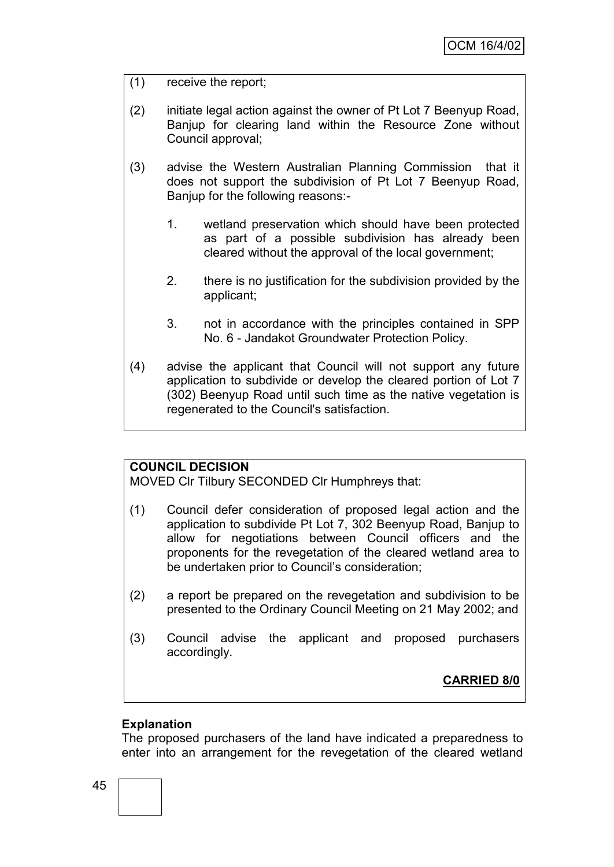- (1) receive the report;
- (2) initiate legal action against the owner of Pt Lot 7 Beenyup Road, Banjup for clearing land within the Resource Zone without Council approval;
- (3) advise the Western Australian Planning Commission that it does not support the subdivision of Pt Lot 7 Beenyup Road, Banjup for the following reasons:-
	- 1. wetland preservation which should have been protected as part of a possible subdivision has already been cleared without the approval of the local government;
	- 2. there is no justification for the subdivision provided by the applicant;
	- 3. not in accordance with the principles contained in SPP No. 6 - Jandakot Groundwater Protection Policy.
- (4) advise the applicant that Council will not support any future application to subdivide or develop the cleared portion of Lot 7 (302) Beenyup Road until such time as the native vegetation is regenerated to the Council's satisfaction.

# **COUNCIL DECISION**

MOVED Clr Tilbury SECONDED Clr Humphreys that:

- (1) Council defer consideration of proposed legal action and the application to subdivide Pt Lot 7, 302 Beenyup Road, Banjup to allow for negotiations between Council officers and the proponents for the revegetation of the cleared wetland area to be undertaken prior to Council"s consideration;
- (2) a report be prepared on the revegetation and subdivision to be presented to the Ordinary Council Meeting on 21 May 2002; and
- (3) Council advise the applicant and proposed purchasers accordingly.

# **CARRIED 8/0**

# **Explanation**

The proposed purchasers of the land have indicated a preparedness to enter into an arrangement for the revegetation of the cleared wetland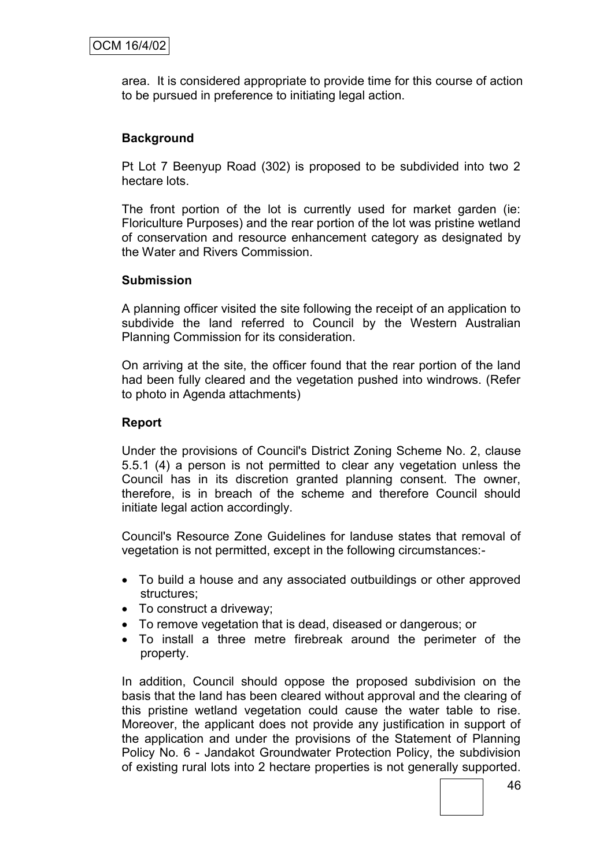area. It is considered appropriate to provide time for this course of action to be pursued in preference to initiating legal action.

# **Background**

Pt Lot 7 Beenyup Road (302) is proposed to be subdivided into two 2 hectare lots.

The front portion of the lot is currently used for market garden (ie: Floriculture Purposes) and the rear portion of the lot was pristine wetland of conservation and resource enhancement category as designated by the Water and Rivers Commission.

### **Submission**

A planning officer visited the site following the receipt of an application to subdivide the land referred to Council by the Western Australian Planning Commission for its consideration.

On arriving at the site, the officer found that the rear portion of the land had been fully cleared and the vegetation pushed into windrows. (Refer to photo in Agenda attachments)

# **Report**

Under the provisions of Council's District Zoning Scheme No. 2, clause 5.5.1 (4) a person is not permitted to clear any vegetation unless the Council has in its discretion granted planning consent. The owner, therefore, is in breach of the scheme and therefore Council should initiate legal action accordingly.

Council's Resource Zone Guidelines for landuse states that removal of vegetation is not permitted, except in the following circumstances:-

- To build a house and any associated outbuildings or other approved structures;
- To construct a driveway;
- To remove vegetation that is dead, diseased or dangerous; or
- To install a three metre firebreak around the perimeter of the property.

In addition, Council should oppose the proposed subdivision on the basis that the land has been cleared without approval and the clearing of this pristine wetland vegetation could cause the water table to rise. Moreover, the applicant does not provide any justification in support of the application and under the provisions of the Statement of Planning Policy No. 6 - Jandakot Groundwater Protection Policy, the subdivision of existing rural lots into 2 hectare properties is not generally supported.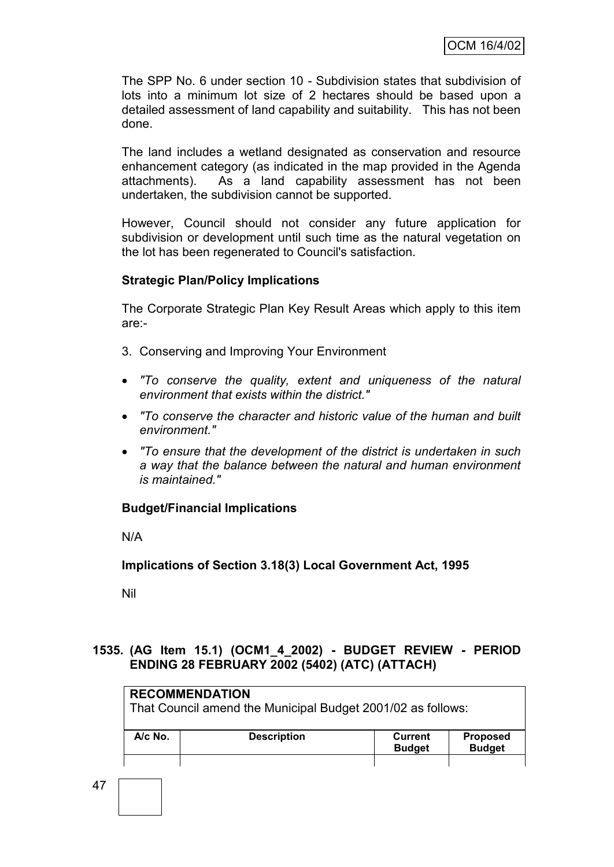The SPP No. 6 under section 10 - Subdivision states that subdivision of lots into a minimum lot size of 2 hectares should be based upon a detailed assessment of land capability and suitability. This has not been done.

The land includes a wetland designated as conservation and resource enhancement category (as indicated in the map provided in the Agenda attachments). As a land capability assessment has not been undertaken, the subdivision cannot be supported.

However, Council should not consider any future application for subdivision or development until such time as the natural vegetation on the lot has been regenerated to Council's satisfaction.

# **Strategic Plan/Policy Implications**

The Corporate Strategic Plan Key Result Areas which apply to this item are:-

- 3. Conserving and Improving Your Environment
- *"To conserve the quality, extent and uniqueness of the natural environment that exists within the district."*
- *"To conserve the character and historic value of the human and built environment."*
- *"To ensure that the development of the district is undertaken in such a way that the balance between the natural and human environment is maintained."*

# **Budget/Financial Implications**

N/A

**Implications of Section 3.18(3) Local Government Act, 1995**

Nil

# **1535. (AG Item 15.1) (OCM1\_4\_2002) - BUDGET REVIEW - PERIOD ENDING 28 FEBRUARY 2002 (5402) (ATC) (ATTACH)**

|           | <b>RECOMMENDATION</b><br>That Council amend the Municipal Budget 2001/02 as follows: |                          |                                  |
|-----------|--------------------------------------------------------------------------------------|--------------------------|----------------------------------|
| $A/c$ No. | <b>Description</b>                                                                   | Current<br><b>Budget</b> | <b>Proposed</b><br><b>Budget</b> |
|           |                                                                                      |                          |                                  |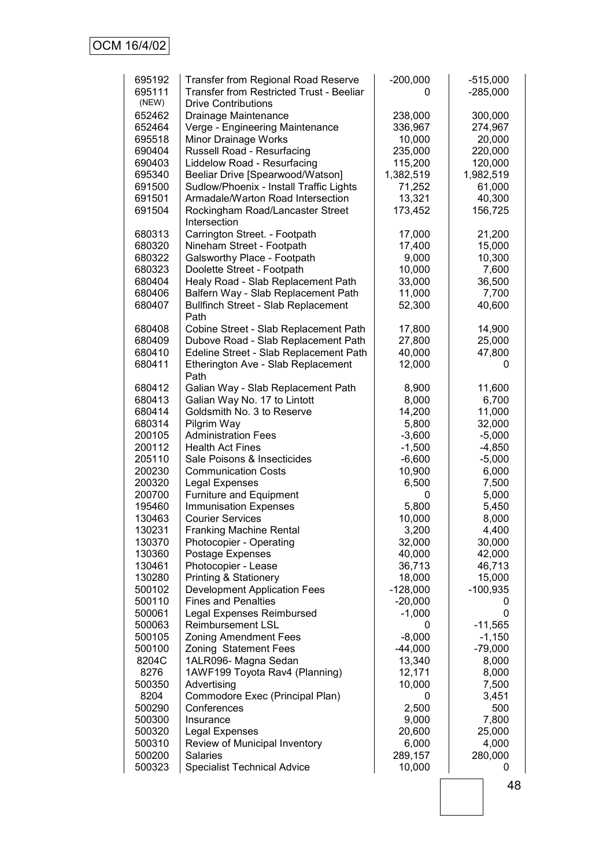| 695192<br>695111<br>(NEW) | <b>Transfer from Regional Road Reserve</b><br><b>Transfer from Restricted Trust - Beeliar</b><br><b>Drive Contributions</b> | $-200,000$<br>0 | $-515,000$<br>$-285,000$ |
|---------------------------|-----------------------------------------------------------------------------------------------------------------------------|-----------------|--------------------------|
| 652462                    | Drainage Maintenance                                                                                                        | 238,000         | 300,000                  |
| 652464                    | Verge - Engineering Maintenance                                                                                             | 336,967         | 274,967                  |
| 695518                    | Minor Drainage Works                                                                                                        | 10,000          | 20,000                   |
| 690404                    | Russell Road - Resurfacing                                                                                                  | 235,000         | 220,000                  |
| 690403                    | Liddelow Road - Resurfacing                                                                                                 | 115,200         | 120,000                  |
| 695340                    | Beeliar Drive [Spearwood/Watson]                                                                                            | 1,382,519       | 1,982,519                |
| 691500                    | Sudlow/Phoenix - Install Traffic Lights                                                                                     | 71,252          | 61,000                   |
| 691501                    | Armadale/Warton Road Intersection                                                                                           | 13,321          | 40,300                   |
| 691504                    | Rockingham Road/Lancaster Street<br>Intersection                                                                            | 173,452         | 156,725                  |
| 680313                    | Carrington Street. - Footpath                                                                                               | 17,000          | 21,200                   |
| 680320                    | Nineham Street - Footpath                                                                                                   | 17,400          | 15,000                   |
| 680322                    | Galsworthy Place - Footpath                                                                                                 | 9,000           | 10,300                   |
| 680323                    | Doolette Street - Footpath                                                                                                  | 10,000          | 7,600                    |
| 680404                    | Healy Road - Slab Replacement Path                                                                                          | 33,000          | 36,500                   |
| 680406                    | Balfern Way - Slab Replacement Path                                                                                         | 11,000          | 7,700                    |
| 680407                    | <b>Bullfinch Street - Slab Replacement</b><br>Path                                                                          | 52,300          | 40,600                   |
| 680408                    | Cobine Street - Slab Replacement Path                                                                                       | 17,800          | 14,900                   |
| 680409                    | Dubove Road - Slab Replacement Path                                                                                         | 27,800          | 25,000                   |
| 680410                    | Edeline Street - Slab Replacement Path                                                                                      | 40,000          | 47,800                   |
| 680411                    | Etherington Ave - Slab Replacement<br>Path                                                                                  | 12,000          | O                        |
| 680412                    | Galian Way - Slab Replacement Path                                                                                          | 8,900           | 11,600                   |
| 680413                    | Galian Way No. 17 to Lintott                                                                                                | 8,000           | 6,700                    |
| 680414                    | Goldsmith No. 3 to Reserve                                                                                                  | 14,200          | 11,000                   |
| 680314                    | Pilgrim Way                                                                                                                 | 5,800           | 32,000                   |
| 200105                    | <b>Administration Fees</b>                                                                                                  | $-3,600$        | $-5,000$                 |
| 200112                    | <b>Health Act Fines</b>                                                                                                     | $-1,500$        | $-4,850$                 |
| 205110                    | Sale Poisons & Insecticides                                                                                                 | $-6,600$        | $-5,000$                 |
| 200230                    | <b>Communication Costs</b>                                                                                                  | 10,900          | 6,000                    |
| 200320                    | <b>Legal Expenses</b>                                                                                                       | 6,500           | 7,500                    |
| 200700                    | Furniture and Equipment                                                                                                     | 0               | 5,000                    |
| 195460                    | <b>Immunisation Expenses</b>                                                                                                | 5,800           | 5,450                    |
| 130463                    | <b>Courier Services</b>                                                                                                     | 10,000          | 8,000                    |
| 130231                    | <b>Franking Machine Rental</b>                                                                                              | 3,200           | 4,400                    |
| 130370                    | Photocopier - Operating                                                                                                     | 32,000          | 30,000                   |
| 130360                    | Postage Expenses                                                                                                            | 40,000          | 42,000                   |
| 130461                    | Photocopier - Lease                                                                                                         | 36,713          | 46,713                   |
| 130280                    | <b>Printing &amp; Stationery</b>                                                                                            | 18,000          | 15,000                   |
| 500102                    | <b>Development Application Fees</b>                                                                                         | $-128,000$      | $-100,935$               |
| 500110                    | <b>Fines and Penalties</b>                                                                                                  | $-20,000$       | 0                        |
| 500061                    | <b>Legal Expenses Reimbursed</b>                                                                                            | $-1,000$        | 0                        |
| 500063                    | <b>Reimbursement LSL</b>                                                                                                    | 0               | $-11,565$                |
| 500105                    | <b>Zoning Amendment Fees</b>                                                                                                | $-8,000$        | $-1,150$                 |
| 500100                    | Zoning Statement Fees                                                                                                       | $-44,000$       | $-79,000$                |
| 8204C                     | 1ALR096- Magna Sedan                                                                                                        | 13,340          | 8,000                    |
| 8276                      | 1AWF199 Toyota Rav4 (Planning)                                                                                              | 12,171          | 8,000                    |
| 500350                    | Advertising                                                                                                                 | 10,000          | 7,500                    |
| 8204                      | Commodore Exec (Principal Plan)                                                                                             | 0               | 3,451                    |
| 500290                    | Conferences                                                                                                                 | 2,500           | 500                      |
| 500300                    | Insurance                                                                                                                   | 9,000           | 7,800                    |
| 500320                    | Legal Expenses                                                                                                              | 20,600          | 25,000                   |
| 500310                    | Review of Municipal Inventory                                                                                               | 6,000           | 4,000                    |
| 500200                    | <b>Salaries</b>                                                                                                             | 289,157         | 280,000                  |
| 500323                    | <b>Specialist Technical Advice</b>                                                                                          | 10,000          | 0                        |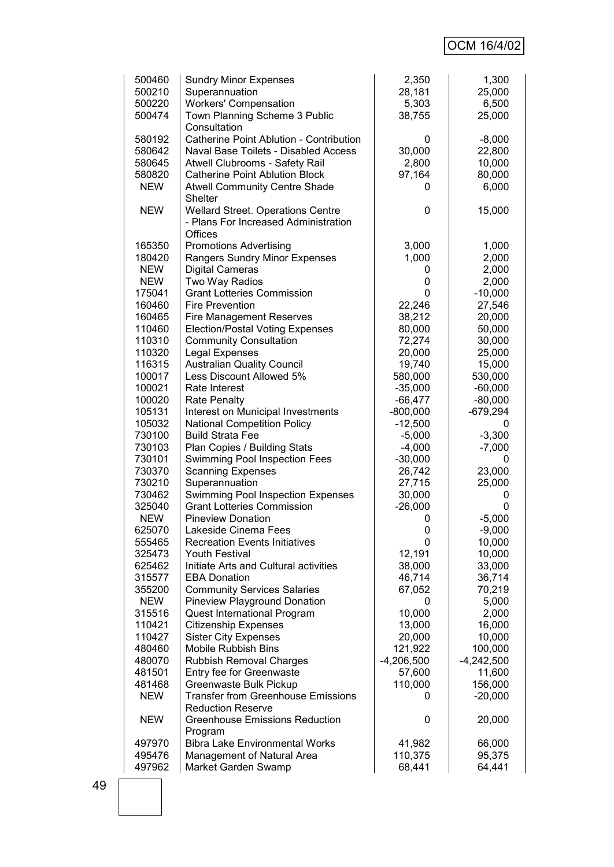# OCM 16/4/02

| 500460     | <b>Sundry Minor Expenses</b>                   | 2,350        | 1,300        |
|------------|------------------------------------------------|--------------|--------------|
| 500210     | Superannuation                                 | 28,181       | 25,000       |
| 500220     | <b>Workers' Compensation</b>                   | 5,303        | 6,500        |
| 500474     | Town Planning Scheme 3 Public                  |              | 25,000       |
|            |                                                | 38,755       |              |
|            | Consultation                                   |              |              |
| 580192     | <b>Catherine Point Ablution - Contribution</b> | 0            | $-8,000$     |
| 580642     | Naval Base Toilets - Disabled Access           | 30,000       | 22,800       |
| 580645     | Atwell Clubrooms - Safety Rail                 | 2,800        | 10,000       |
| 580820     | <b>Catherine Point Ablution Block</b>          |              | 80,000       |
|            |                                                | 97,164       |              |
| <b>NEW</b> | <b>Atwell Community Centre Shade</b>           | 0            | 6,000        |
|            | Shelter                                        |              |              |
| <b>NEW</b> | <b>Wellard Street. Operations Centre</b>       | 0            | 15,000       |
|            | - Plans For Increased Administration           |              |              |
|            | Offices                                        |              |              |
|            |                                                |              |              |
| 165350     | <b>Promotions Advertising</b>                  | 3,000        | 1,000        |
| 180420     | Rangers Sundry Minor Expenses                  | 1,000        | 2,000        |
| <b>NEW</b> | <b>Digital Cameras</b>                         | 0            | 2,000        |
| <b>NEW</b> | Two Way Radios                                 | 0            | 2,000        |
| 175041     | <b>Grant Lotteries Commission</b>              | 0            | $-10,000$    |
| 160460     | <b>Fire Prevention</b>                         | 22,246       | 27,546       |
|            |                                                |              |              |
| 160465     | <b>Fire Management Reserves</b>                | 38,212       | 20,000       |
| 110460     | <b>Election/Postal Voting Expenses</b>         | 80,000       | 50,000       |
| 110310     | <b>Community Consultation</b>                  | 72,274       | 30,000       |
| 110320     | <b>Legal Expenses</b>                          | 20,000       | 25,000       |
| 116315     | <b>Australian Quality Council</b>              | 19,740       | 15,000       |
| 100017     | Less Discount Allowed 5%                       | 580,000      | 530,000      |
|            |                                                |              |              |
| 100021     | Rate Interest                                  | $-35,000$    | $-60,000$    |
| 100020     | Rate Penalty                                   | $-66,477$    | $-80,000$    |
| 105131     | Interest on Municipal Investments              | $-800,000$   | $-679,294$   |
| 105032     | <b>National Competition Policy</b>             | $-12,500$    | Ü            |
| 730100     | <b>Build Strata Fee</b>                        | $-5,000$     | $-3,300$     |
| 730103     | Plan Copies / Building Stats                   | $-4,000$     | $-7,000$     |
|            |                                                |              |              |
| 730101     | Swimming Pool Inspection Fees                  | $-30,000$    | 0            |
| 730370     | <b>Scanning Expenses</b>                       | 26,742       | 23,000       |
| 730210     | Superannuation                                 | 27,715       | 25,000       |
| 730462     | <b>Swimming Pool Inspection Expenses</b>       | 30,000       | 0            |
| 325040     | <b>Grant Lotteries Commission</b>              | $-26,000$    | 0            |
| <b>NEW</b> | <b>Pineview Donation</b>                       | 0            | $-5,000$     |
| 625070     | Lakeside Cinema Fees                           | 0            | $-9,000$     |
|            |                                                |              |              |
| 555465     | <b>Recreation Events Initiatives</b>           | 0            | 10,000       |
| 325473     | <b>Youth Festival</b>                          | 12,191       | 10,000       |
| 625462     | Initiate Arts and Cultural activities          | 38,000       | 33,000       |
| 315577     | <b>EBA Donation</b>                            | 46,714       | 36,714       |
| 355200     | <b>Community Services Salaries</b>             | 67,052       | 70,219       |
| <b>NEW</b> | Pineview Playground Donation                   | 0            | 5,000        |
|            |                                                |              |              |
| 315516     | Quest International Program                    | 10,000       | 2,000        |
| 110421     | <b>Citizenship Expenses</b>                    | 13,000       | 16,000       |
| 110427     | <b>Sister City Expenses</b>                    | 20,000       | 10,000       |
| 480460     | <b>Mobile Rubbish Bins</b>                     | 121,922      | 100,000      |
| 480070     | <b>Rubbish Removal Charges</b>                 | $-4,206,500$ | $-4,242,500$ |
| 481501     | Entry fee for Greenwaste                       | 57,600       | 11,600       |
|            |                                                |              |              |
| 481468     | Greenwaste Bulk Pickup                         | 110,000      | 156,000      |
| <b>NEW</b> | <b>Transfer from Greenhouse Emissions</b>      | 0            | $-20,000$    |
|            | <b>Reduction Reserve</b>                       |              |              |
| <b>NEW</b> | <b>Greenhouse Emissions Reduction</b>          | 0            | 20,000       |
|            | Program                                        |              |              |
| 497970     | <b>Bibra Lake Environmental Works</b>          | 41,982       | 66,000       |
|            |                                                | 110,375      |              |
| 495476     | Management of Natural Area                     |              | 95,375       |
| 497962     | Market Garden Swamp                            | 68,441       | 64,441       |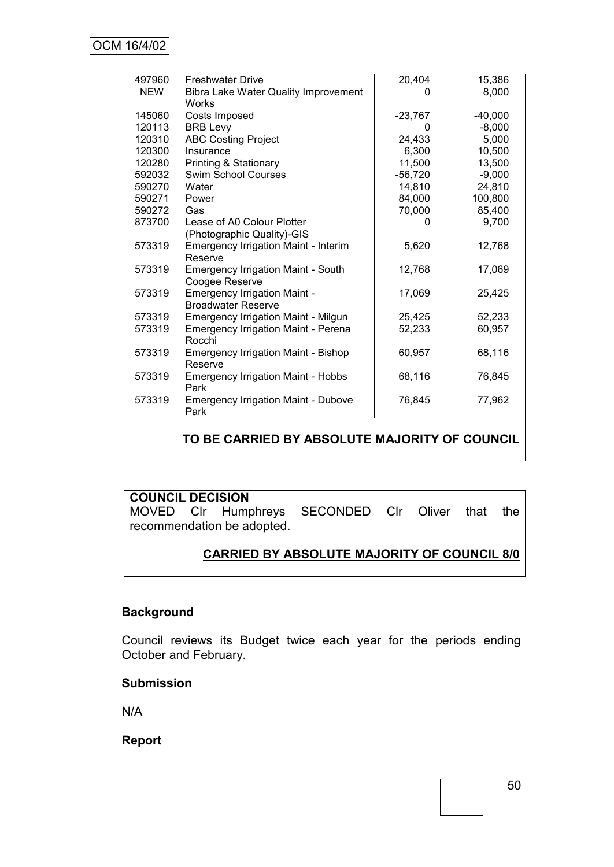| 497960<br><b>NEW</b> | <b>Freshwater Drive</b><br>Bibra Lake Water Quality Improvement<br>Works | 20,404<br>O         | 15,386<br>8,000       |
|----------------------|--------------------------------------------------------------------------|---------------------|-----------------------|
| 145060<br>120113     | Costs Imposed<br><b>BRB Levy</b>                                         | $-23,767$           | $-40,000$<br>$-8,000$ |
| 120310<br>120300     | <b>ABC Costing Project</b><br>Insurance                                  | 24,433<br>6,300     | 5,000<br>10,500       |
| 120280<br>592032     | <b>Printing &amp; Stationary</b><br><b>Swim School Courses</b>           | 11,500<br>$-56,720$ | 13,500<br>$-9,000$    |
| 590270               | Water                                                                    | 14,810              | 24,810                |
| 590271<br>590272     | Power<br>Gas                                                             | 84,000<br>70,000    | 100,800<br>85,400     |
| 873700               | Lease of A0 Colour Plotter<br>(Photographic Quality)-GIS                 | 0                   | 9,700                 |
| 573319               | Emergency Irrigation Maint - Interim<br>Reserve                          | 5,620               | 12,768                |
| 573319               | <b>Emergency Irrigation Maint - South</b><br>Coogee Reserve              | 12,768              | 17,069                |
| 573319               | <b>Emergency Irrigation Maint -</b><br><b>Broadwater Reserve</b>         | 17,069              | 25,425                |
| 573319               | <b>Emergency Irrigation Maint - Milgun</b>                               | 25,425              | 52,233                |
| 573319               | <b>Emergency Irrigation Maint - Perena</b><br>Rocchi                     | 52,233              | 60,957                |
| 573319               | <b>Emergency Irrigation Maint - Bishop</b><br>Reserve                    | 60,957              | 68,116                |
| 573319               | <b>Emergency Irrigation Maint - Hobbs</b><br>Park                        | 68,116              | 76,845                |
| 573319               | <b>Emergency Irrigation Maint - Dubove</b><br>Park                       | 76,845              | 77,962                |

# **TO BE CARRIED BY ABSOLUTE MAJORITY OF COUNCIL**

# **COUNCIL DECISION**

MOVED Clr Humphreys SECONDED Clr Oliver that the recommendation be adopted.

# **CARRIED BY ABSOLUTE MAJORITY OF COUNCIL 8/0**

# **Background**

Council reviews its Budget twice each year for the periods ending October and February.

#### **Submission**

N/A

**Report**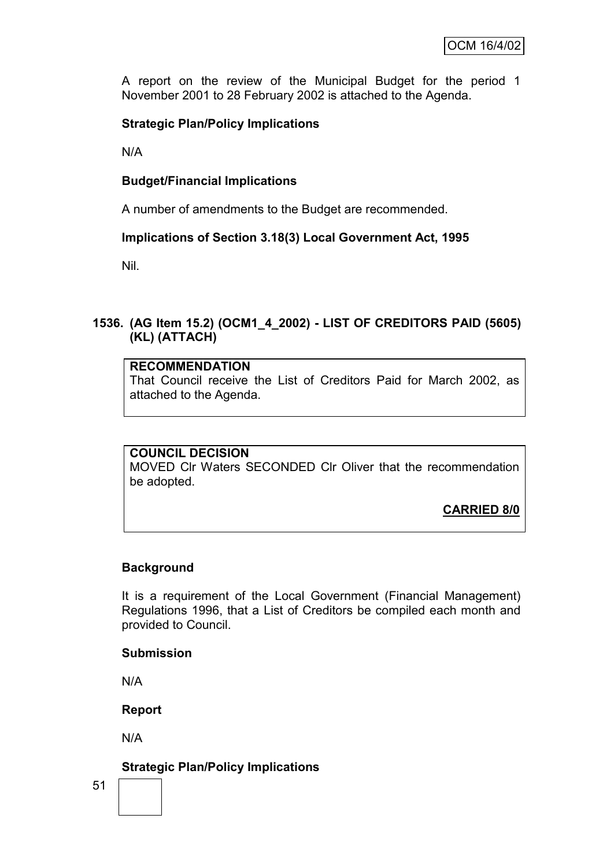A report on the review of the Municipal Budget for the period 1 November 2001 to 28 February 2002 is attached to the Agenda.

# **Strategic Plan/Policy Implications**

N/A

# **Budget/Financial Implications**

A number of amendments to the Budget are recommended.

# **Implications of Section 3.18(3) Local Government Act, 1995**

Nil.

# **1536. (AG Item 15.2) (OCM1\_4\_2002) - LIST OF CREDITORS PAID (5605) (KL) (ATTACH)**

#### **RECOMMENDATION**

That Council receive the List of Creditors Paid for March 2002, as attached to the Agenda.

#### **COUNCIL DECISION**

MOVED Clr Waters SECONDED Clr Oliver that the recommendation be adopted.

**CARRIED 8/0**

# **Background**

It is a requirement of the Local Government (Financial Management) Regulations 1996, that a List of Creditors be compiled each month and provided to Council.

#### **Submission**

N/A

**Report**

N/A

**Strategic Plan/Policy Implications**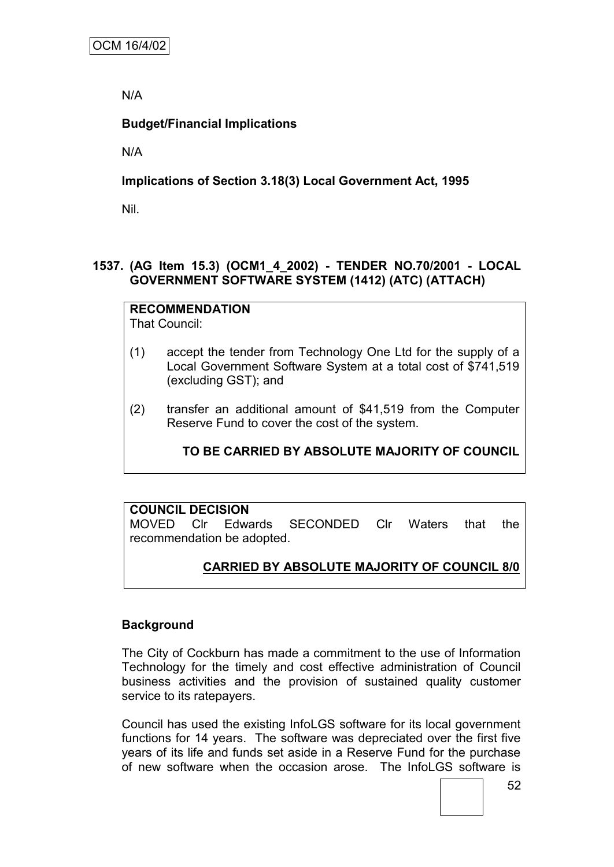N/A

# **Budget/Financial Implications**

N/A

# **Implications of Section 3.18(3) Local Government Act, 1995**

Nil.

# **1537. (AG Item 15.3) (OCM1\_4\_2002) - TENDER NO.70/2001 - LOCAL GOVERNMENT SOFTWARE SYSTEM (1412) (ATC) (ATTACH)**

**RECOMMENDATION** That Council:

- (1) accept the tender from Technology One Ltd for the supply of a Local Government Software System at a total cost of \$741,519 (excluding GST); and
- (2) transfer an additional amount of \$41,519 from the Computer Reserve Fund to cover the cost of the system.

**TO BE CARRIED BY ABSOLUTE MAJORITY OF COUNCIL**

# **COUNCIL DECISION** MOVED Clr Edwards SECONDED Clr Waters that the recommendation be adopted.

# **CARRIED BY ABSOLUTE MAJORITY OF COUNCIL 8/0**

# **Background**

The City of Cockburn has made a commitment to the use of Information Technology for the timely and cost effective administration of Council business activities and the provision of sustained quality customer service to its ratepayers.

Council has used the existing InfoLGS software for its local government functions for 14 years. The software was depreciated over the first five years of its life and funds set aside in a Reserve Fund for the purchase of new software when the occasion arose. The InfoLGS software is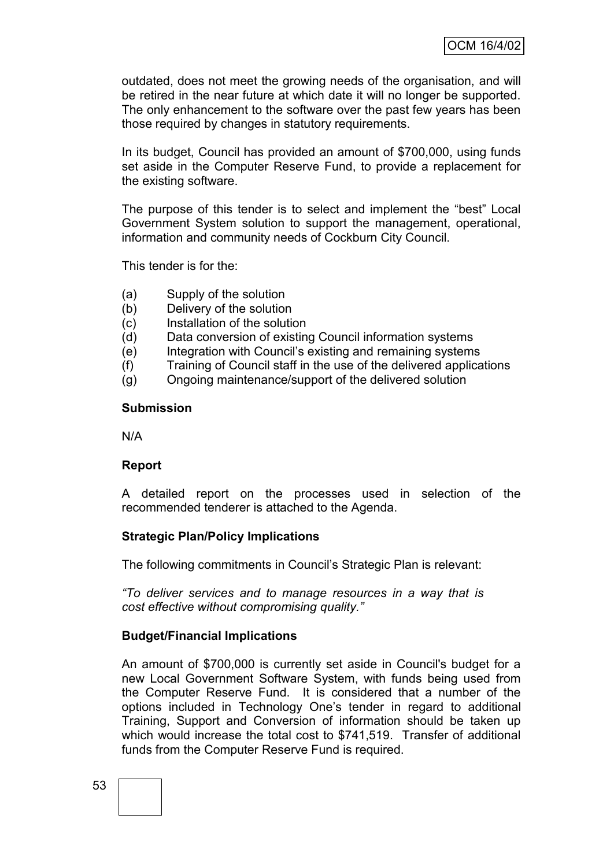outdated, does not meet the growing needs of the organisation, and will be retired in the near future at which date it will no longer be supported. The only enhancement to the software over the past few years has been those required by changes in statutory requirements.

In its budget, Council has provided an amount of \$700,000, using funds set aside in the Computer Reserve Fund, to provide a replacement for the existing software.

The purpose of this tender is to select and implement the "best" Local Government System solution to support the management, operational, information and community needs of Cockburn City Council.

This tender is for the:

- (a) Supply of the solution
- (b) Delivery of the solution
- (c) Installation of the solution
- (d) Data conversion of existing Council information systems
- (e) Integration with Council"s existing and remaining systems
- (f) Training of Council staff in the use of the delivered applications
- (g) Ongoing maintenance/support of the delivered solution

#### **Submission**

N/A

# **Report**

A detailed report on the processes used in selection of the recommended tenderer is attached to the Agenda.

# **Strategic Plan/Policy Implications**

The following commitments in Council"s Strategic Plan is relevant:

*"To deliver services and to manage resources in a way that is cost effective without compromising quality."*

# **Budget/Financial Implications**

An amount of \$700,000 is currently set aside in Council's budget for a new Local Government Software System, with funds being used from the Computer Reserve Fund. It is considered that a number of the options included in Technology One"s tender in regard to additional Training, Support and Conversion of information should be taken up which would increase the total cost to \$741,519. Transfer of additional funds from the Computer Reserve Fund is required.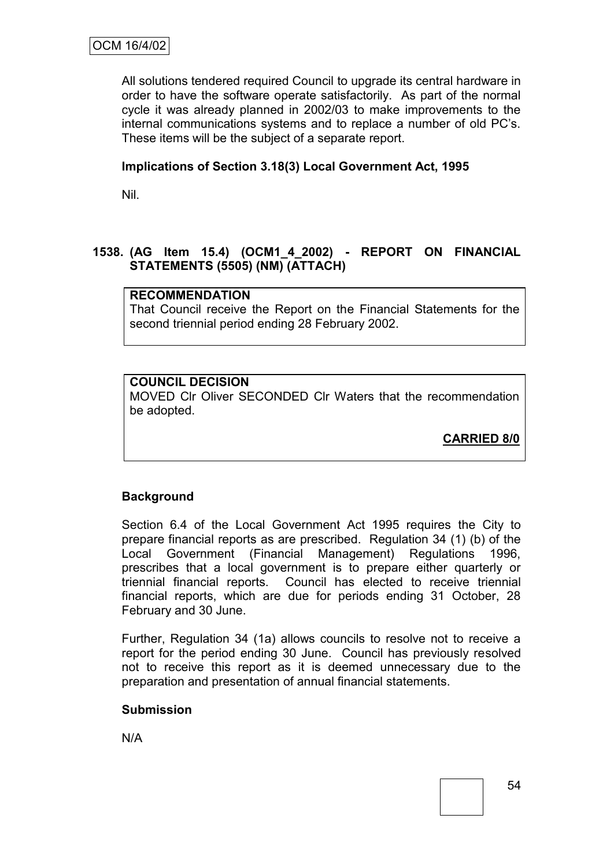All solutions tendered required Council to upgrade its central hardware in order to have the software operate satisfactorily. As part of the normal cycle it was already planned in 2002/03 to make improvements to the internal communications systems and to replace a number of old PC"s. These items will be the subject of a separate report.

# **Implications of Section 3.18(3) Local Government Act, 1995**

Nil.

# **1538. (AG Item 15.4) (OCM1\_4\_2002) - REPORT ON FINANCIAL STATEMENTS (5505) (NM) (ATTACH)**

# **RECOMMENDATION**

That Council receive the Report on the Financial Statements for the second triennial period ending 28 February 2002.

# **COUNCIL DECISION**

MOVED Clr Oliver SECONDED Clr Waters that the recommendation be adopted.

**CARRIED 8/0**

# **Background**

Section 6.4 of the Local Government Act 1995 requires the City to prepare financial reports as are prescribed. Regulation 34 (1) (b) of the Local Government (Financial Management) Regulations 1996, prescribes that a local government is to prepare either quarterly or triennial financial reports. Council has elected to receive triennial financial reports, which are due for periods ending 31 October, 28 February and 30 June.

Further, Regulation 34 (1a) allows councils to resolve not to receive a report for the period ending 30 June. Council has previously resolved not to receive this report as it is deemed unnecessary due to the preparation and presentation of annual financial statements.

#### **Submission**

N/A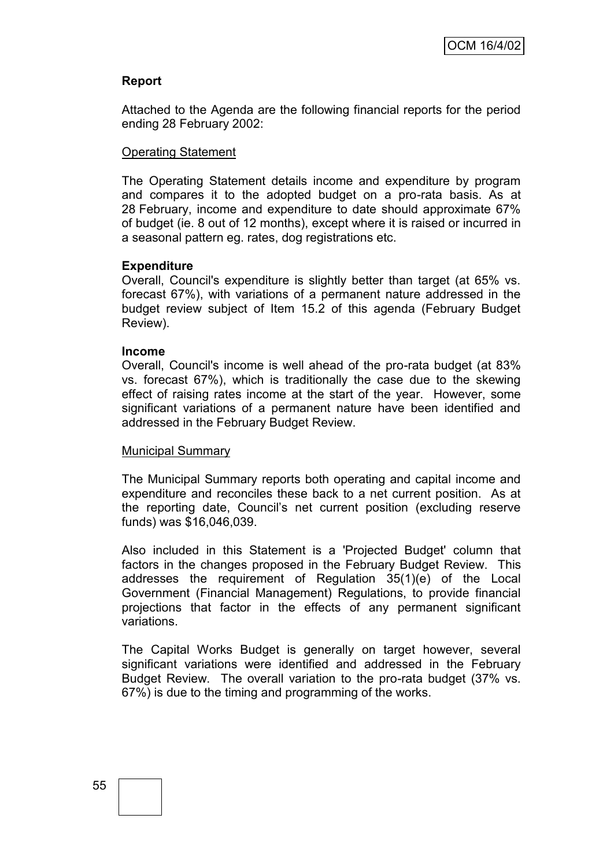# **Report**

Attached to the Agenda are the following financial reports for the period ending 28 February 2002:

#### Operating Statement

The Operating Statement details income and expenditure by program and compares it to the adopted budget on a pro-rata basis. As at 28 February, income and expenditure to date should approximate 67% of budget (ie. 8 out of 12 months), except where it is raised or incurred in a seasonal pattern eg. rates, dog registrations etc.

### **Expenditure**

Overall, Council's expenditure is slightly better than target (at 65% vs. forecast 67%), with variations of a permanent nature addressed in the budget review subject of Item 15.2 of this agenda (February Budget Review).

#### **Income**

Overall, Council's income is well ahead of the pro-rata budget (at 83% vs. forecast 67%), which is traditionally the case due to the skewing effect of raising rates income at the start of the year. However, some significant variations of a permanent nature have been identified and addressed in the February Budget Review.

#### Municipal Summary

The Municipal Summary reports both operating and capital income and expenditure and reconciles these back to a net current position. As at the reporting date, Council"s net current position (excluding reserve funds) was \$16,046,039.

Also included in this Statement is a 'Projected Budget' column that factors in the changes proposed in the February Budget Review. This addresses the requirement of Regulation 35(1)(e) of the Local Government (Financial Management) Regulations, to provide financial projections that factor in the effects of any permanent significant variations.

The Capital Works Budget is generally on target however, several significant variations were identified and addressed in the February Budget Review. The overall variation to the pro-rata budget (37% vs. 67%) is due to the timing and programming of the works.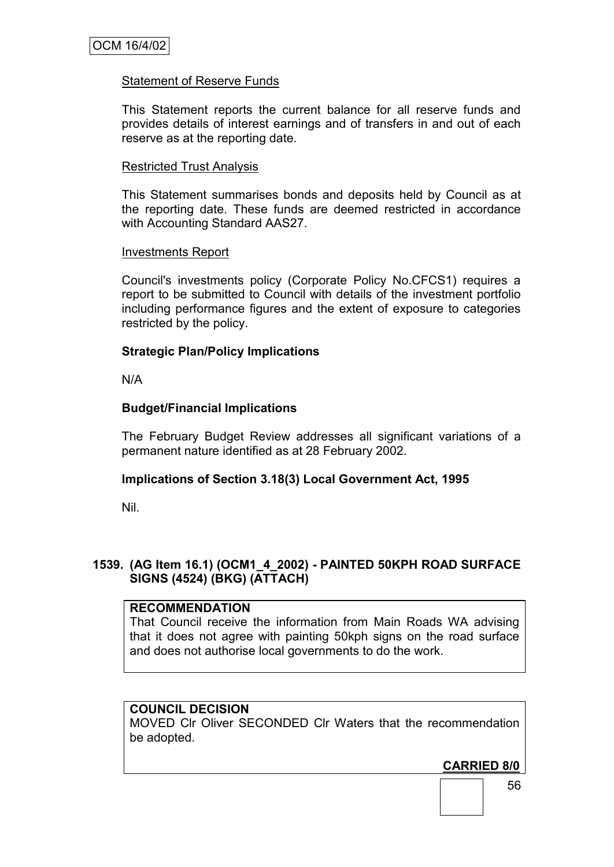# Statement of Reserve Funds

This Statement reports the current balance for all reserve funds and provides details of interest earnings and of transfers in and out of each reserve as at the reporting date.

### Restricted Trust Analysis

This Statement summarises bonds and deposits held by Council as at the reporting date. These funds are deemed restricted in accordance with Accounting Standard AAS27.

#### Investments Report

Council's investments policy (Corporate Policy No.CFCS1) requires a report to be submitted to Council with details of the investment portfolio including performance figures and the extent of exposure to categories restricted by the policy.

#### **Strategic Plan/Policy Implications**

N/A

### **Budget/Financial Implications**

The February Budget Review addresses all significant variations of a permanent nature identified as at 28 February 2002.

#### **Implications of Section 3.18(3) Local Government Act, 1995**

Nil.

# **1539. (AG Item 16.1) (OCM1\_4\_2002) - PAINTED 50KPH ROAD SURFACE SIGNS (4524) (BKG) (ATTACH)**

### **RECOMMENDATION**

That Council receive the information from Main Roads WA advising that it does not agree with painting 50kph signs on the road surface and does not authorise local governments to do the work.

# **COUNCIL DECISION**

MOVED Clr Oliver SECONDED Clr Waters that the recommendation be adopted.

# **CARRIED 8/0**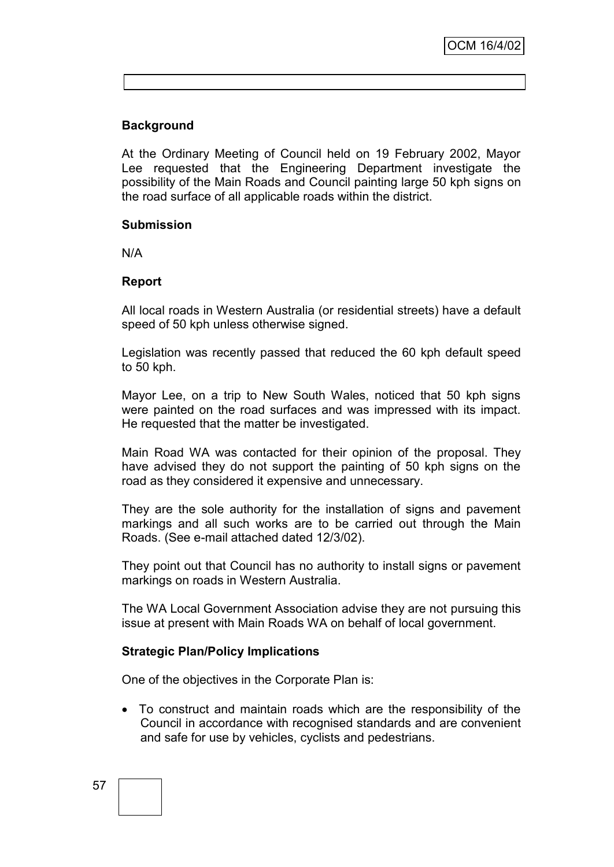# **Background**

At the Ordinary Meeting of Council held on 19 February 2002, Mayor Lee requested that the Engineering Department investigate the possibility of the Main Roads and Council painting large 50 kph signs on the road surface of all applicable roads within the district.

#### **Submission**

N/A

# **Report**

All local roads in Western Australia (or residential streets) have a default speed of 50 kph unless otherwise signed.

Legislation was recently passed that reduced the 60 kph default speed to 50 kph.

Mayor Lee, on a trip to New South Wales, noticed that 50 kph signs were painted on the road surfaces and was impressed with its impact. He requested that the matter be investigated.

Main Road WA was contacted for their opinion of the proposal. They have advised they do not support the painting of 50 kph signs on the road as they considered it expensive and unnecessary.

They are the sole authority for the installation of signs and pavement markings and all such works are to be carried out through the Main Roads. (See e-mail attached dated 12/3/02).

They point out that Council has no authority to install signs or pavement markings on roads in Western Australia.

The WA Local Government Association advise they are not pursuing this issue at present with Main Roads WA on behalf of local government.

# **Strategic Plan/Policy Implications**

One of the objectives in the Corporate Plan is:

 To construct and maintain roads which are the responsibility of the Council in accordance with recognised standards and are convenient and safe for use by vehicles, cyclists and pedestrians.

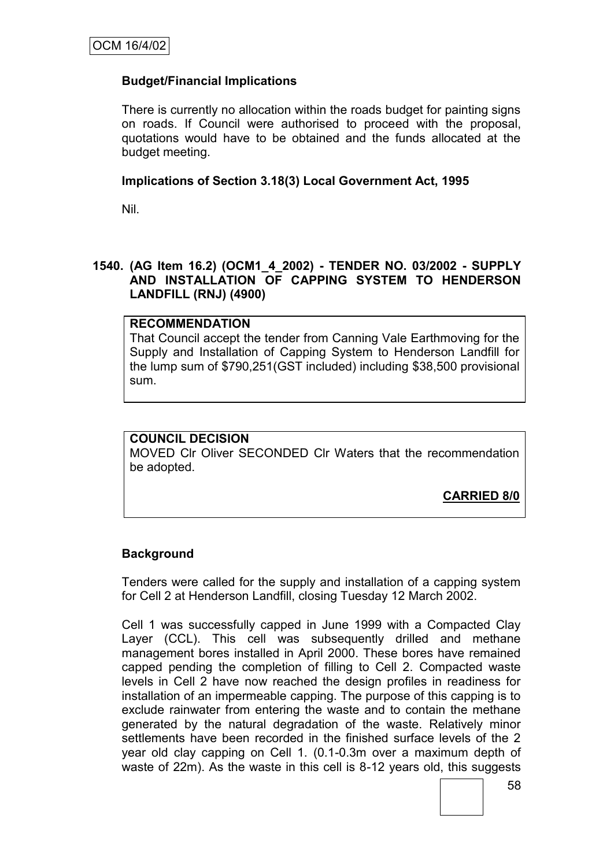# **Budget/Financial Implications**

There is currently no allocation within the roads budget for painting signs on roads. If Council were authorised to proceed with the proposal, quotations would have to be obtained and the funds allocated at the budget meeting.

# **Implications of Section 3.18(3) Local Government Act, 1995**

Nil.

# **1540. (AG Item 16.2) (OCM1\_4\_2002) - TENDER NO. 03/2002 - SUPPLY AND INSTALLATION OF CAPPING SYSTEM TO HENDERSON LANDFILL (RNJ) (4900)**

# **RECOMMENDATION**

That Council accept the tender from Canning Vale Earthmoving for the Supply and Installation of Capping System to Henderson Landfill for the lump sum of \$790,251(GST included) including \$38,500 provisional sum.

# **COUNCIL DECISION**

MOVED Clr Oliver SECONDED Clr Waters that the recommendation be adopted.

**CARRIED 8/0**

# **Background**

Tenders were called for the supply and installation of a capping system for Cell 2 at Henderson Landfill, closing Tuesday 12 March 2002.

Cell 1 was successfully capped in June 1999 with a Compacted Clay Layer (CCL). This cell was subsequently drilled and methane management bores installed in April 2000. These bores have remained capped pending the completion of filling to Cell 2. Compacted waste levels in Cell 2 have now reached the design profiles in readiness for installation of an impermeable capping. The purpose of this capping is to exclude rainwater from entering the waste and to contain the methane generated by the natural degradation of the waste. Relatively minor settlements have been recorded in the finished surface levels of the 2 year old clay capping on Cell 1. (0.1-0.3m over a maximum depth of waste of 22m). As the waste in this cell is 8-12 years old, this suggests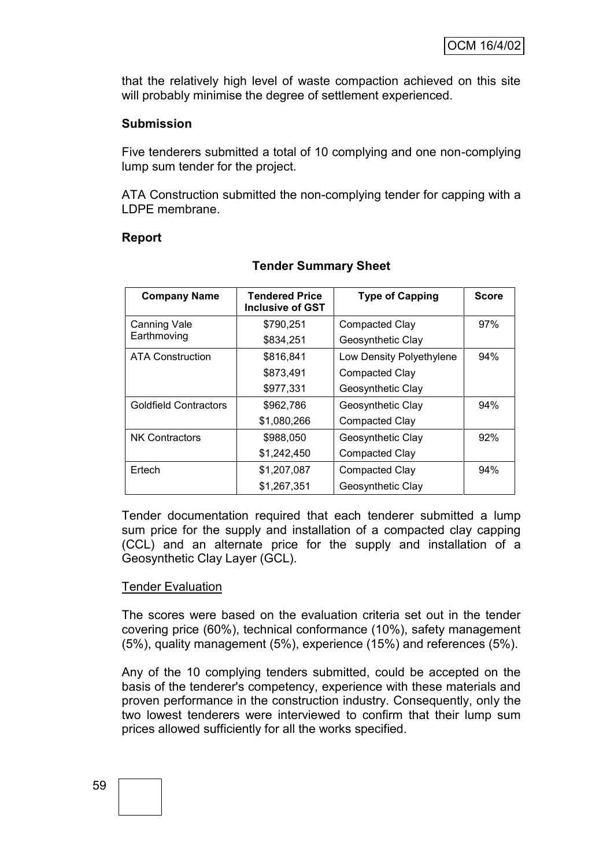that the relatively high level of waste compaction achieved on this site will probably minimise the degree of settlement experienced.

### **Submission**

Five tenderers submitted a total of 10 complying and one non-complying lump sum tender for the project.

ATA Construction submitted the non-complying tender for capping with a LDPE membrane.

### **Report**

| <b>Company Name</b>          | <b>Tendered Price</b><br><b>Inclusive of GST</b> | <b>Type of Capping</b>   | <b>Score</b> |
|------------------------------|--------------------------------------------------|--------------------------|--------------|
| Canning Vale                 | \$790,251                                        | <b>Compacted Clay</b>    | 97%          |
| Earthmoving                  | \$834,251                                        | Geosynthetic Clay        |              |
| <b>ATA Construction</b>      | \$816,841                                        | Low Density Polyethylene | 94%          |
|                              | \$873,491                                        | Compacted Clay           |              |
|                              | \$977,331                                        | Geosynthetic Clay        |              |
| <b>Goldfield Contractors</b> | \$962,786                                        | Geosynthetic Clay        | 94%          |
|                              | \$1,080,266                                      | Compacted Clay           |              |
| <b>NK Contractors</b>        | \$988,050                                        | Geosynthetic Clay        | 92%          |
|                              | \$1,242,450                                      | Compacted Clay           |              |
| Ertech                       | \$1,207,087                                      | Compacted Clay           | 94%          |
|                              | \$1,267,351                                      | Geosynthetic Clay        |              |

# **Tender Summary Sheet**

Tender documentation required that each tenderer submitted a lump sum price for the supply and installation of a compacted clay capping (CCL) and an alternate price for the supply and installation of a Geosynthetic Clay Layer (GCL).

#### Tender Evaluation

The scores were based on the evaluation criteria set out in the tender covering price (60%), technical conformance (10%), safety management (5%), quality management (5%), experience (15%) and references (5%).

Any of the 10 complying tenders submitted, could be accepted on the basis of the tenderer's competency, experience with these materials and proven performance in the construction industry. Consequently, only the two lowest tenderers were interviewed to confirm that their lump sum prices allowed sufficiently for all the works specified.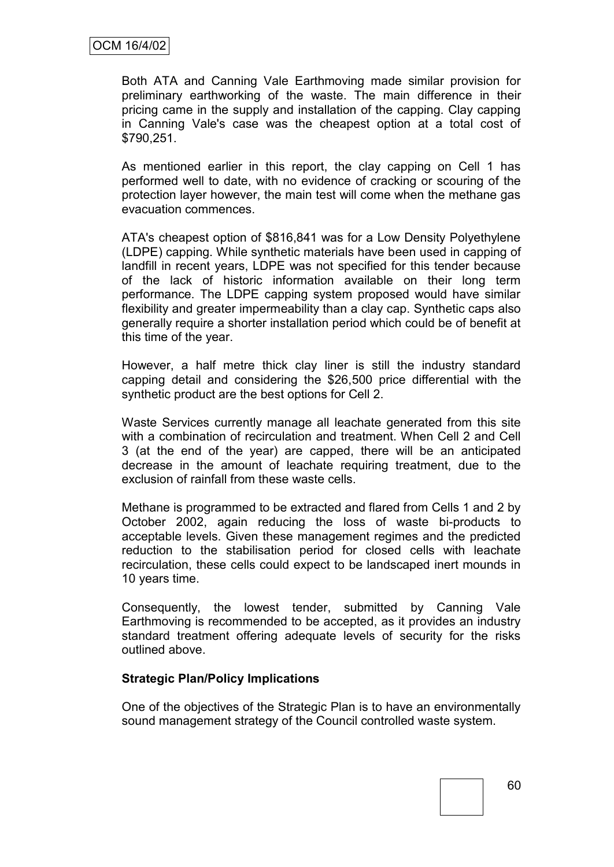Both ATA and Canning Vale Earthmoving made similar provision for preliminary earthworking of the waste. The main difference in their pricing came in the supply and installation of the capping. Clay capping in Canning Vale's case was the cheapest option at a total cost of \$790,251.

As mentioned earlier in this report, the clay capping on Cell 1 has performed well to date, with no evidence of cracking or scouring of the protection layer however, the main test will come when the methane gas evacuation commences.

ATA's cheapest option of \$816,841 was for a Low Density Polyethylene (LDPE) capping. While synthetic materials have been used in capping of landfill in recent years, LDPE was not specified for this tender because of the lack of historic information available on their long term performance. The LDPE capping system proposed would have similar flexibility and greater impermeability than a clay cap. Synthetic caps also generally require a shorter installation period which could be of benefit at this time of the year.

However, a half metre thick clay liner is still the industry standard capping detail and considering the \$26,500 price differential with the synthetic product are the best options for Cell 2.

Waste Services currently manage all leachate generated from this site with a combination of recirculation and treatment. When Cell 2 and Cell 3 (at the end of the year) are capped, there will be an anticipated decrease in the amount of leachate requiring treatment, due to the exclusion of rainfall from these waste cells.

Methane is programmed to be extracted and flared from Cells 1 and 2 by October 2002, again reducing the loss of waste bi-products to acceptable levels. Given these management regimes and the predicted reduction to the stabilisation period for closed cells with leachate recirculation, these cells could expect to be landscaped inert mounds in 10 years time.

Consequently, the lowest tender, submitted by Canning Vale Earthmoving is recommended to be accepted, as it provides an industry standard treatment offering adequate levels of security for the risks outlined above.

# **Strategic Plan/Policy Implications**

One of the objectives of the Strategic Plan is to have an environmentally sound management strategy of the Council controlled waste system.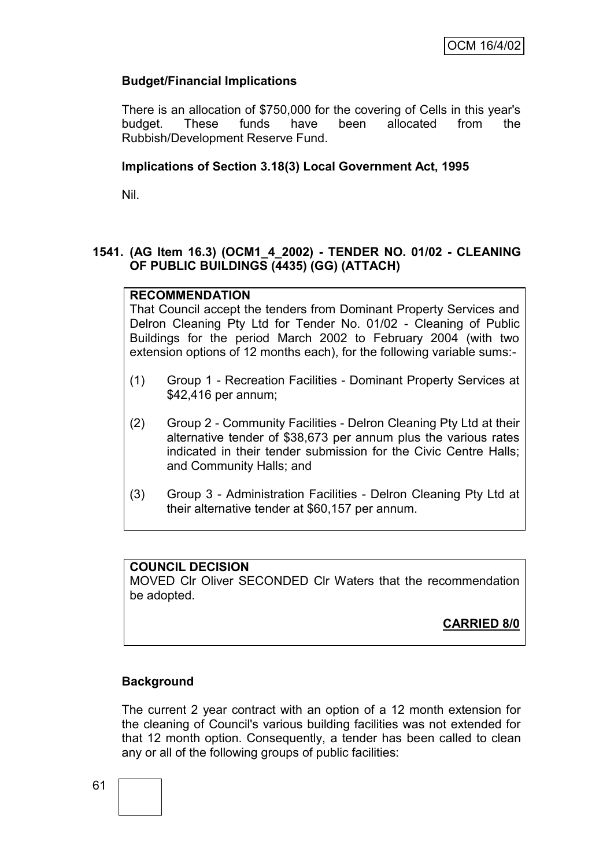# **Budget/Financial Implications**

There is an allocation of \$750,000 for the covering of Cells in this year's budget. These funds have been allocated from the Rubbish/Development Reserve Fund.

# **Implications of Section 3.18(3) Local Government Act, 1995**

Nil.

# **1541. (AG Item 16.3) (OCM1\_4\_2002) - TENDER NO. 01/02 - CLEANING OF PUBLIC BUILDINGS (4435) (GG) (ATTACH)**

### **RECOMMENDATION**

That Council accept the tenders from Dominant Property Services and Delron Cleaning Pty Ltd for Tender No. 01/02 - Cleaning of Public Buildings for the period March 2002 to February 2004 (with two extension options of 12 months each), for the following variable sums:-

- (1) Group 1 Recreation Facilities Dominant Property Services at \$42,416 per annum;
- (2) Group 2 Community Facilities Delron Cleaning Pty Ltd at their alternative tender of \$38,673 per annum plus the various rates indicated in their tender submission for the Civic Centre Halls; and Community Halls; and
- (3) Group 3 Administration Facilities Delron Cleaning Pty Ltd at their alternative tender at \$60,157 per annum.

#### **COUNCIL DECISION**

MOVED Clr Oliver SECONDED Clr Waters that the recommendation be adopted.

# **CARRIED 8/0**

# **Background**

The current 2 year contract with an option of a 12 month extension for the cleaning of Council's various building facilities was not extended for that 12 month option. Consequently, a tender has been called to clean any or all of the following groups of public facilities: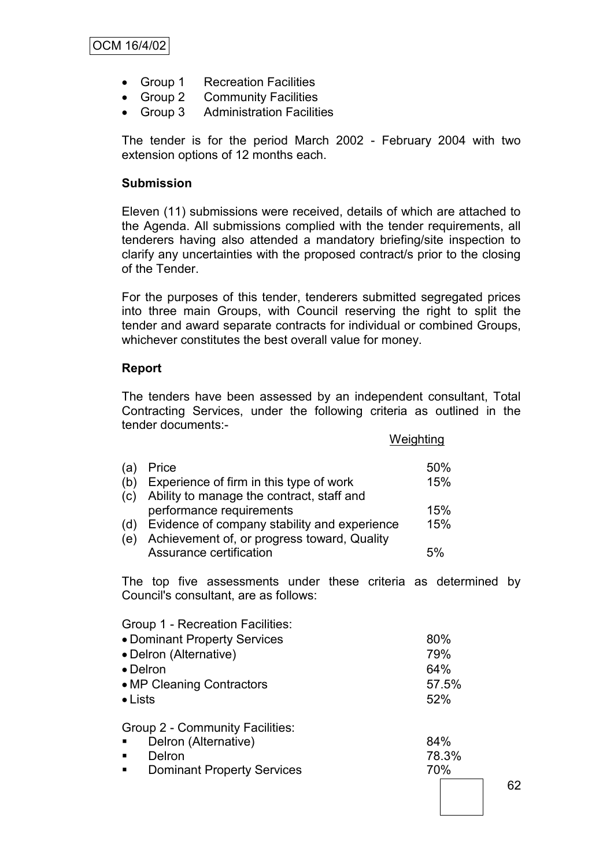- Group 1 Recreation Facilities
- Group 2 Community Facilities
- Group 3 Administration Facilities

The tender is for the period March 2002 - February 2004 with two extension options of 12 months each.

### **Submission**

Eleven (11) submissions were received, details of which are attached to the Agenda. All submissions complied with the tender requirements, all tenderers having also attended a mandatory briefing/site inspection to clarify any uncertainties with the proposed contract/s prior to the closing of the Tender.

For the purposes of this tender, tenderers submitted segregated prices into three main Groups, with Council reserving the right to split the tender and award separate contracts for individual or combined Groups, whichever constitutes the best overall value for money.

# **Report**

The tenders have been assessed by an independent consultant, Total Contracting Services, under the following criteria as outlined in the tender documents:- Weighting

|     |                                              | <u>vveignumg</u> |
|-----|----------------------------------------------|------------------|
| (a) | Price                                        | 50%              |
| (b) | Experience of firm in this type of work      | 15%              |
| (c) | Ability to manage the contract, staff and    |                  |
|     | performance requirements                     | 15%              |
| (d) | Evidence of company stability and experience | 15%              |
| (e) | Achievement of, or progress toward, Quality  |                  |
|     | Assurance certification                      | 5%               |

The top five assessments under these criteria as determined by Council's consultant, are as follows:

| Group 1 - Recreation Facilities:<br>• Dominant Property Services<br>• Delron (Alternative)<br>$\bullet$ Delron<br>• MP Cleaning Contractors<br>$\bullet$ Lists |              |
|----------------------------------------------------------------------------------------------------------------------------------------------------------------|--------------|
| Group 2 - Community Facilities:<br>Delron (Alternative)<br>$\blacksquare$<br>Delron                                                                            | 84%<br>78.3% |

**Dominant Property Services** 70%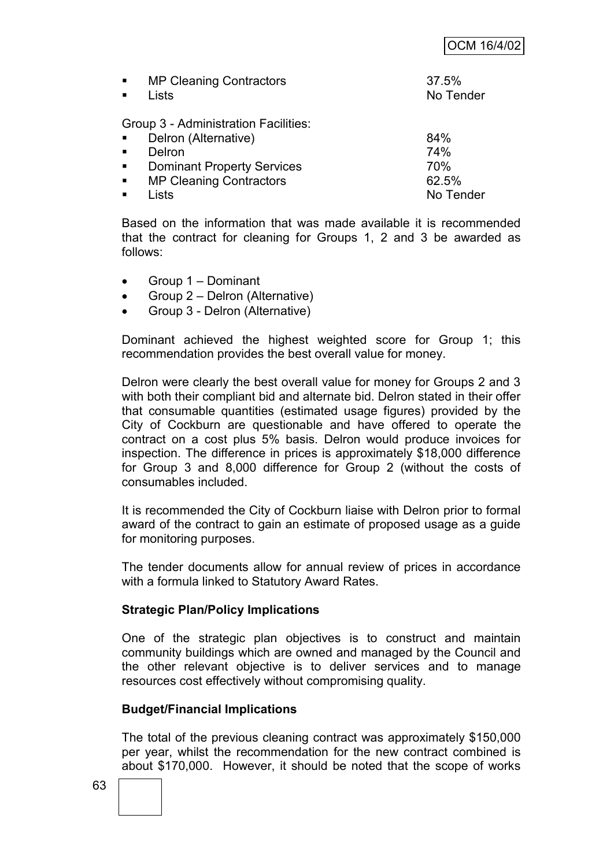|                | <b>MP Cleaning Contractors</b><br>Lists | 37.5%<br>No Tender |
|----------------|-----------------------------------------|--------------------|
|                | Group 3 - Administration Facilities:    |                    |
| $\blacksquare$ | Delron (Alternative)                    | 84%                |
|                | Delron                                  | 74%                |
| $\blacksquare$ | <b>Dominant Property Services</b>       | 70%                |
| $\blacksquare$ | <b>MP Cleaning Contractors</b>          | 62.5%              |
|                | _ists                                   | No Tender          |

Based on the information that was made available it is recommended that the contract for cleaning for Groups 1, 2 and 3 be awarded as follows:

- Group 1 Dominant
- Group 2 Delron (Alternative)
- Group 3 Delron (Alternative)

Dominant achieved the highest weighted score for Group 1; this recommendation provides the best overall value for money.

Delron were clearly the best overall value for money for Groups 2 and 3 with both their compliant bid and alternate bid. Delron stated in their offer that consumable quantities (estimated usage figures) provided by the City of Cockburn are questionable and have offered to operate the contract on a cost plus 5% basis. Delron would produce invoices for inspection. The difference in prices is approximately \$18,000 difference for Group 3 and 8,000 difference for Group 2 (without the costs of consumables included.

It is recommended the City of Cockburn liaise with Delron prior to formal award of the contract to gain an estimate of proposed usage as a guide for monitoring purposes.

The tender documents allow for annual review of prices in accordance with a formula linked to Statutory Award Rates.

# **Strategic Plan/Policy Implications**

One of the strategic plan objectives is to construct and maintain community buildings which are owned and managed by the Council and the other relevant objective is to deliver services and to manage resources cost effectively without compromising quality.

# **Budget/Financial Implications**

The total of the previous cleaning contract was approximately \$150,000 per year, whilst the recommendation for the new contract combined is about \$170,000. However, it should be noted that the scope of works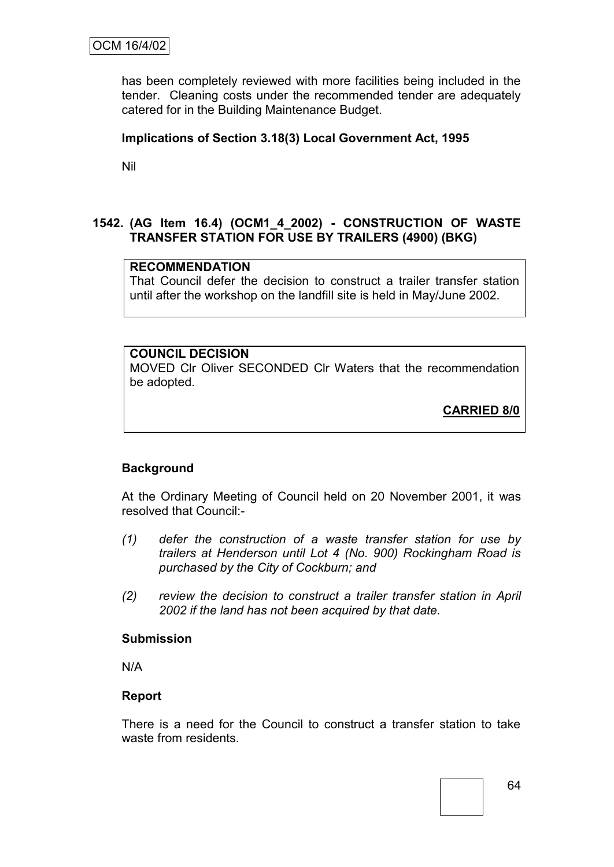has been completely reviewed with more facilities being included in the tender. Cleaning costs under the recommended tender are adequately catered for in the Building Maintenance Budget.

# **Implications of Section 3.18(3) Local Government Act, 1995**

Nil

# **1542. (AG Item 16.4) (OCM1\_4\_2002) - CONSTRUCTION OF WASTE TRANSFER STATION FOR USE BY TRAILERS (4900) (BKG)**

# **RECOMMENDATION**

That Council defer the decision to construct a trailer transfer station until after the workshop on the landfill site is held in May/June 2002.

# **COUNCIL DECISION**

MOVED Clr Oliver SECONDED Clr Waters that the recommendation be adopted.

**CARRIED 8/0**

# **Background**

At the Ordinary Meeting of Council held on 20 November 2001, it was resolved that Council:-

- *(1) defer the construction of a waste transfer station for use by trailers at Henderson until Lot 4 (No. 900) Rockingham Road is purchased by the City of Cockburn; and*
- *(2) review the decision to construct a trailer transfer station in April 2002 if the land has not been acquired by that date.*

#### **Submission**

N/A

# **Report**

There is a need for the Council to construct a transfer station to take waste from residents.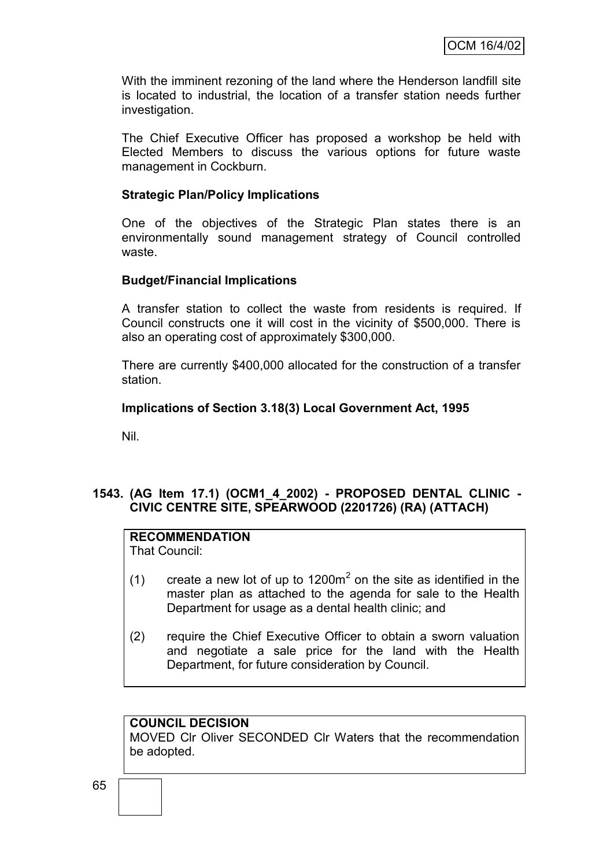With the imminent rezoning of the land where the Henderson landfill site is located to industrial, the location of a transfer station needs further investigation.

The Chief Executive Officer has proposed a workshop be held with Elected Members to discuss the various options for future waste management in Cockburn.

### **Strategic Plan/Policy Implications**

One of the objectives of the Strategic Plan states there is an environmentally sound management strategy of Council controlled waste.

### **Budget/Financial Implications**

A transfer station to collect the waste from residents is required. If Council constructs one it will cost in the vicinity of \$500,000. There is also an operating cost of approximately \$300,000.

There are currently \$400,000 allocated for the construction of a transfer station.

### **Implications of Section 3.18(3) Local Government Act, 1995**

Nil.

# **1543. (AG Item 17.1) (OCM1\_4\_2002) - PROPOSED DENTAL CLINIC - CIVIC CENTRE SITE, SPEARWOOD (2201726) (RA) (ATTACH)**

# **RECOMMENDATION**

That Council:

- (1) create a new lot of up to 1200 $m<sup>2</sup>$  on the site as identified in the master plan as attached to the agenda for sale to the Health Department for usage as a dental health clinic; and
- (2) require the Chief Executive Officer to obtain a sworn valuation and negotiate a sale price for the land with the Health Department, for future consideration by Council.

#### **COUNCIL DECISION**

MOVED Clr Oliver SECONDED Clr Waters that the recommendation be adopted.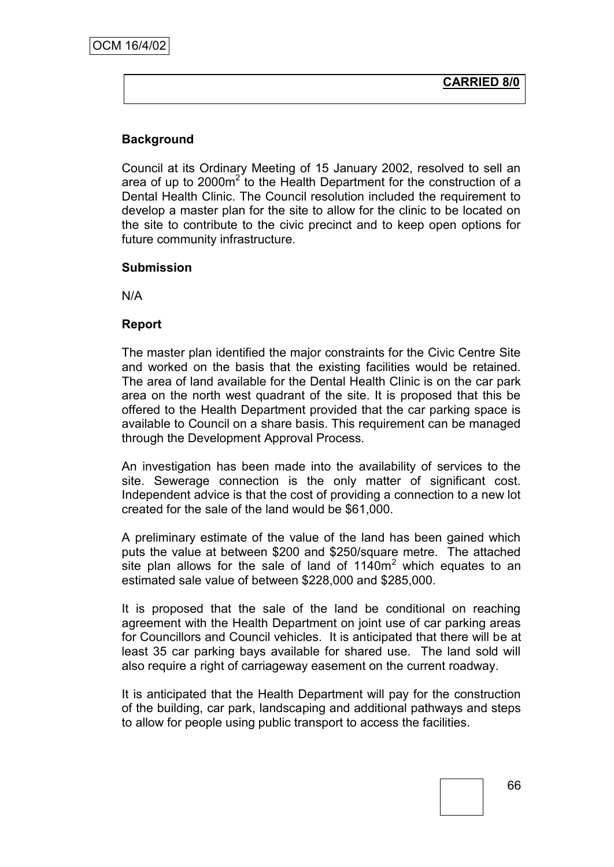# **Background**

Council at its Ordinary Meeting of 15 January 2002, resolved to sell an area of up to  $2000m^2$  to the Health Department for the construction of a Dental Health Clinic. The Council resolution included the requirement to develop a master plan for the site to allow for the clinic to be located on the site to contribute to the civic precinct and to keep open options for future community infrastructure.

### **Submission**

N/A

# **Report**

The master plan identified the major constraints for the Civic Centre Site and worked on the basis that the existing facilities would be retained. The area of land available for the Dental Health Clinic is on the car park area on the north west quadrant of the site. It is proposed that this be offered to the Health Department provided that the car parking space is available to Council on a share basis. This requirement can be managed through the Development Approval Process.

An investigation has been made into the availability of services to the site. Sewerage connection is the only matter of significant cost. Independent advice is that the cost of providing a connection to a new lot created for the sale of the land would be \$61,000.

A preliminary estimate of the value of the land has been gained which puts the value at between \$200 and \$250/square metre. The attached site plan allows for the sale of land of  $1140m<sup>2</sup>$  which equates to an estimated sale value of between \$228,000 and \$285,000.

It is proposed that the sale of the land be conditional on reaching agreement with the Health Department on joint use of car parking areas for Councillors and Council vehicles. It is anticipated that there will be at least 35 car parking bays available for shared use. The land sold will also require a right of carriageway easement on the current roadway.

It is anticipated that the Health Department will pay for the construction of the building, car park, landscaping and additional pathways and steps to allow for people using public transport to access the facilities.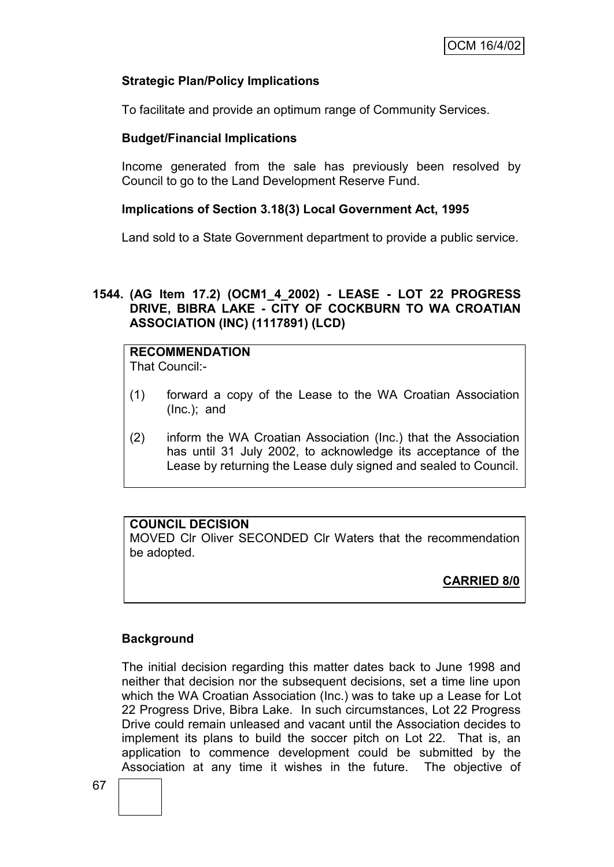# **Strategic Plan/Policy Implications**

To facilitate and provide an optimum range of Community Services.

# **Budget/Financial Implications**

Income generated from the sale has previously been resolved by Council to go to the Land Development Reserve Fund.

# **Implications of Section 3.18(3) Local Government Act, 1995**

Land sold to a State Government department to provide a public service.

# **1544. (AG Item 17.2) (OCM1\_4\_2002) - LEASE - LOT 22 PROGRESS DRIVE, BIBRA LAKE - CITY OF COCKBURN TO WA CROATIAN ASSOCIATION (INC) (1117891) (LCD)**

# **RECOMMENDATION**

That Council:-

- (1) forward a copy of the Lease to the WA Croatian Association (Inc.); and
- (2) inform the WA Croatian Association (Inc.) that the Association has until 31 July 2002, to acknowledge its acceptance of the Lease by returning the Lease duly signed and sealed to Council.

# **COUNCIL DECISION**

MOVED Clr Oliver SECONDED Clr Waters that the recommendation be adopted.

**CARRIED 8/0**

# **Background**

The initial decision regarding this matter dates back to June 1998 and neither that decision nor the subsequent decisions, set a time line upon which the WA Croatian Association (Inc.) was to take up a Lease for Lot 22 Progress Drive, Bibra Lake. In such circumstances, Lot 22 Progress Drive could remain unleased and vacant until the Association decides to implement its plans to build the soccer pitch on Lot 22. That is, an application to commence development could be submitted by the Association at any time it wishes in the future. The objective of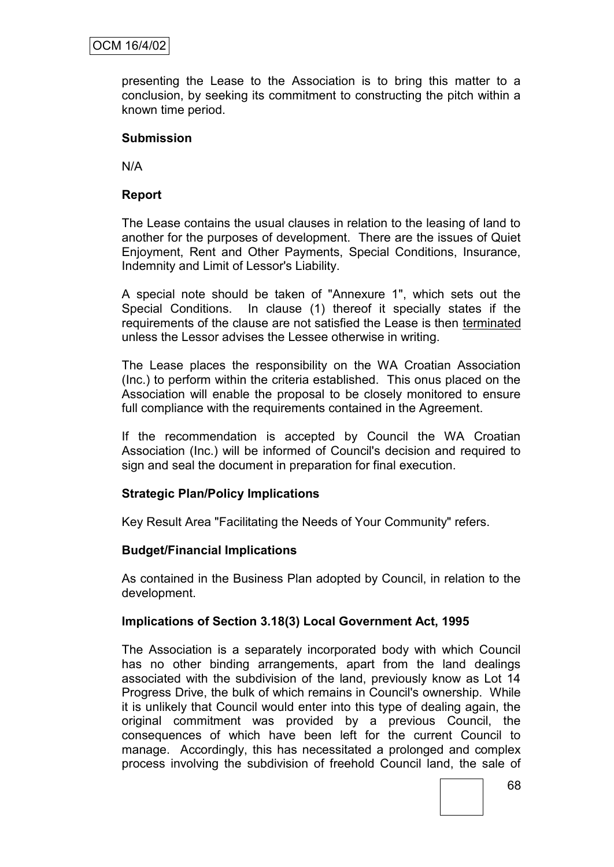presenting the Lease to the Association is to bring this matter to a conclusion, by seeking its commitment to constructing the pitch within a known time period.

# **Submission**

N/A

# **Report**

The Lease contains the usual clauses in relation to the leasing of land to another for the purposes of development. There are the issues of Quiet Enjoyment, Rent and Other Payments, Special Conditions, Insurance, Indemnity and Limit of Lessor's Liability.

A special note should be taken of "Annexure 1", which sets out the Special Conditions. In clause (1) thereof it specially states if the requirements of the clause are not satisfied the Lease is then terminated unless the Lessor advises the Lessee otherwise in writing.

The Lease places the responsibility on the WA Croatian Association (Inc.) to perform within the criteria established. This onus placed on the Association will enable the proposal to be closely monitored to ensure full compliance with the requirements contained in the Agreement.

If the recommendation is accepted by Council the WA Croatian Association (Inc.) will be informed of Council's decision and required to sign and seal the document in preparation for final execution.

# **Strategic Plan/Policy Implications**

Key Result Area "Facilitating the Needs of Your Community" refers.

# **Budget/Financial Implications**

As contained in the Business Plan adopted by Council, in relation to the development.

# **Implications of Section 3.18(3) Local Government Act, 1995**

The Association is a separately incorporated body with which Council has no other binding arrangements, apart from the land dealings associated with the subdivision of the land, previously know as Lot 14 Progress Drive, the bulk of which remains in Council's ownership. While it is unlikely that Council would enter into this type of dealing again, the original commitment was provided by a previous Council, the consequences of which have been left for the current Council to manage. Accordingly, this has necessitated a prolonged and complex process involving the subdivision of freehold Council land, the sale of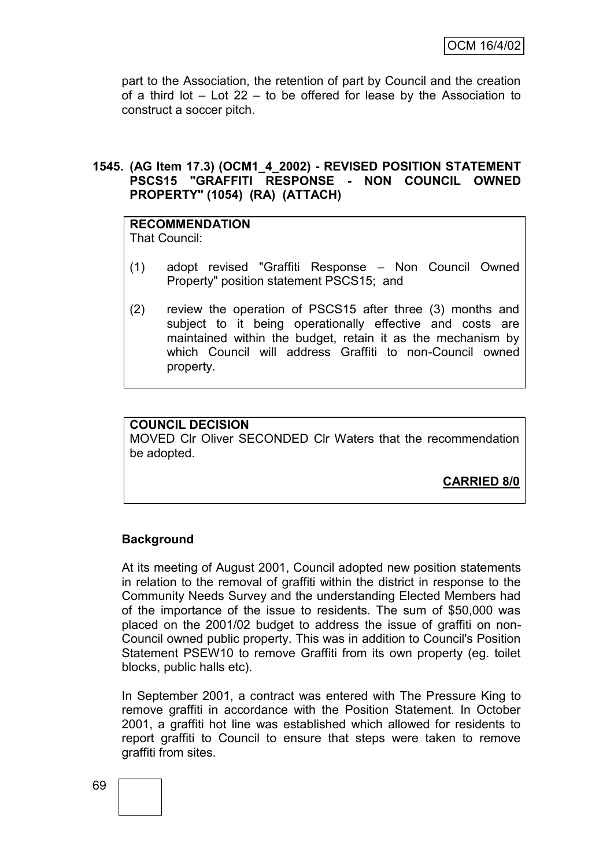part to the Association, the retention of part by Council and the creation of a third lot  $-$  Lot 22 – to be offered for lease by the Association to construct a soccer pitch.

### **1545. (AG Item 17.3) (OCM1\_4\_2002) - REVISED POSITION STATEMENT PSCS15 "GRAFFITI RESPONSE - NON COUNCIL OWNED PROPERTY" (1054) (RA) (ATTACH)**

# **RECOMMENDATION**

That Council:

- (1) adopt revised "Graffiti Response Non Council Owned Property" position statement PSCS15; and
- (2) review the operation of PSCS15 after three (3) months and subject to it being operationally effective and costs are maintained within the budget, retain it as the mechanism by which Council will address Graffiti to non-Council owned property.

#### **COUNCIL DECISION** MOVED Clr Oliver SECONDED Clr Waters that the recommendation be adopted.

**CARRIED 8/0**

# **Background**

At its meeting of August 2001, Council adopted new position statements in relation to the removal of graffiti within the district in response to the Community Needs Survey and the understanding Elected Members had of the importance of the issue to residents. The sum of \$50,000 was placed on the 2001/02 budget to address the issue of graffiti on non-Council owned public property. This was in addition to Council's Position Statement PSEW10 to remove Graffiti from its own property (eg. toilet blocks, public halls etc).

In September 2001, a contract was entered with The Pressure King to remove graffiti in accordance with the Position Statement. In October 2001, a graffiti hot line was established which allowed for residents to report graffiti to Council to ensure that steps were taken to remove graffiti from sites.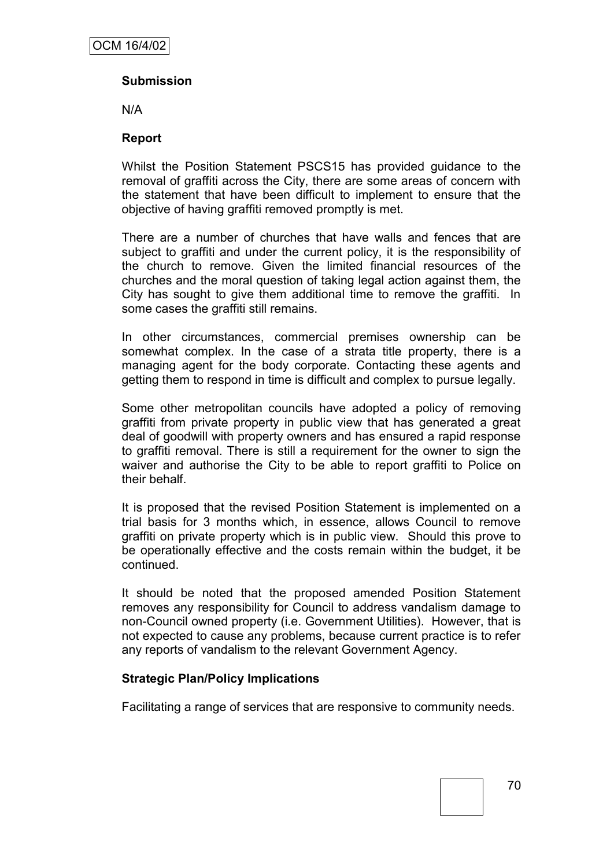# **Submission**

N/A

#### **Report**

Whilst the Position Statement PSCS15 has provided guidance to the removal of graffiti across the City, there are some areas of concern with the statement that have been difficult to implement to ensure that the objective of having graffiti removed promptly is met.

There are a number of churches that have walls and fences that are subject to graffiti and under the current policy, it is the responsibility of the church to remove. Given the limited financial resources of the churches and the moral question of taking legal action against them, the City has sought to give them additional time to remove the graffiti. In some cases the graffiti still remains.

In other circumstances, commercial premises ownership can be somewhat complex. In the case of a strata title property, there is a managing agent for the body corporate. Contacting these agents and getting them to respond in time is difficult and complex to pursue legally.

Some other metropolitan councils have adopted a policy of removing graffiti from private property in public view that has generated a great deal of goodwill with property owners and has ensured a rapid response to graffiti removal. There is still a requirement for the owner to sign the waiver and authorise the City to be able to report graffiti to Police on their behalf.

It is proposed that the revised Position Statement is implemented on a trial basis for 3 months which, in essence, allows Council to remove graffiti on private property which is in public view. Should this prove to be operationally effective and the costs remain within the budget, it be continued.

It should be noted that the proposed amended Position Statement removes any responsibility for Council to address vandalism damage to non-Council owned property (i.e. Government Utilities). However, that is not expected to cause any problems, because current practice is to refer any reports of vandalism to the relevant Government Agency.

### **Strategic Plan/Policy Implications**

Facilitating a range of services that are responsive to community needs.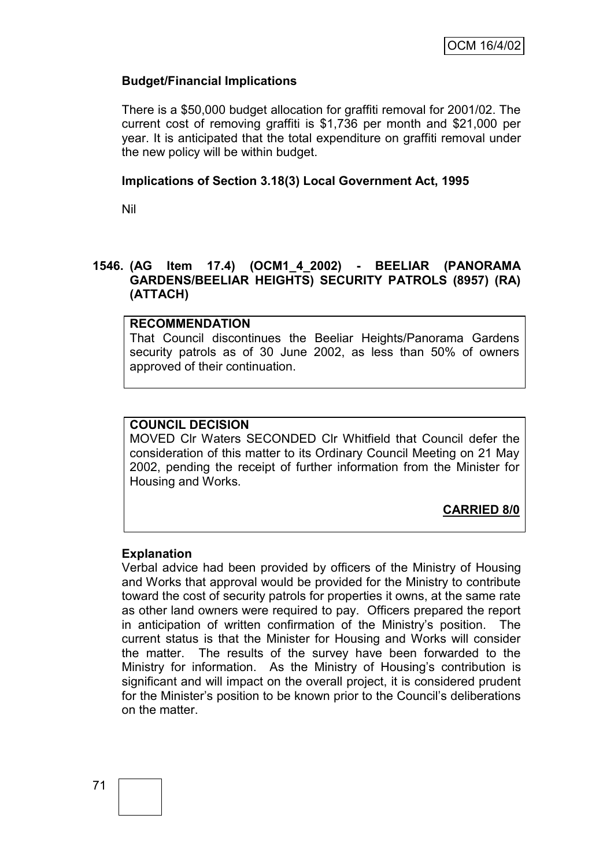### **Budget/Financial Implications**

There is a \$50,000 budget allocation for graffiti removal for 2001/02. The current cost of removing graffiti is \$1,736 per month and \$21,000 per year. It is anticipated that the total expenditure on graffiti removal under the new policy will be within budget.

#### **Implications of Section 3.18(3) Local Government Act, 1995**

Nil

### **1546. (AG Item 17.4) (OCM1\_4\_2002) - BEELIAR (PANORAMA GARDENS/BEELIAR HEIGHTS) SECURITY PATROLS (8957) (RA) (ATTACH)**

#### **RECOMMENDATION**

That Council discontinues the Beeliar Heights/Panorama Gardens security patrols as of 30 June 2002, as less than 50% of owners approved of their continuation.

### **COUNCIL DECISION**

MOVED Clr Waters SECONDED Clr Whitfield that Council defer the consideration of this matter to its Ordinary Council Meeting on 21 May 2002, pending the receipt of further information from the Minister for Housing and Works.

### **CARRIED 8/0**

#### **Explanation**

Verbal advice had been provided by officers of the Ministry of Housing and Works that approval would be provided for the Ministry to contribute toward the cost of security patrols for properties it owns, at the same rate as other land owners were required to pay. Officers prepared the report in anticipation of written confirmation of the Ministry's position. The current status is that the Minister for Housing and Works will consider the matter. The results of the survey have been forwarded to the Ministry for information. As the Ministry of Housing"s contribution is significant and will impact on the overall project, it is considered prudent for the Minister"s position to be known prior to the Council"s deliberations on the matter.

71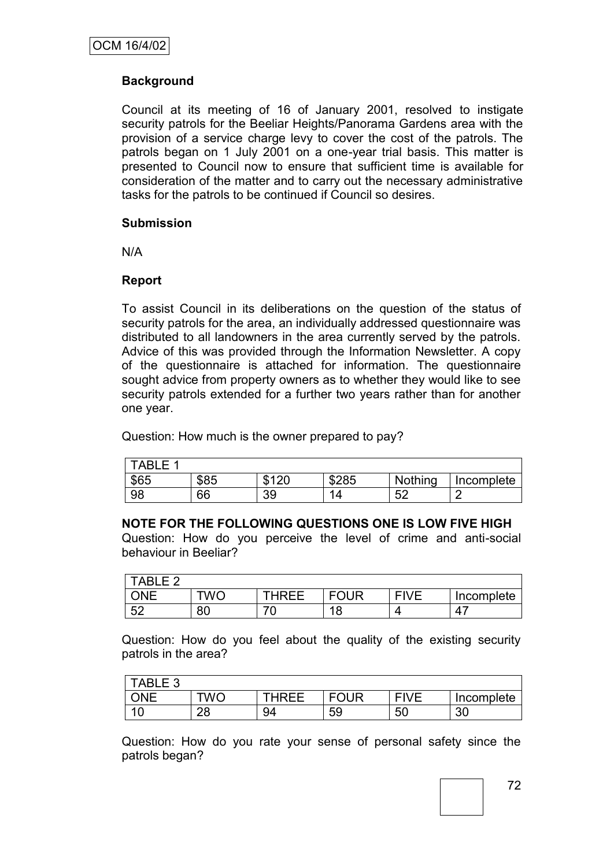# **Background**

Council at its meeting of 16 of January 2001, resolved to instigate security patrols for the Beeliar Heights/Panorama Gardens area with the provision of a service charge levy to cover the cost of the patrols. The patrols began on 1 July 2001 on a one-year trial basis. This matter is presented to Council now to ensure that sufficient time is available for consideration of the matter and to carry out the necessary administrative tasks for the patrols to be continued if Council so desires.

#### **Submission**

N/A

### **Report**

To assist Council in its deliberations on the question of the status of security patrols for the area, an individually addressed questionnaire was distributed to all landowners in the area currently served by the patrols. Advice of this was provided through the Information Newsletter. A copy of the questionnaire is attached for information. The questionnaire sought advice from property owners as to whether they would like to see security patrols extended for a further two years rather than for another one year.

Question: How much is the owner prepared to pay?

| E<br>TABL. |      |             |       |          |            |
|------------|------|-------------|-------|----------|------------|
| \$65       | \$85 | 0.400<br>۰D | \$285 | Nothing  | Incomplete |
| 98         | 66   | 39          | Δ     | 50<br>◡▵ | _          |

### **NOTE FOR THE FOLLOWING QUESTIONS ONE IS LOW FIVE HIGH**

Question: How do you perceive the level of crime and anti-social behaviour in Beeliar?

| <b>TABLE 2</b> |     |       |             |             |            |
|----------------|-----|-------|-------------|-------------|------------|
|                | TWC | THRFF | <b>FOUR</b> | <b>FIVE</b> | Incomplete |
| $-52$<br>◡∠    | 80  |       | 18          |             | 4.         |

Question: How do you feel about the quality of the existing security patrols in the area?

| TABLE 3   |          |       |             |             |            |
|-----------|----------|-------|-------------|-------------|------------|
|           | TWC      | THRFF | <b>FOUR</b> | <b>FIVE</b> | Incomplete |
| 10<br>، ب | റഠ<br>∠o | 94    | 59          | 50          | 30         |

Question: How do you rate your sense of personal safety since the patrols began?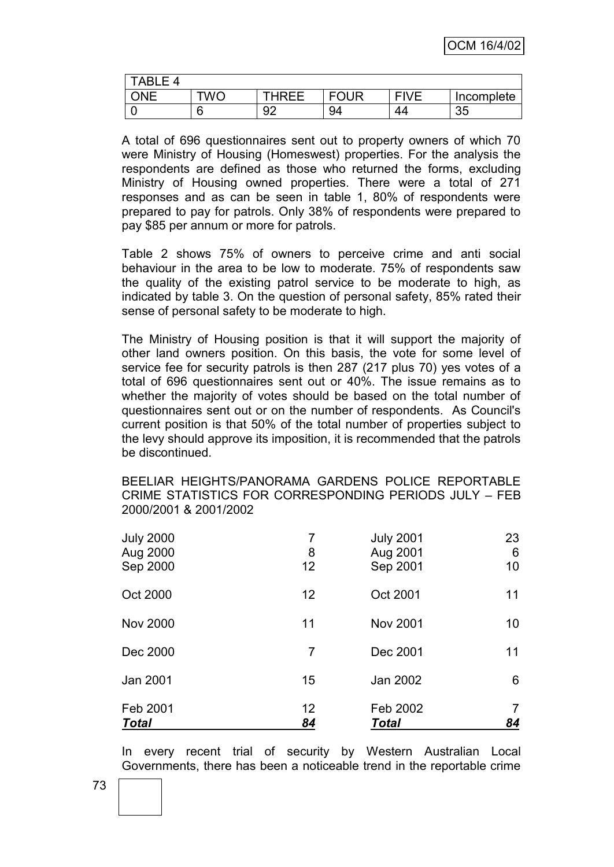| $TABLE$ 4 |     |              |             |             |            |
|-----------|-----|--------------|-------------|-------------|------------|
| NF        | TWC | <b>THRFF</b> | <b>FOUR</b> | <b>FIVE</b> | Incomplete |
|           |     | o٢           | 94          | 44          | 35         |

A total of 696 questionnaires sent out to property owners of which 70 were Ministry of Housing (Homeswest) properties. For the analysis the respondents are defined as those who returned the forms, excluding Ministry of Housing owned properties. There were a total of 271 responses and as can be seen in table 1, 80% of respondents were prepared to pay for patrols. Only 38% of respondents were prepared to pay \$85 per annum or more for patrols.

Table 2 shows 75% of owners to perceive crime and anti social behaviour in the area to be low to moderate. 75% of respondents saw the quality of the existing patrol service to be moderate to high, as indicated by table 3. On the question of personal safety, 85% rated their sense of personal safety to be moderate to high.

The Ministry of Housing position is that it will support the majority of other land owners position. On this basis, the vote for some level of service fee for security patrols is then 287 (217 plus 70) yes votes of a total of 696 questionnaires sent out or 40%. The issue remains as to whether the majority of votes should be based on the total number of questionnaires sent out or on the number of respondents. As Council's current position is that 50% of the total number of properties subject to the levy should approve its imposition, it is recommended that the patrols be discontinued.

BEELIAR HEIGHTS/PANORAMA GARDENS POLICE REPORTABLE CRIME STATISTICS FOR CORRESPONDING PERIODS JULY – FEB 2000/2001 & 2001/2002

| Feb 2001<br><b>Total</b>                 | 12<br>84 | Feb 2002<br><b>Total</b>                 | 7<br>84       |
|------------------------------------------|----------|------------------------------------------|---------------|
| Jan 2001                                 | 15       | Jan 2002                                 | 6             |
| Dec 2000                                 | 7        | Dec 2001                                 | 11            |
| <b>Nov 2000</b>                          | 11       | <b>Nov 2001</b>                          | 10            |
| Oct 2000                                 | 12       | Oct 2001                                 | 11            |
| <b>July 2000</b><br>Aug 2000<br>Sep 2000 | 8<br>12  | <b>July 2001</b><br>Aug 2001<br>Sep 2001 | 23<br>6<br>10 |

In every recent trial of security by Western Australian Local Governments, there has been a noticeable trend in the reportable crime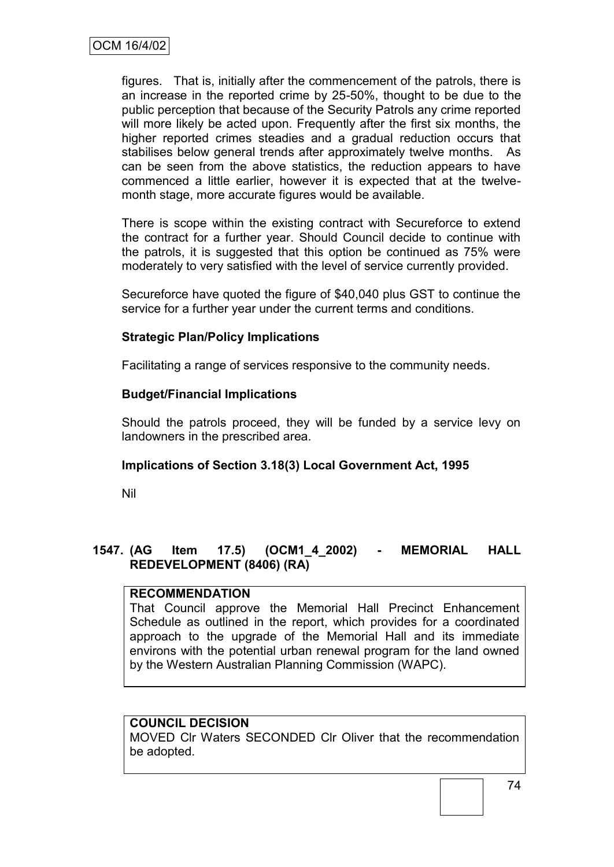figures. That is, initially after the commencement of the patrols, there is an increase in the reported crime by 25-50%, thought to be due to the public perception that because of the Security Patrols any crime reported will more likely be acted upon. Frequently after the first six months, the higher reported crimes steadies and a gradual reduction occurs that stabilises below general trends after approximately twelve months. As can be seen from the above statistics, the reduction appears to have commenced a little earlier, however it is expected that at the twelvemonth stage, more accurate figures would be available.

There is scope within the existing contract with Secureforce to extend the contract for a further year. Should Council decide to continue with the patrols, it is suggested that this option be continued as 75% were moderately to very satisfied with the level of service currently provided.

Secureforce have quoted the figure of \$40,040 plus GST to continue the service for a further year under the current terms and conditions.

## **Strategic Plan/Policy Implications**

Facilitating a range of services responsive to the community needs.

### **Budget/Financial Implications**

Should the patrols proceed, they will be funded by a service levy on landowners in the prescribed area.

### **Implications of Section 3.18(3) Local Government Act, 1995**

Nil

# **1547. (AG Item 17.5) (OCM1\_4\_2002) - MEMORIAL HALL REDEVELOPMENT (8406) (RA)**

### **RECOMMENDATION**

That Council approve the Memorial Hall Precinct Enhancement Schedule as outlined in the report, which provides for a coordinated approach to the upgrade of the Memorial Hall and its immediate environs with the potential urban renewal program for the land owned by the Western Australian Planning Commission (WAPC).

### **COUNCIL DECISION**

MOVED Clr Waters SECONDED Clr Oliver that the recommendation be adopted.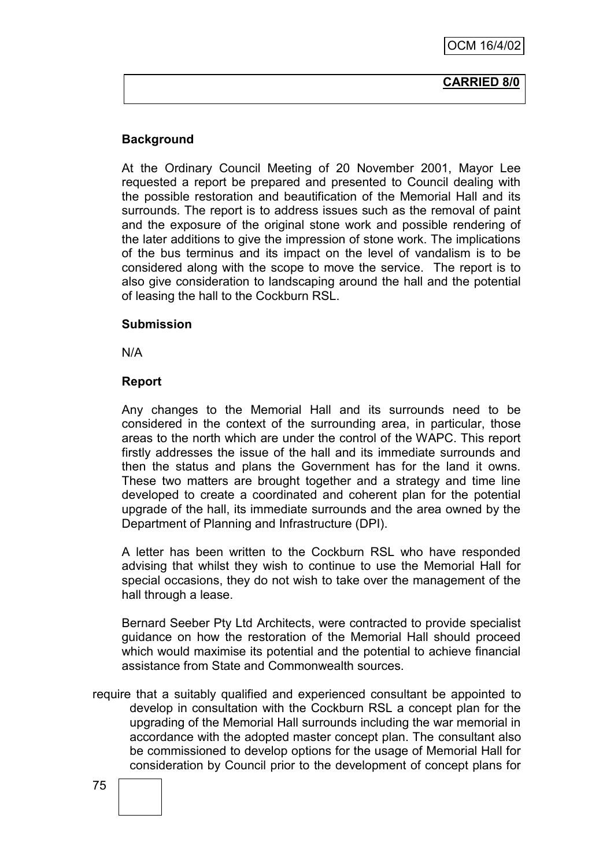#### **CARRIED 8/0**

## **Background**

At the Ordinary Council Meeting of 20 November 2001, Mayor Lee requested a report be prepared and presented to Council dealing with the possible restoration and beautification of the Memorial Hall and its surrounds. The report is to address issues such as the removal of paint and the exposure of the original stone work and possible rendering of the later additions to give the impression of stone work. The implications of the bus terminus and its impact on the level of vandalism is to be considered along with the scope to move the service. The report is to also give consideration to landscaping around the hall and the potential of leasing the hall to the Cockburn RSL.

#### **Submission**

N/A

#### **Report**

Any changes to the Memorial Hall and its surrounds need to be considered in the context of the surrounding area, in particular, those areas to the north which are under the control of the WAPC. This report firstly addresses the issue of the hall and its immediate surrounds and then the status and plans the Government has for the land it owns. These two matters are brought together and a strategy and time line developed to create a coordinated and coherent plan for the potential upgrade of the hall, its immediate surrounds and the area owned by the Department of Planning and Infrastructure (DPI).

A letter has been written to the Cockburn RSL who have responded advising that whilst they wish to continue to use the Memorial Hall for special occasions, they do not wish to take over the management of the hall through a lease.

Bernard Seeber Pty Ltd Architects, were contracted to provide specialist guidance on how the restoration of the Memorial Hall should proceed which would maximise its potential and the potential to achieve financial assistance from State and Commonwealth sources.

require that a suitably qualified and experienced consultant be appointed to develop in consultation with the Cockburn RSL a concept plan for the upgrading of the Memorial Hall surrounds including the war memorial in accordance with the adopted master concept plan. The consultant also be commissioned to develop options for the usage of Memorial Hall for consideration by Council prior to the development of concept plans for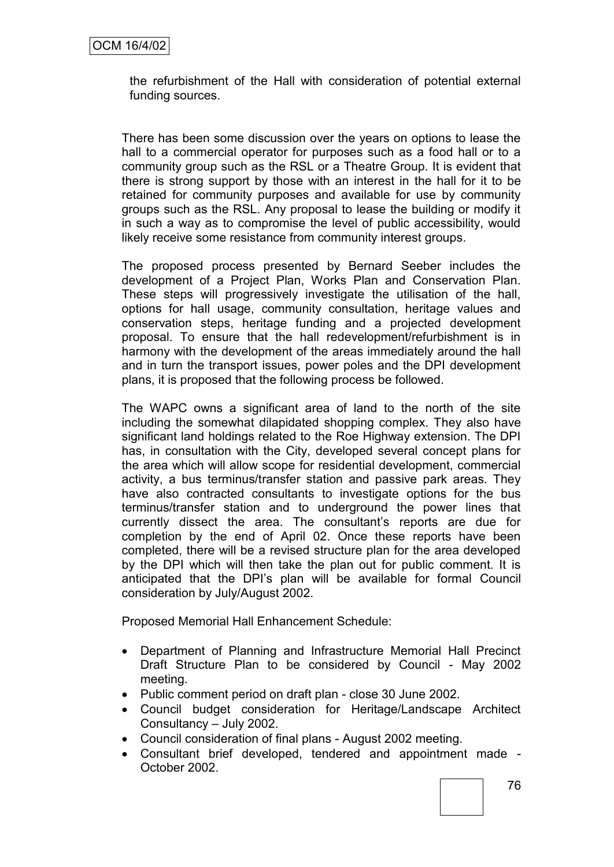the refurbishment of the Hall with consideration of potential external funding sources.

There has been some discussion over the years on options to lease the hall to a commercial operator for purposes such as a food hall or to a community group such as the RSL or a Theatre Group. It is evident that there is strong support by those with an interest in the hall for it to be retained for community purposes and available for use by community groups such as the RSL. Any proposal to lease the building or modify it in such a way as to compromise the level of public accessibility, would likely receive some resistance from community interest groups.

The proposed process presented by Bernard Seeber includes the development of a Project Plan, Works Plan and Conservation Plan. These steps will progressively investigate the utilisation of the hall, options for hall usage, community consultation, heritage values and conservation steps, heritage funding and a projected development proposal. To ensure that the hall redevelopment/refurbishment is in harmony with the development of the areas immediately around the hall and in turn the transport issues, power poles and the DPI development plans, it is proposed that the following process be followed.

The WAPC owns a significant area of land to the north of the site including the somewhat dilapidated shopping complex. They also have significant land holdings related to the Roe Highway extension. The DPI has, in consultation with the City, developed several concept plans for the area which will allow scope for residential development, commercial activity, a bus terminus/transfer station and passive park areas. They have also contracted consultants to investigate options for the bus terminus/transfer station and to underground the power lines that currently dissect the area. The consultant"s reports are due for completion by the end of April 02. Once these reports have been completed, there will be a revised structure plan for the area developed by the DPI which will then take the plan out for public comment. It is anticipated that the DPI"s plan will be available for formal Council consideration by July/August 2002.

Proposed Memorial Hall Enhancement Schedule:

- Department of Planning and Infrastructure Memorial Hall Precinct Draft Structure Plan to be considered by Council - May 2002 meeting.
- Public comment period on draft plan close 30 June 2002.
- Council budget consideration for Heritage/Landscape Architect Consultancy – July 2002.
- Council consideration of final plans August 2002 meeting.
- Consultant brief developed, tendered and appointment made October 2002.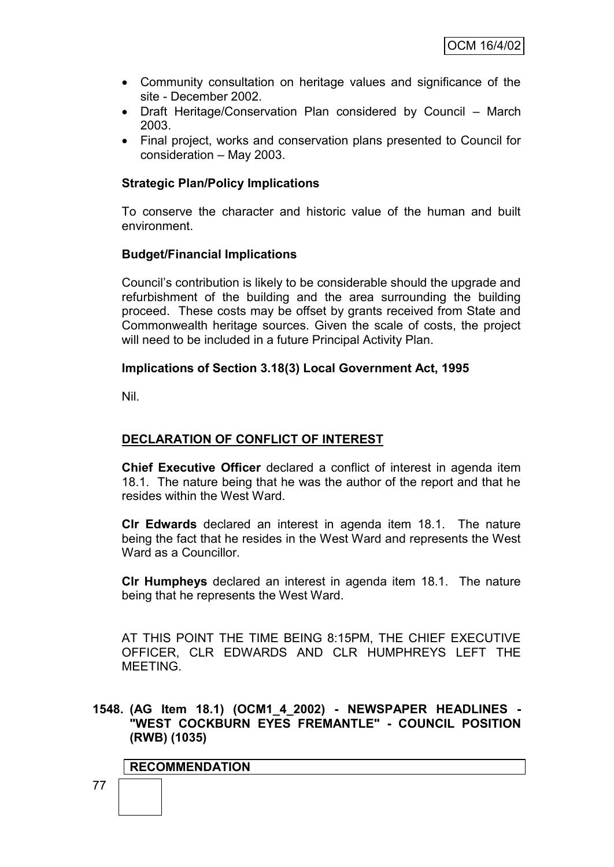- Community consultation on heritage values and significance of the site - December 2002.
- Draft Heritage/Conservation Plan considered by Council March 2003.
- Final project, works and conservation plans presented to Council for consideration – May 2003.

#### **Strategic Plan/Policy Implications**

To conserve the character and historic value of the human and built environment.

#### **Budget/Financial Implications**

Council"s contribution is likely to be considerable should the upgrade and refurbishment of the building and the area surrounding the building proceed. These costs may be offset by grants received from State and Commonwealth heritage sources. Given the scale of costs, the project will need to be included in a future Principal Activity Plan.

#### **Implications of Section 3.18(3) Local Government Act, 1995**

Nil.

# **DECLARATION OF CONFLICT OF INTEREST**

**Chief Executive Officer** declared a conflict of interest in agenda item 18.1. The nature being that he was the author of the report and that he resides within the West Ward.

**Clr Edwards** declared an interest in agenda item 18.1. The nature being the fact that he resides in the West Ward and represents the West Ward as a Councillor.

**Clr Humpheys** declared an interest in agenda item 18.1. The nature being that he represents the West Ward.

AT THIS POINT THE TIME BEING 8:15PM, THE CHIEF EXECUTIVE OFFICER, CLR EDWARDS AND CLR HUMPHREYS LEFT THE MEETING.

### **1548. (AG Item 18.1) (OCM1\_4\_2002) - NEWSPAPER HEADLINES - "WEST COCKBURN EYES FREMANTLE" - COUNCIL POSITION (RWB) (1035)**

#### **RECOMMENDATION**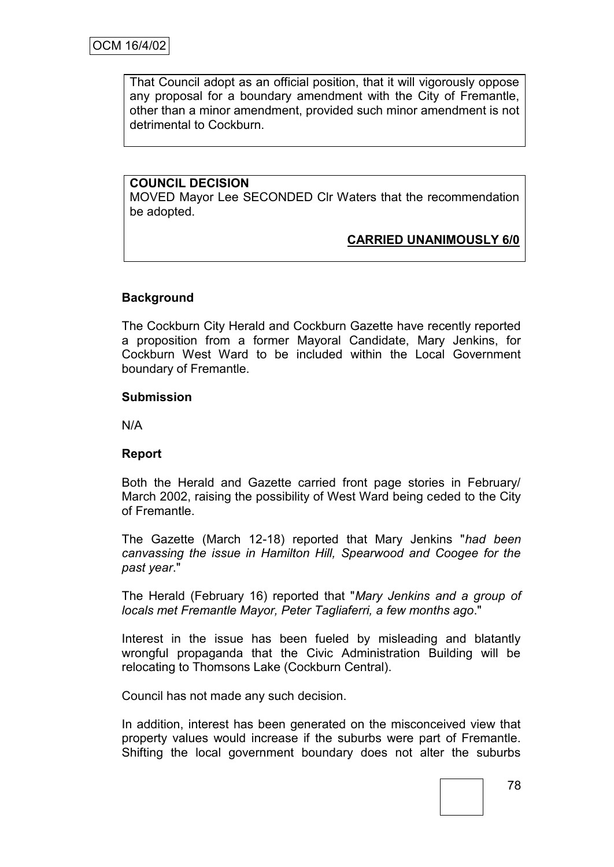That Council adopt as an official position, that it will vigorously oppose any proposal for a boundary amendment with the City of Fremantle, other than a minor amendment, provided such minor amendment is not detrimental to Cockburn.

### **COUNCIL DECISION**

MOVED Mayor Lee SECONDED Clr Waters that the recommendation be adopted.

# **CARRIED UNANIMOUSLY 6/0**

## **Background**

The Cockburn City Herald and Cockburn Gazette have recently reported a proposition from a former Mayoral Candidate, Mary Jenkins, for Cockburn West Ward to be included within the Local Government boundary of Fremantle.

#### **Submission**

N/A

### **Report**

Both the Herald and Gazette carried front page stories in February/ March 2002, raising the possibility of West Ward being ceded to the City of Fremantle.

The Gazette (March 12-18) reported that Mary Jenkins "*had been canvassing the issue in Hamilton Hill, Spearwood and Coogee for the past year*."

The Herald (February 16) reported that "*Mary Jenkins and a group of locals met Fremantle Mayor, Peter Tagliaferri, a few months ago*."

Interest in the issue has been fueled by misleading and blatantly wrongful propaganda that the Civic Administration Building will be relocating to Thomsons Lake (Cockburn Central).

Council has not made any such decision.

In addition, interest has been generated on the misconceived view that property values would increase if the suburbs were part of Fremantle. Shifting the local government boundary does not alter the suburbs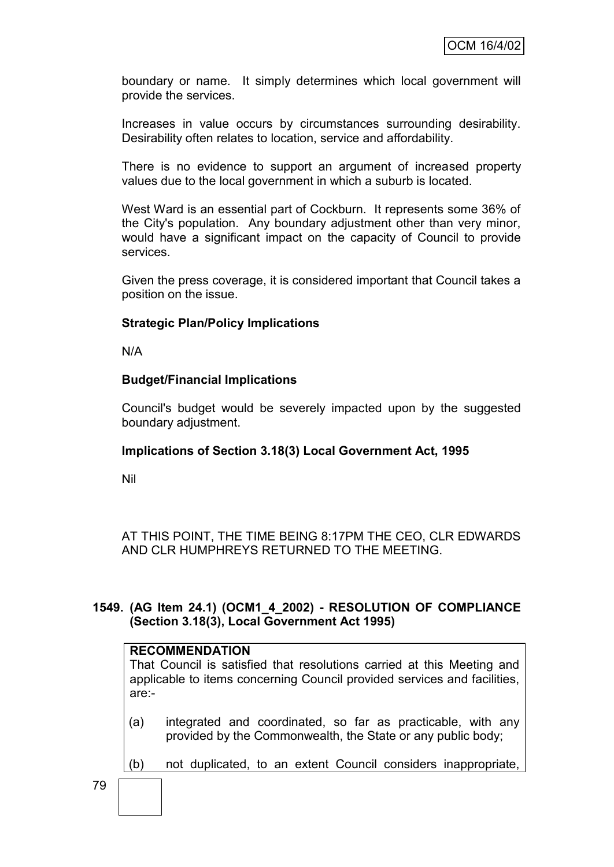boundary or name. It simply determines which local government will provide the services.

Increases in value occurs by circumstances surrounding desirability. Desirability often relates to location, service and affordability.

There is no evidence to support an argument of increased property values due to the local government in which a suburb is located.

West Ward is an essential part of Cockburn. It represents some 36% of the City's population. Any boundary adjustment other than very minor, would have a significant impact on the capacity of Council to provide services.

Given the press coverage, it is considered important that Council takes a position on the issue.

### **Strategic Plan/Policy Implications**

N/A

### **Budget/Financial Implications**

Council's budget would be severely impacted upon by the suggested boundary adjustment.

### **Implications of Section 3.18(3) Local Government Act, 1995**

Nil

AT THIS POINT, THE TIME BEING 8:17PM THE CEO, CLR EDWARDS AND CLR HUMPHREYS RETURNED TO THE MEETING.

## **1549. (AG Item 24.1) (OCM1\_4\_2002) - RESOLUTION OF COMPLIANCE (Section 3.18(3), Local Government Act 1995)**

### **RECOMMENDATION**

That Council is satisfied that resolutions carried at this Meeting and applicable to items concerning Council provided services and facilities, are:-

- (a) integrated and coordinated, so far as practicable, with any provided by the Commonwealth, the State or any public body;
- (b) not duplicated, to an extent Council considers inappropriate,